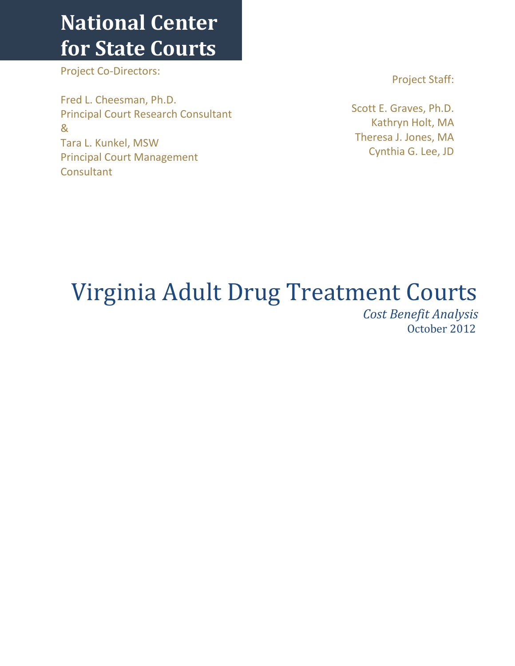## **National Center for State Courts**

Project Co-Directors:

Fred L. Cheesman, Ph.D. Principal Court Research Consultant & Tara L. Kunkel, MSW Principal Court Management **Consultant** 

Project Staff:

Scott E. Graves, Ph.D. Kathryn Holt, MA Theresa J. Jones, MA Cynthia G. Lee, JD

# Virginia Adult Drug Treatment Courts

 *Cost Benefit Analysis*  October 2012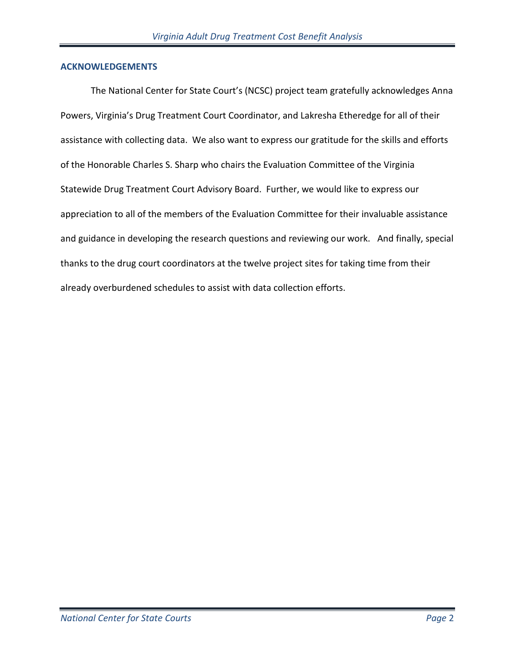#### **ACKNOWLEDGEMENTS**

The National Center for State Court's (NCSC) project team gratefully acknowledges Anna Powers, Virginia's Drug Treatment Court Coordinator, and Lakresha Etheredge for all of their assistance with collecting data. We also want to express our gratitude for the skills and efforts of the Honorable Charles S. Sharp who chairs the Evaluation Committee of the Virginia Statewide Drug Treatment Court Advisory Board. Further, we would like to express our appreciation to all of the members of the Evaluation Committee for their invaluable assistance and guidance in developing the research questions and reviewing our work. And finally, special thanks to the drug court coordinators at the twelve project sites for taking time from their already overburdened schedules to assist with data collection efforts.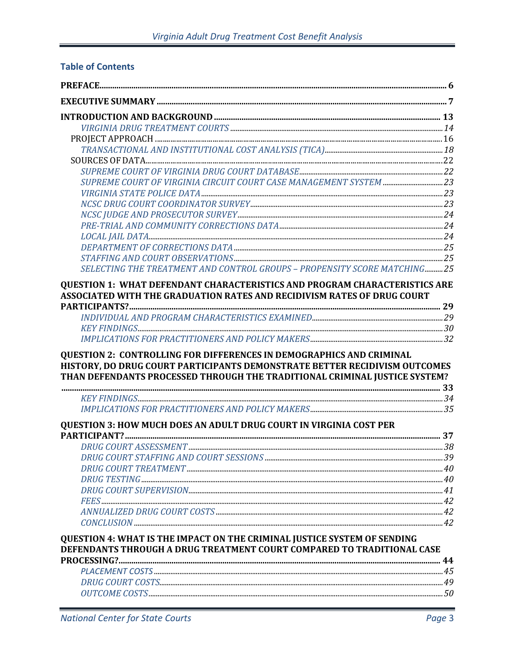## **Table of Contents**

| SUPREME COURT OF VIRGINIA CIRCUIT COURT CASE MANAGEMENT SYSTEM 23                                                                                                                                                                |  |
|----------------------------------------------------------------------------------------------------------------------------------------------------------------------------------------------------------------------------------|--|
|                                                                                                                                                                                                                                  |  |
|                                                                                                                                                                                                                                  |  |
|                                                                                                                                                                                                                                  |  |
|                                                                                                                                                                                                                                  |  |
|                                                                                                                                                                                                                                  |  |
|                                                                                                                                                                                                                                  |  |
|                                                                                                                                                                                                                                  |  |
| SELECTING THE TREATMENT AND CONTROL GROUPS - PROPENSITY SCORE MATCHING25                                                                                                                                                         |  |
| QUESTION 1: WHAT DEFENDANT CHARACTERISTICS AND PROGRAM CHARACTERISTICS ARE                                                                                                                                                       |  |
| ASSOCIATED WITH THE GRADUATION RATES AND RECIDIVISM RATES OF DRUG COURT                                                                                                                                                          |  |
|                                                                                                                                                                                                                                  |  |
|                                                                                                                                                                                                                                  |  |
|                                                                                                                                                                                                                                  |  |
|                                                                                                                                                                                                                                  |  |
| QUESTION 2: CONTROLLING FOR DIFFERENCES IN DEMOGRAPHICS AND CRIMINAL<br>HISTORY, DO DRUG COURT PARTICIPANTS DEMONSTRATE BETTER RECIDIVISM OUTCOMES<br>THAN DEFENDANTS PROCESSED THROUGH THE TRADITIONAL CRIMINAL JUSTICE SYSTEM? |  |
|                                                                                                                                                                                                                                  |  |
|                                                                                                                                                                                                                                  |  |
| <b>OUESTION 3: HOW MUCH DOES AN ADULT DRUG COURT IN VIRGINIA COST PER</b>                                                                                                                                                        |  |
|                                                                                                                                                                                                                                  |  |
|                                                                                                                                                                                                                                  |  |
|                                                                                                                                                                                                                                  |  |
|                                                                                                                                                                                                                                  |  |
|                                                                                                                                                                                                                                  |  |
|                                                                                                                                                                                                                                  |  |
|                                                                                                                                                                                                                                  |  |
|                                                                                                                                                                                                                                  |  |
|                                                                                                                                                                                                                                  |  |
| QUESTION 4: WHAT IS THE IMPACT ON THE CRIMINAL JUSTICE SYSTEM OF SENDING                                                                                                                                                         |  |
| DEFENDANTS THROUGH A DRUG TREATMENT COURT COMPARED TO TRADITIONAL CASE                                                                                                                                                           |  |
|                                                                                                                                                                                                                                  |  |
|                                                                                                                                                                                                                                  |  |
|                                                                                                                                                                                                                                  |  |
|                                                                                                                                                                                                                                  |  |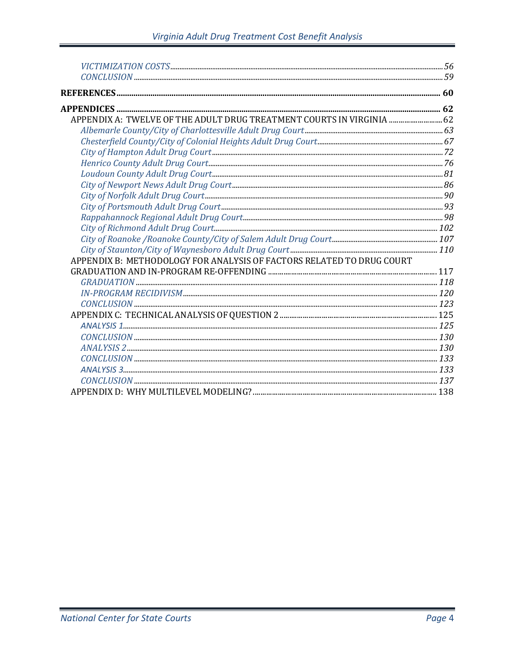| APPENDIX A: TWELVE OF THE ADULT DRUG TREATMENT COURTS IN VIRGINIA  62 |  |
|-----------------------------------------------------------------------|--|
|                                                                       |  |
|                                                                       |  |
|                                                                       |  |
|                                                                       |  |
|                                                                       |  |
|                                                                       |  |
|                                                                       |  |
|                                                                       |  |
|                                                                       |  |
|                                                                       |  |
|                                                                       |  |
|                                                                       |  |
| APPENDIX B: METHODOLOGY FOR ANALYSIS OF FACTORS RELATED TO DRUG COURT |  |
|                                                                       |  |
|                                                                       |  |
|                                                                       |  |
|                                                                       |  |
|                                                                       |  |
|                                                                       |  |
|                                                                       |  |
|                                                                       |  |
| CONCLUSION 133                                                        |  |
|                                                                       |  |
|                                                                       |  |
|                                                                       |  |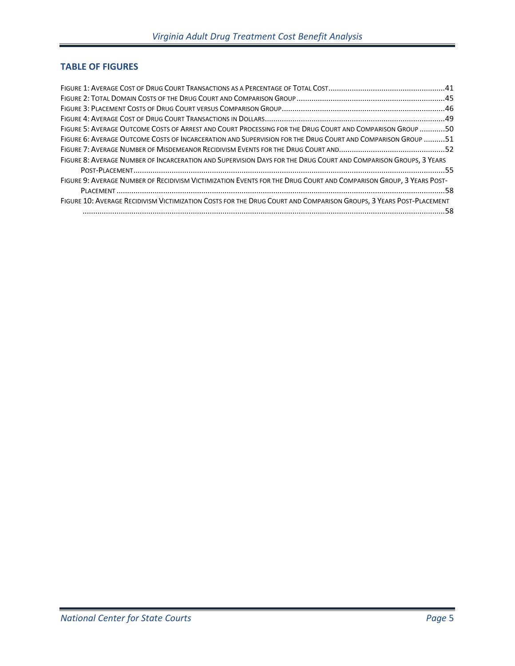## **TABLE OF FIGURES**

| FIGURE 5: AVERAGE OUTCOME COSTS OF ARREST AND COURT PROCESSING FOR THE DRUG COURT AND COMPARISON GROUP 50          |  |
|--------------------------------------------------------------------------------------------------------------------|--|
| FIGURE 6: AVERAGE OUTCOME COSTS OF INCARCERATION AND SUPERVISION FOR THE DRUG COURT AND COMPARISON GROUP 51        |  |
|                                                                                                                    |  |
| FIGURE 8: AVERAGE NUMBER OF INCARCERATION AND SUPERVISION DAYS FOR THE DRUG COURT AND COMPARISON GROUPS, 3 YEARS   |  |
|                                                                                                                    |  |
| FIGURE 9: AVERAGE NUMBER OF RECIDIVISM VICTIMIZATION EVENTS FOR THE DRUG COURT AND COMPARISON GROUP, 3 YEARS POST- |  |
|                                                                                                                    |  |
| FIGURE 10: AVERAGE RECIDIVISM VICTIMIZATION COSTS FOR THE DRUG COURT AND COMPARISON GROUPS, 3 YEARS POST-PLACEMENT |  |
|                                                                                                                    |  |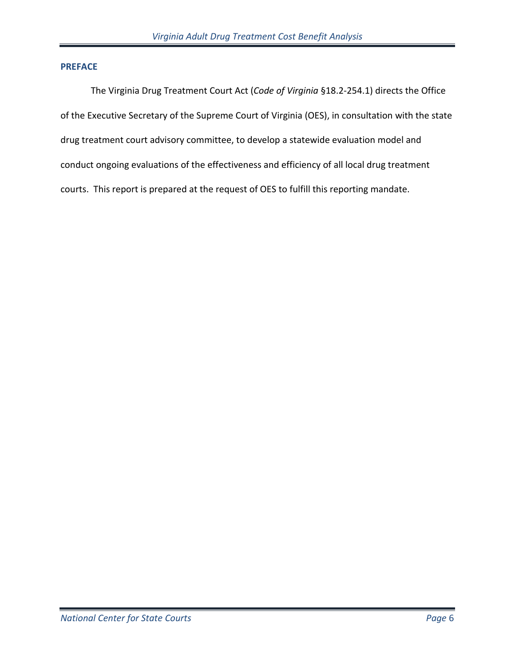#### **PREFACE**

The Virginia Drug Treatment Court Act (*Code of Virginia* §18.2-254.1) directs the Office of the Executive Secretary of the Supreme Court of Virginia (OES), in consultation with the state drug treatment court advisory committee, to develop a statewide evaluation model and conduct ongoing evaluations of the effectiveness and efficiency of all local drug treatment courts. This report is prepared at the request of OES to fulfill this reporting mandate.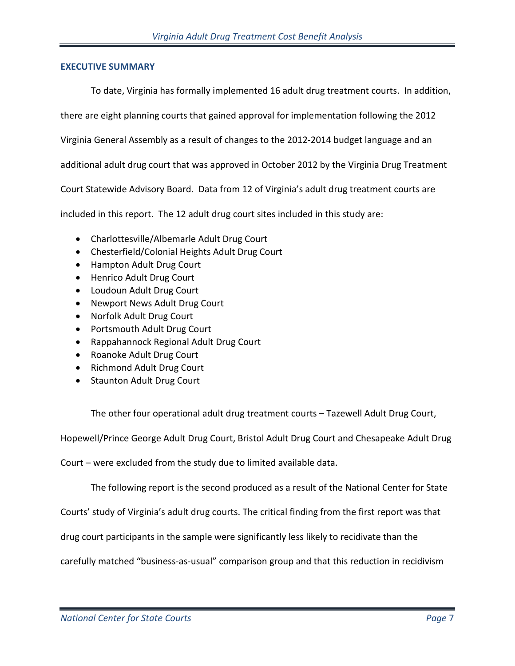#### **EXECUTIVE SUMMARY**

To date, Virginia has formally implemented 16 adult drug treatment courts. In addition,

there are eight planning courts that gained approval for implementation following the 2012

Virginia General Assembly as a result of changes to the 2012-2014 budget language and an

additional adult drug court that was approved in October 2012 by the Virginia Drug Treatment

Court Statewide Advisory Board. Data from 12 of Virginia's adult drug treatment courts are

included in this report. The 12 adult drug court sites included in this study are:

- Charlottesville/Albemarle Adult Drug Court
- Chesterfield/Colonial Heights Adult Drug Court
- Hampton Adult Drug Court
- Henrico Adult Drug Court
- Loudoun Adult Drug Court
- Newport News Adult Drug Court
- Norfolk Adult Drug Court
- Portsmouth Adult Drug Court
- Rappahannock Regional Adult Drug Court
- Roanoke Adult Drug Court
- Richmond Adult Drug Court
- Staunton Adult Drug Court

The other four operational adult drug treatment courts – Tazewell Adult Drug Court,

Hopewell/Prince George Adult Drug Court, Bristol Adult Drug Court and Chesapeake Adult Drug

Court – were excluded from the study due to limited available data.

The following report is the second produced as a result of the National Center for State

Courts' study of Virginia's adult drug courts. The critical finding from the first report was that

drug court participants in the sample were significantly less likely to recidivate than the

carefully matched "business-as-usual" comparison group and that this reduction in recidivism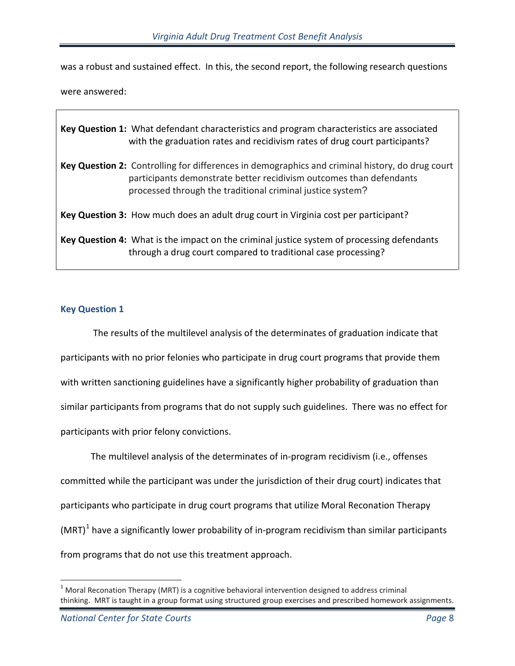was a robust and sustained effect. In this, the second report, the following research questions

were answered:

| Key Question 1: What defendant characteristics and program characteristics are associated<br>with the graduation rates and recidivism rates of drug court participants?                                                              |
|--------------------------------------------------------------------------------------------------------------------------------------------------------------------------------------------------------------------------------------|
| Key Question 2: Controlling for differences in demographics and criminal history, do drug court<br>participants demonstrate better recidivism outcomes than defendants<br>processed through the traditional criminal justice system? |
| Key Question 3: How much does an adult drug court in Virginia cost per participant?                                                                                                                                                  |
| Key Question 4: What is the impact on the criminal justice system of processing defendants<br>through a drug court compared to traditional case processing?                                                                          |

#### **Key Question 1**

The results of the multilevel analysis of the determinates of graduation indicate that participants with no prior felonies who participate in drug court programs that provide them with written sanctioning guidelines have a significantly higher probability of graduation than similar participants from programs that do not supply such guidelines. There was no effect for participants with prior felony convictions.

The multilevel analysis of the determinates of in-program recidivism (i.e., offenses committed while the participant was under the jurisdiction of their drug court) indicates that participants who participate in drug court programs that utilize Moral Reconation Therapy  $(MRT)^1$  $(MRT)^1$  have a significantly lower probability of in-program recidivism than similar participants from programs that do not use this treatment approach.

 $\overline{a}$ 

<span id="page-7-0"></span> $1$  Moral Reconation Therapy (MRT) is a cognitive behavioral intervention designed to address criminal thinking. MRT is taught in a group format using structured group exercises and prescribed homework assignments.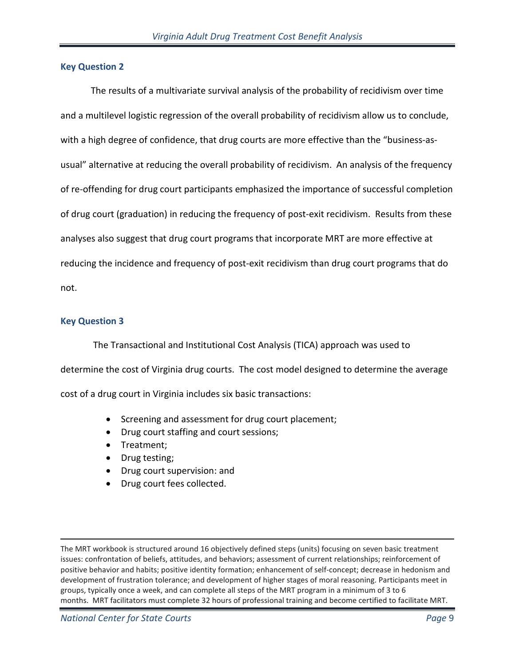#### **Key Question 2**

The results of a multivariate survival analysis of the probability of recidivism over time and a multilevel logistic regression of the overall probability of recidivism allow us to conclude, with a high degree of confidence, that drug courts are more effective than the "business-asusual" alternative at reducing the overall probability of recidivism. An analysis of the frequency of re-offending for drug court participants emphasized the importance of successful completion of drug court (graduation) in reducing the frequency of post-exit recidivism. Results from these analyses also suggest that drug court programs that incorporate MRT are more effective at reducing the incidence and frequency of post-exit recidivism than drug court programs that do not.

#### **Key Question 3**

 $\overline{a}$ 

The Transactional and Institutional Cost Analysis (TICA) approach was used to determine the cost of Virginia drug courts. The cost model designed to determine the average cost of a drug court in Virginia includes six basic transactions:

- Screening and assessment for drug court placement;
- Drug court staffing and court sessions;
- Treatment;
- Drug testing;
- Drug court supervision: and
- Drug court fees collected.

The MRT workbook is structured around 16 objectively defined steps (units) focusing on seven basic treatment issues: confrontation of beliefs, attitudes, and behaviors; assessment of current relationships; reinforcement of positive behavior and habits; positive identity formation; enhancement of self-concept; decrease in hedonism and development of frustration tolerance; and development of higher stages of moral reasoning. Participants meet in groups, typically once a week, and can complete all steps of the MRT program in a minimum of 3 to 6 months. MRT facilitators must complete 32 hours of professional training and become certified to facilitate MRT.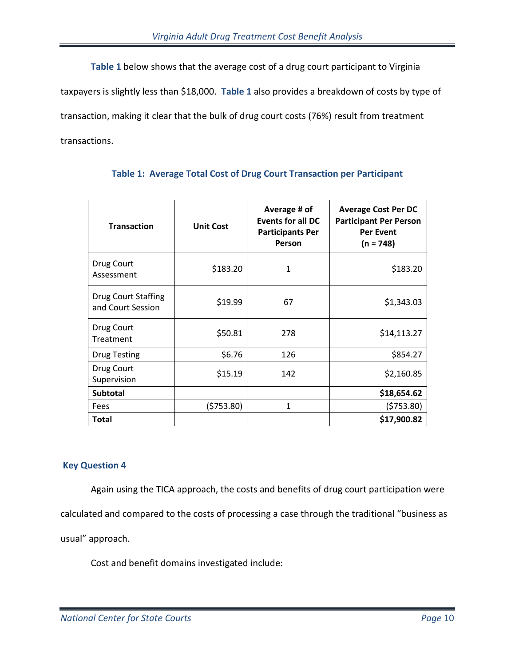**Table 1** below shows that the average cost of a drug court participant to Virginia taxpayers is slightly less than \$18,000. **Table 1** also provides a breakdown of costs by type of transaction, making it clear that the bulk of drug court costs (76%) result from treatment transactions.

| <b>Transaction</b>                              | <b>Unit Cost</b> | Average # of<br><b>Events for all DC</b><br><b>Participants Per</b><br>Person | <b>Average Cost Per DC</b><br><b>Participant Per Person</b><br><b>Per Event</b><br>$(n = 748)$ |
|-------------------------------------------------|------------------|-------------------------------------------------------------------------------|------------------------------------------------------------------------------------------------|
| Drug Court<br>Assessment                        | \$183.20         | 1                                                                             | \$183.20                                                                                       |
| <b>Drug Court Staffing</b><br>and Court Session | \$19.99<br>67    |                                                                               | \$1,343.03                                                                                     |
| Drug Court<br>Treatment                         | \$50.81          | 278                                                                           | \$14,113.27                                                                                    |
| <b>Drug Testing</b>                             | \$6.76           | 126                                                                           | \$854.27                                                                                       |
| Drug Court<br>Supervision                       | \$15.19          | 142                                                                           | \$2,160.85                                                                                     |
| <b>Subtotal</b>                                 |                  |                                                                               | \$18,654.62                                                                                    |
| Fees                                            | (5753.80)        | $\mathbf{1}$                                                                  | (5753.80)                                                                                      |
| Total                                           |                  |                                                                               | \$17,900.82                                                                                    |

## **Table 1: Average Total Cost of Drug Court Transaction per Participant**

## **Key Question 4**

 Again using the TICA approach, the costs and benefits of drug court participation were calculated and compared to the costs of processing a case through the traditional "business as usual" approach.

Cost and benefit domains investigated include: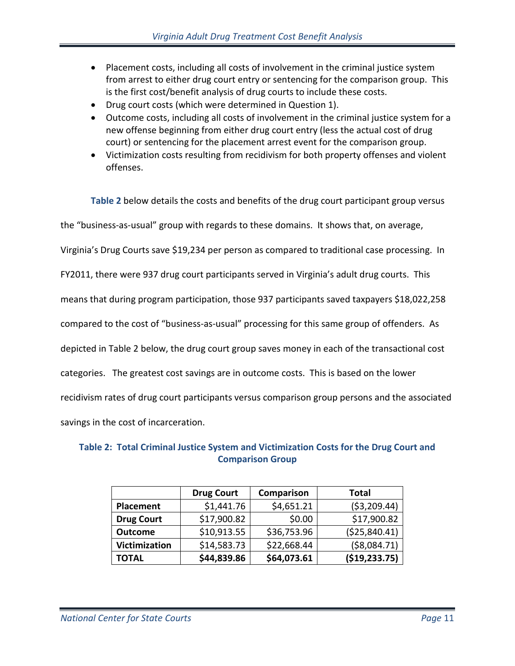- Placement costs, including all costs of involvement in the criminal justice system from arrest to either drug court entry or sentencing for the comparison group. This is the first cost/benefit analysis of drug courts to include these costs.
- Drug court costs (which were determined in Question 1).
- Outcome costs, including all costs of involvement in the criminal justice system for a new offense beginning from either drug court entry (less the actual cost of drug court) or sentencing for the placement arrest event for the comparison group.
- Victimization costs resulting from recidivism for both property offenses and violent offenses.

**Table 2** below details the costs and benefits of the drug court participant group versus the "business-as-usual" group with regards to these domains. It shows that, on average, Virginia's Drug Courts save \$19,234 per person as compared to traditional case processing. In FY2011, there were 937 drug court participants served in Virginia's adult drug courts. This means that during program participation, those 937 participants saved taxpayers \$18,022,258 compared to the cost of "business-as-usual" processing for this same group of offenders. As depicted in Table 2 below, the drug court group saves money in each of the transactional cost categories. The greatest cost savings are in outcome costs. This is based on the lower recidivism rates of drug court participants versus comparison group persons and the associated savings in the cost of incarceration.

## **Table 2: Total Criminal Justice System and Victimization Costs for the Drug Court and Comparison Group**

|                   | <b>Drug Court</b> | Comparison  | <b>Total</b>  |
|-------------------|-------------------|-------------|---------------|
| Placement         | \$1,441.76        | \$4,651.21  | ( \$3,209.44) |
| <b>Drug Court</b> | \$17,900.82       | \$0.00      | \$17,900.82   |
| <b>Outcome</b>    | \$10,913.55       | \$36,753.96 | (\$25,840.41) |
| Victimization     | \$14,583.73       | \$22,668.44 | ( \$8,084.71) |
| <b>TOTAL</b>      | \$44,839.86       | \$64,073.61 | (\$19,233.75) |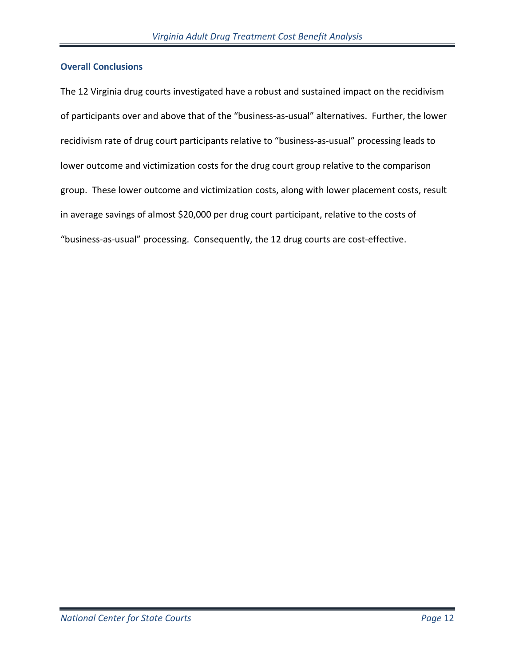#### **Overall Conclusions**

The 12 Virginia drug courts investigated have a robust and sustained impact on the recidivism of participants over and above that of the "business-as-usual" alternatives. Further, the lower recidivism rate of drug court participants relative to "business-as-usual" processing leads to lower outcome and victimization costs for the drug court group relative to the comparison group. These lower outcome and victimization costs, along with lower placement costs, result in average savings of almost \$20,000 per drug court participant, relative to the costs of "business-as-usual" processing. Consequently, the 12 drug courts are cost-effective.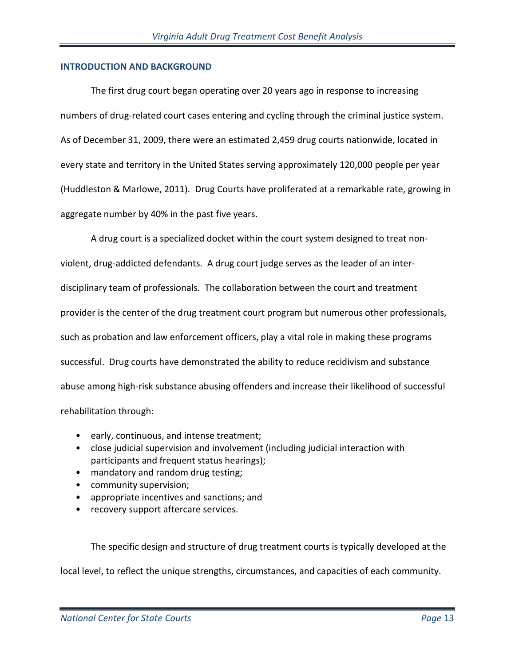#### **INTRODUCTION AND BACKGROUND**

The first drug court began operating over 20 years ago in response to increasing numbers of drug-related court cases entering and cycling through the criminal justice system. As of December 31, 2009, there were an estimated 2,459 drug courts nationwide, located in every state and territory in the United States serving approximately 120,000 people per year (Huddleston & Marlowe, 2011). Drug Courts have proliferated at a remarkable rate, growing in aggregate number by 40% in the past five years.

A drug court is a specialized docket within the court system designed to treat nonviolent, drug-addicted defendants. A drug court judge serves as the leader of an interdisciplinary team of professionals. The collaboration between the court and treatment provider is the center of the drug treatment court program but numerous other professionals, such as probation and law enforcement officers, play a vital role in making these programs successful. Drug courts have demonstrated the ability to reduce recidivism and substance abuse among high-risk substance abusing offenders and increase their likelihood of successful rehabilitation through:

- early, continuous, and intense treatment;
- close judicial supervision and involvement (including judicial interaction with participants and frequent status hearings);
- mandatory and random drug testing;
- community supervision;
- appropriate incentives and sanctions; and
- recovery support aftercare services.

The specific design and structure of drug treatment courts is typically developed at the local level, to reflect the unique strengths, circumstances, and capacities of each community.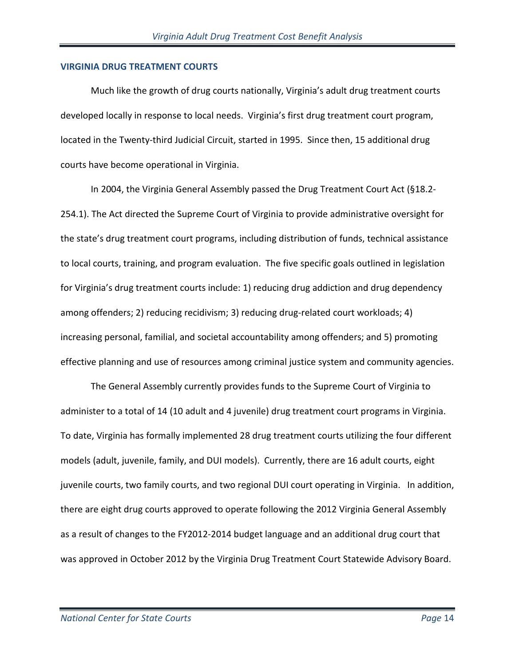#### **VIRGINIA DRUG TREATMENT COURTS**

Much like the growth of drug courts nationally, Virginia's adult drug treatment courts developed locally in response to local needs. Virginia's first drug treatment court program, located in the Twenty-third Judicial Circuit, started in 1995. Since then, 15 additional drug courts have become operational in Virginia.

In 2004, the Virginia General Assembly passed the Drug Treatment Court Act (§18.2- 254.1). The Act directed the Supreme Court of Virginia to provide administrative oversight for the state's drug treatment court programs, including distribution of funds, technical assistance to local courts, training, and program evaluation. The five specific goals outlined in legislation for Virginia's drug treatment courts include: 1) reducing drug addiction and drug dependency among offenders; 2) reducing recidivism; 3) reducing drug-related court workloads; 4) increasing personal, familial, and societal accountability among offenders; and 5) promoting effective planning and use of resources among criminal justice system and community agencies.

The General Assembly currently provides funds to the Supreme Court of Virginia to administer to a total of 14 (10 adult and 4 juvenile) drug treatment court programs in Virginia. To date, Virginia has formally implemented 28 drug treatment courts utilizing the four different models (adult, juvenile, family, and DUI models). Currently, there are 16 adult courts, eight juvenile courts, two family courts, and two regional DUI court operating in Virginia. In addition, there are eight drug courts approved to operate following the 2012 Virginia General Assembly as a result of changes to the FY2012-2014 budget language and an additional drug court that was approved in October 2012 by the Virginia Drug Treatment Court Statewide Advisory Board.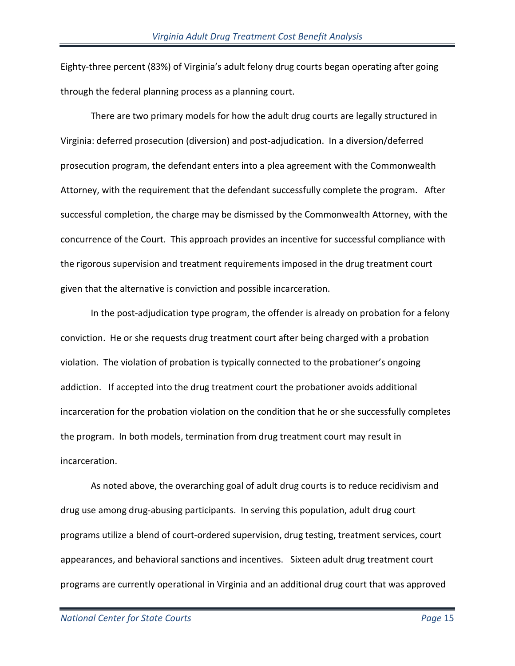Eighty-three percent (83%) of Virginia's adult felony drug courts began operating after going through the federal planning process as a planning court.

There are two primary models for how the adult drug courts are legally structured in Virginia: deferred prosecution (diversion) and post-adjudication. In a diversion/deferred prosecution program, the defendant enters into a plea agreement with the Commonwealth Attorney, with the requirement that the defendant successfully complete the program. After successful completion, the charge may be dismissed by the Commonwealth Attorney, with the concurrence of the Court. This approach provides an incentive for successful compliance with the rigorous supervision and treatment requirements imposed in the drug treatment court given that the alternative is conviction and possible incarceration.

In the post-adjudication type program, the offender is already on probation for a felony conviction. He or she requests drug treatment court after being charged with a probation violation. The violation of probation is typically connected to the probationer's ongoing addiction. If accepted into the drug treatment court the probationer avoids additional incarceration for the probation violation on the condition that he or she successfully completes the program. In both models, termination from drug treatment court may result in incarceration.

As noted above, the overarching goal of adult drug courts is to reduce recidivism and drug use among drug-abusing participants. In serving this population, adult drug court programs utilize a blend of court-ordered supervision, drug testing, treatment services, court appearances, and behavioral sanctions and incentives. Sixteen adult drug treatment court programs are currently operational in Virginia and an additional drug court that was approved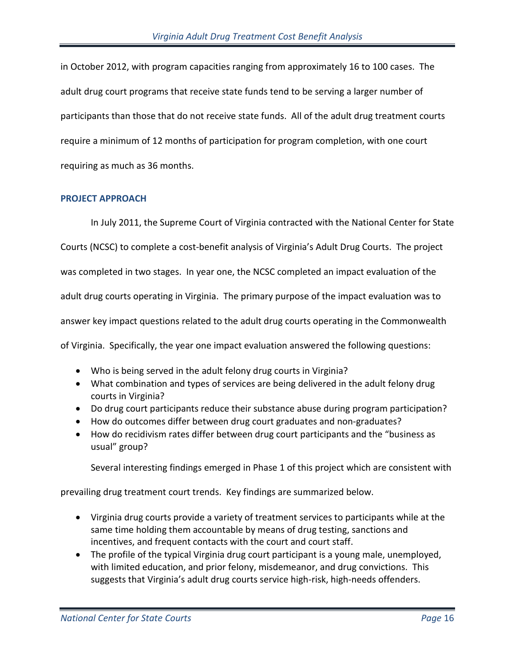in October 2012, with program capacities ranging from approximately 16 to 100 cases. The adult drug court programs that receive state funds tend to be serving a larger number of participants than those that do not receive state funds. All of the adult drug treatment courts require a minimum of 12 months of participation for program completion, with one court requiring as much as 36 months.

#### **PROJECT APPROACH**

In July 2011, the Supreme Court of Virginia contracted with the National Center for State Courts (NCSC) to complete a cost-benefit analysis of Virginia's Adult Drug Courts. The project was completed in two stages. In year one, the NCSC completed an impact evaluation of the adult drug courts operating in Virginia. The primary purpose of the impact evaluation was to answer key impact questions related to the adult drug courts operating in the Commonwealth of Virginia. Specifically, the year one impact evaluation answered the following questions:

- Who is being served in the adult felony drug courts in Virginia?
- What combination and types of services are being delivered in the adult felony drug courts in Virginia?
- Do drug court participants reduce their substance abuse during program participation?
- How do outcomes differ between drug court graduates and non-graduates?
- How do recidivism rates differ between drug court participants and the "business as usual" group?

Several interesting findings emerged in Phase 1 of this project which are consistent with

prevailing drug treatment court trends. Key findings are summarized below.

- Virginia drug courts provide a variety of treatment services to participants while at the same time holding them accountable by means of drug testing, sanctions and incentives, and frequent contacts with the court and court staff.
- The profile of the typical Virginia drug court participant is a young male, unemployed, with limited education, and prior felony, misdemeanor, and drug convictions. This suggests that Virginia's adult drug courts service high-risk, high-needs offenders.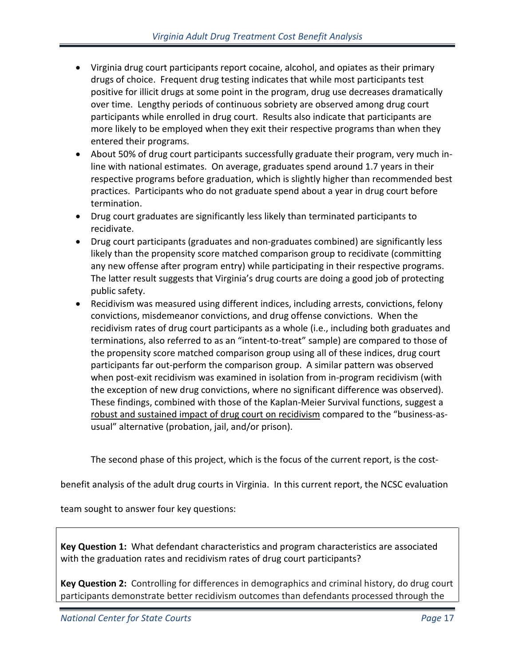- Virginia drug court participants report cocaine, alcohol, and opiates as their primary drugs of choice. Frequent drug testing indicates that while most participants test positive for illicit drugs at some point in the program, drug use decreases dramatically over time. Lengthy periods of continuous sobriety are observed among drug court participants while enrolled in drug court. Results also indicate that participants are more likely to be employed when they exit their respective programs than when they entered their programs.
- About 50% of drug court participants successfully graduate their program, very much inline with national estimates. On average, graduates spend around 1.7 years in their respective programs before graduation, which is slightly higher than recommended best practices. Participants who do not graduate spend about a year in drug court before termination.
- Drug court graduates are significantly less likely than terminated participants to recidivate.
- Drug court participants (graduates and non-graduates combined) are significantly less likely than the propensity score matched comparison group to recidivate (committing any new offense after program entry) while participating in their respective programs. The latter result suggests that Virginia's drug courts are doing a good job of protecting public safety.
- Recidivism was measured using different indices, including arrests, convictions, felony convictions, misdemeanor convictions, and drug offense convictions. When the recidivism rates of drug court participants as a whole (i.e., including both graduates and terminations, also referred to as an "intent-to-treat" sample) are compared to those of the propensity score matched comparison group using all of these indices, drug court participants far out-perform the comparison group. A similar pattern was observed when post-exit recidivism was examined in isolation from in-program recidivism (with the exception of new drug convictions, where no significant difference was observed). These findings, combined with those of the Kaplan-Meier Survival functions, suggest a robust and sustained impact of drug court on recidivism compared to the "business-asusual" alternative (probation, jail, and/or prison).

The second phase of this project, which is the focus of the current report, is the cost-

benefit analysis of the adult drug courts in Virginia. In this current report, the NCSC evaluation

team sought to answer four key questions:

**Key Question 1:** What defendant characteristics and program characteristics are associated with the graduation rates and recidivism rates of drug court participants?

**Key Question 2:** Controlling for differences in demographics and criminal history, do drug court participants demonstrate better recidivism outcomes than defendants processed through the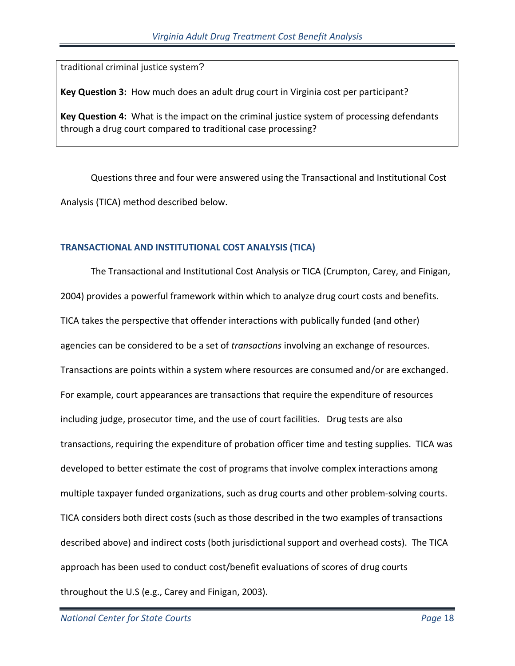traditional criminal justice system?

**Key Question 3:** How much does an adult drug court in Virginia cost per participant?

**Key Question 4:** What is the impact on the criminal justice system of processing defendants through a drug court compared to traditional case processing?

Questions three and four were answered using the Transactional and Institutional Cost Analysis (TICA) method described below.

#### **TRANSACTIONAL AND INSTITUTIONAL COST ANALYSIS (TICA)**

The Transactional and Institutional Cost Analysis or TICA (Crumpton, Carey, and Finigan, 2004) provides a powerful framework within which to analyze drug court costs and benefits. TICA takes the perspective that offender interactions with publically funded (and other) agencies can be considered to be a set of *transactions* involving an exchange of resources. Transactions are points within a system where resources are consumed and/or are exchanged. For example, court appearances are transactions that require the expenditure of resources including judge, prosecutor time, and the use of court facilities. Drug tests are also transactions, requiring the expenditure of probation officer time and testing supplies. TICA was developed to better estimate the cost of programs that involve complex interactions among multiple taxpayer funded organizations, such as drug courts and other problem-solving courts. TICA considers both direct costs (such as those described in the two examples of transactions described above) and indirect costs (both jurisdictional support and overhead costs). The TICA approach has been used to conduct cost/benefit evaluations of scores of drug courts throughout the U.S (e.g., Carey and Finigan, 2003).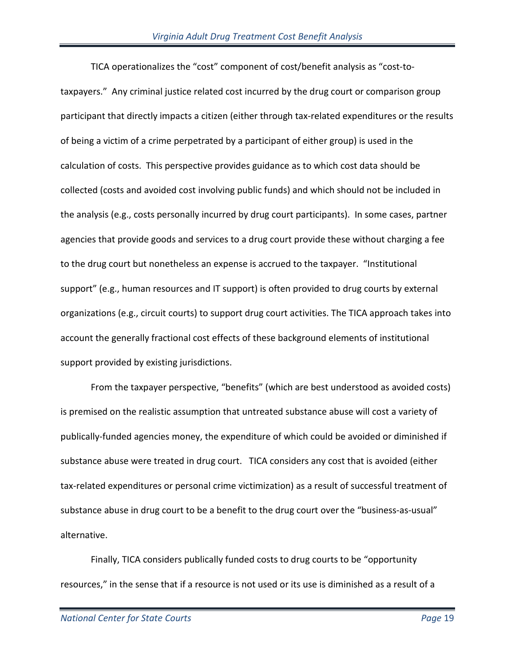TICA operationalizes the "cost" component of cost/benefit analysis as "cost-totaxpayers." Any criminal justice related cost incurred by the drug court or comparison group participant that directly impacts a citizen (either through tax-related expenditures or the results of being a victim of a crime perpetrated by a participant of either group) is used in the calculation of costs. This perspective provides guidance as to which cost data should be collected (costs and avoided cost involving public funds) and which should not be included in the analysis (e.g., costs personally incurred by drug court participants). In some cases, partner agencies that provide goods and services to a drug court provide these without charging a fee to the drug court but nonetheless an expense is accrued to the taxpayer. "Institutional support" (e.g., human resources and IT support) is often provided to drug courts by external organizations (e.g., circuit courts) to support drug court activities. The TICA approach takes into account the generally fractional cost effects of these background elements of institutional support provided by existing jurisdictions.

From the taxpayer perspective, "benefits" (which are best understood as avoided costs) is premised on the realistic assumption that untreated substance abuse will cost a variety of publically-funded agencies money, the expenditure of which could be avoided or diminished if substance abuse were treated in drug court. TICA considers any cost that is avoided (either tax-related expenditures or personal crime victimization) as a result of successful treatment of substance abuse in drug court to be a benefit to the drug court over the "business-as-usual" alternative.

Finally, TICA considers publically funded costs to drug courts to be "opportunity resources," in the sense that if a resource is not used or its use is diminished as a result of a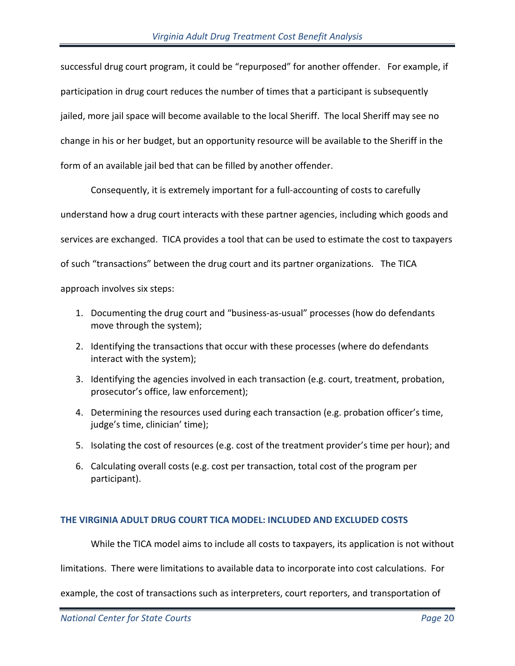successful drug court program, it could be "repurposed" for another offender. For example, if participation in drug court reduces the number of times that a participant is subsequently jailed, more jail space will become available to the local Sheriff. The local Sheriff may see no change in his or her budget, but an opportunity resource will be available to the Sheriff in the form of an available jail bed that can be filled by another offender.

Consequently, it is extremely important for a full-accounting of costs to carefully understand how a drug court interacts with these partner agencies, including which goods and services are exchanged. TICA provides a tool that can be used to estimate the cost to taxpayers of such "transactions" between the drug court and its partner organizations. The TICA approach involves six steps:

- 1. Documenting the drug court and "business-as-usual" processes (how do defendants move through the system);
- 2. Identifying the transactions that occur with these processes (where do defendants interact with the system);
- 3. Identifying the agencies involved in each transaction (e.g. court, treatment, probation, prosecutor's office, law enforcement);
- 4. Determining the resources used during each transaction (e.g. probation officer's time, judge's time, clinician' time);
- 5. Isolating the cost of resources (e.g. cost of the treatment provider's time per hour); and
- 6. Calculating overall costs (e.g. cost per transaction, total cost of the program per participant).

## **THE VIRGINIA ADULT DRUG COURT TICA MODEL: INCLUDED AND EXCLUDED COSTS**

While the TICA model aims to include all costs to taxpayers, its application is not without

limitations. There were limitations to available data to incorporate into cost calculations. For

example, the cost of transactions such as interpreters, court reporters, and transportation of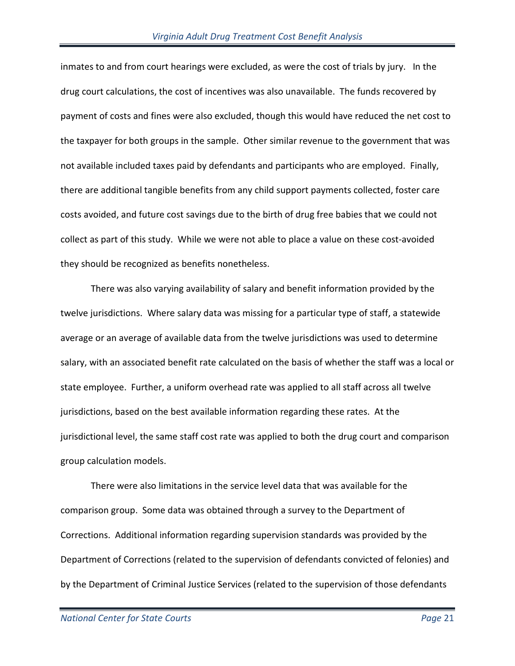inmates to and from court hearings were excluded, as were the cost of trials by jury. In the drug court calculations, the cost of incentives was also unavailable. The funds recovered by payment of costs and fines were also excluded, though this would have reduced the net cost to the taxpayer for both groups in the sample. Other similar revenue to the government that was not available included taxes paid by defendants and participants who are employed. Finally, there are additional tangible benefits from any child support payments collected, foster care costs avoided, and future cost savings due to the birth of drug free babies that we could not collect as part of this study. While we were not able to place a value on these cost-avoided they should be recognized as benefits nonetheless.

 There was also varying availability of salary and benefit information provided by the twelve jurisdictions. Where salary data was missing for a particular type of staff, a statewide average or an average of available data from the twelve jurisdictions was used to determine salary, with an associated benefit rate calculated on the basis of whether the staff was a local or state employee. Further, a uniform overhead rate was applied to all staff across all twelve jurisdictions, based on the best available information regarding these rates. At the jurisdictional level, the same staff cost rate was applied to both the drug court and comparison group calculation models.

There were also limitations in the service level data that was available for the comparison group. Some data was obtained through a survey to the Department of Corrections. Additional information regarding supervision standards was provided by the Department of Corrections (related to the supervision of defendants convicted of felonies) and by the Department of Criminal Justice Services (related to the supervision of those defendants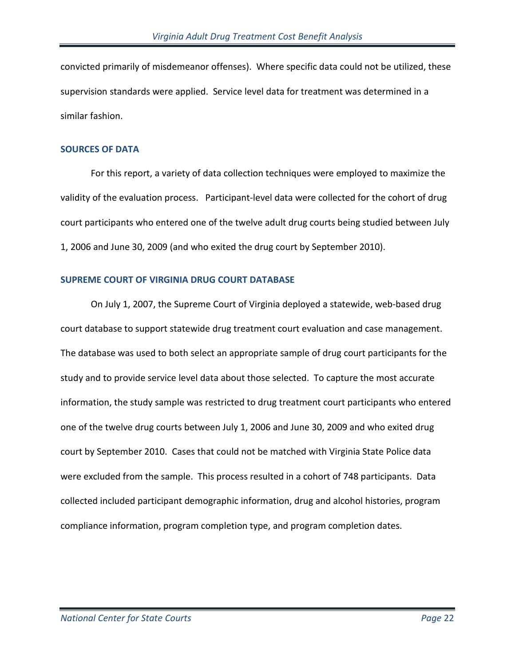convicted primarily of misdemeanor offenses). Where specific data could not be utilized, these supervision standards were applied. Service level data for treatment was determined in a similar fashion.

#### **SOURCES OF DATA**

For this report, a variety of data collection techniques were employed to maximize the validity of the evaluation process. Participant-level data were collected for the cohort of drug court participants who entered one of the twelve adult drug courts being studied between July 1, 2006 and June 30, 2009 (and who exited the drug court by September 2010).

## **SUPREME COURT OF VIRGINIA DRUG COURT DATABASE**

On July 1, 2007, the Supreme Court of Virginia deployed a statewide, web-based drug court database to support statewide drug treatment court evaluation and case management. The database was used to both select an appropriate sample of drug court participants for the study and to provide service level data about those selected. To capture the most accurate information, the study sample was restricted to drug treatment court participants who entered one of the twelve drug courts between July 1, 2006 and June 30, 2009 and who exited drug court by September 2010. Cases that could not be matched with Virginia State Police data were excluded from the sample. This process resulted in a cohort of 748 participants. Data collected included participant demographic information, drug and alcohol histories, program compliance information, program completion type, and program completion dates.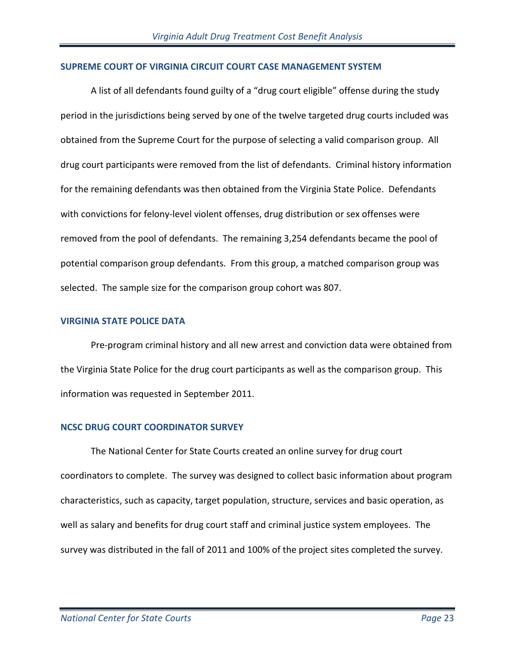#### **SUPREME COURT OF VIRGINIA CIRCUIT COURT CASE MANAGEMENT SYSTEM**

A list of all defendants found guilty of a "drug court eligible" offense during the study period in the jurisdictions being served by one of the twelve targeted drug courts included was obtained from the Supreme Court for the purpose of selecting a valid comparison group. All drug court participants were removed from the list of defendants. Criminal history information for the remaining defendants was then obtained from the Virginia State Police. Defendants with convictions for felony-level violent offenses, drug distribution or sex offenses were removed from the pool of defendants. The remaining 3,254 defendants became the pool of potential comparison group defendants. From this group, a matched comparison group was selected. The sample size for the comparison group cohort was 807.

#### **VIRGINIA STATE POLICE DATA**

Pre-program criminal history and all new arrest and conviction data were obtained from the Virginia State Police for the drug court participants as well as the comparison group. This information was requested in September 2011.

## **NCSC DRUG COURT COORDINATOR SURVEY**

The National Center for State Courts created an online survey for drug court coordinators to complete. The survey was designed to collect basic information about program characteristics, such as capacity, target population, structure, services and basic operation, as well as salary and benefits for drug court staff and criminal justice system employees. The survey was distributed in the fall of 2011 and 100% of the project sites completed the survey.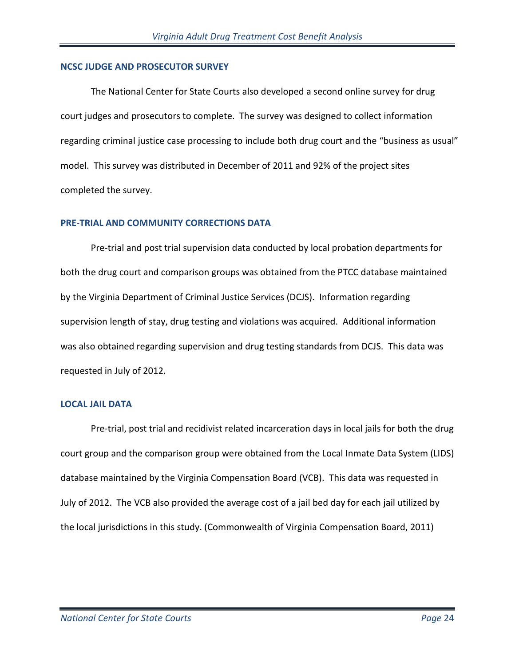#### **NCSC JUDGE AND PROSECUTOR SURVEY**

The National Center for State Courts also developed a second online survey for drug court judges and prosecutors to complete. The survey was designed to collect information regarding criminal justice case processing to include both drug court and the "business as usual" model. This survey was distributed in December of 2011 and 92% of the project sites completed the survey.

#### **PRE-TRIAL AND COMMUNITY CORRECTIONS DATA**

Pre-trial and post trial supervision data conducted by local probation departments for both the drug court and comparison groups was obtained from the PTCC database maintained by the Virginia Department of Criminal Justice Services (DCJS). Information regarding supervision length of stay, drug testing and violations was acquired. Additional information was also obtained regarding supervision and drug testing standards from DCJS. This data was requested in July of 2012.

#### **LOCAL JAIL DATA**

Pre-trial, post trial and recidivist related incarceration days in local jails for both the drug court group and the comparison group were obtained from the Local Inmate Data System (LIDS) database maintained by the Virginia Compensation Board (VCB). This data was requested in July of 2012. The VCB also provided the average cost of a jail bed day for each jail utilized by the local jurisdictions in this study. (Commonwealth of Virginia Compensation Board, 2011)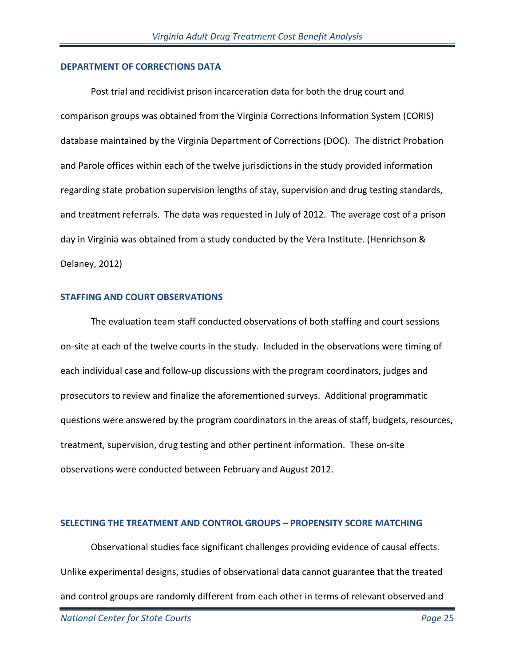#### **DEPARTMENT OF CORRECTIONS DATA**

Post trial and recidivist prison incarceration data for both the drug court and comparison groups was obtained from the Virginia Corrections Information System (CORIS) database maintained by the Virginia Department of Corrections (DOC). The district Probation and Parole offices within each of the twelve jurisdictions in the study provided information regarding state probation supervision lengths of stay, supervision and drug testing standards, and treatment referrals. The data was requested in July of 2012. The average cost of a prison day in Virginia was obtained from a study conducted by the Vera Institute. (Henrichson & Delaney, 2012)

#### **STAFFING AND COURT OBSERVATIONS**

The evaluation team staff conducted observations of both staffing and court sessions on-site at each of the twelve courts in the study. Included in the observations were timing of each individual case and follow-up discussions with the program coordinators, judges and prosecutors to review and finalize the aforementioned surveys. Additional programmatic questions were answered by the program coordinators in the areas of staff, budgets, resources, treatment, supervision, drug testing and other pertinent information. These on-site observations were conducted between February and August 2012.

#### **SELECTING THE TREATMENT AND CONTROL GROUPS – PROPENSITY SCORE MATCHING**

Observational studies face significant challenges providing evidence of causal effects. Unlike experimental designs, studies of observational data cannot guarantee that the treated and control groups are randomly different from each other in terms of relevant observed and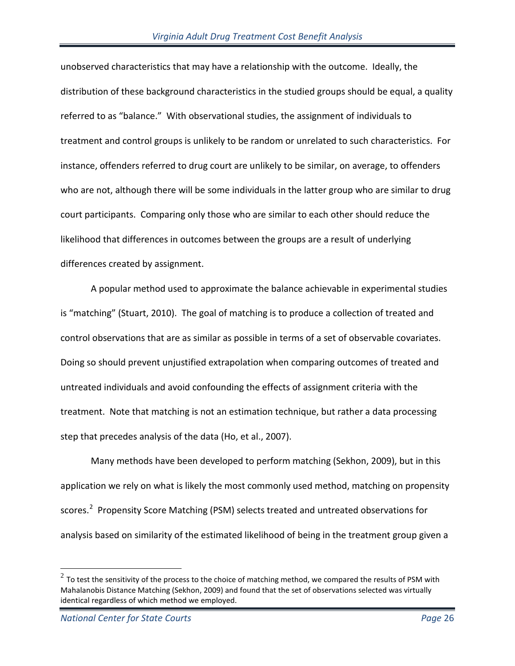unobserved characteristics that may have a relationship with the outcome. Ideally, the distribution of these background characteristics in the studied groups should be equal, a quality referred to as "balance." With observational studies, the assignment of individuals to treatment and control groups is unlikely to be random or unrelated to such characteristics. For instance, offenders referred to drug court are unlikely to be similar, on average, to offenders who are not, although there will be some individuals in the latter group who are similar to drug court participants. Comparing only those who are similar to each other should reduce the likelihood that differences in outcomes between the groups are a result of underlying differences created by assignment.

A popular method used to approximate the balance achievable in experimental studies is "matching" (Stuart, 2010). The goal of matching is to produce a collection of treated and control observations that are as similar as possible in terms of a set of observable covariates. Doing so should prevent unjustified extrapolation when comparing outcomes of treated and untreated individuals and avoid confounding the effects of assignment criteria with the treatment. Note that matching is not an estimation technique, but rather a data processing step that precedes analysis of the data (Ho, et al., 2007).

Many methods have been developed to perform matching (Sekhon, 2009), but in this application we rely on what is likely the most commonly used method, matching on propensity scores.<sup>[2](#page-25-0)</sup> Propensity Score Matching (PSM) selects treated and untreated observations for analysis based on similarity of the estimated likelihood of being in the treatment group given a

 $\overline{a}$ 

<span id="page-25-0"></span> $^2$  To test the sensitivity of the process to the choice of matching method, we compared the results of PSM with Mahalanobis Distance Matching (Sekhon, 2009) and found that the set of observations selected was virtually identical regardless of which method we employed.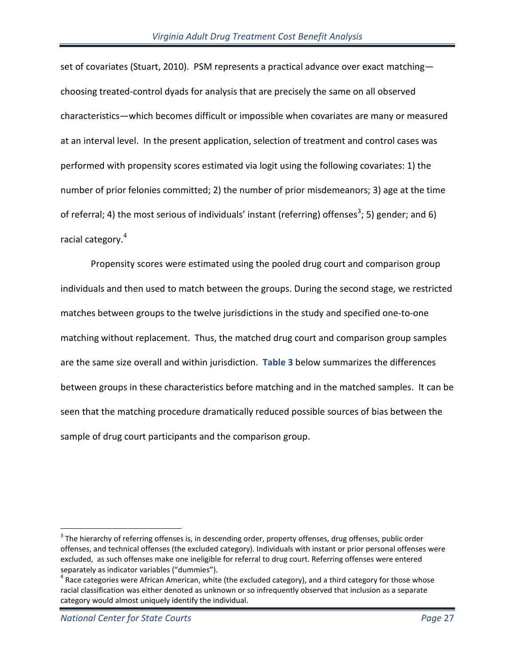set of covariates (Stuart, 2010). PSM represents a practical advance over exact matching choosing treated-control dyads for analysis that are precisely the same on all observed characteristics—which becomes difficult or impossible when covariates are many or measured at an interval level. In the present application, selection of treatment and control cases was performed with propensity scores estimated via logit using the following covariates: 1) the number of prior felonies committed; 2) the number of prior misdemeanors; 3) age at the time of referral; 4) the most serious of individuals' instant (referring) offenses<sup>[3](#page-26-0)</sup>; 5) gender; and 6) racial category.[4](#page-26-1)

Propensity scores were estimated using the pooled drug court and comparison group individuals and then used to match between the groups. During the second stage, we restricted matches between groups to the twelve jurisdictions in the study and specified one-to-one matching without replacement. Thus, the matched drug court and comparison group samples are the same size overall and within jurisdiction. **[Table 3](#page-27-0)** below summarizes the differences between groups in these characteristics before matching and in the matched samples. It can be seen that the matching procedure dramatically reduced possible sources of bias between the sample of drug court participants and the comparison group.

 $\overline{a}$ 

<span id="page-26-0"></span><sup>&</sup>lt;sup>3</sup> The hierarchy of referring offenses is, in descending order, property offenses, drug offenses, public order offenses, and technical offenses (the excluded category). Individuals with instant or prior personal offenses were excluded, as such offenses make one ineligible for referral to drug court. Referring offenses were entered

<span id="page-26-1"></span>separately as indicator variables ("dummies").<br><sup>4</sup> Race categories were African American, white (the excluded category), and a third category for those whose racial classification was either denoted as unknown or so infrequently observed that inclusion as a separate category would almost uniquely identify the individual.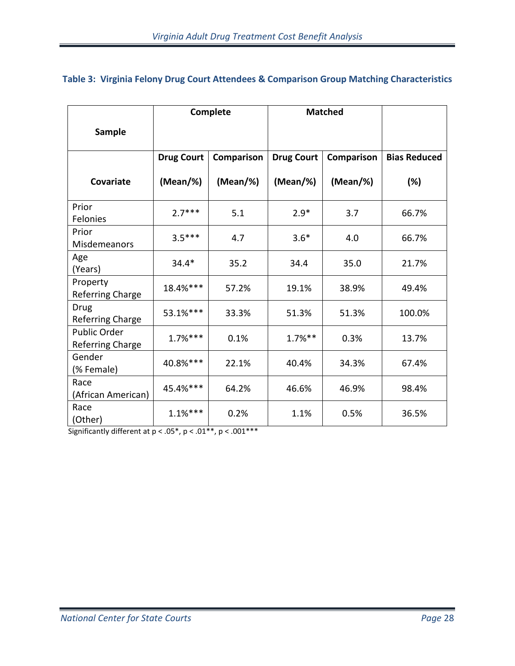<span id="page-27-0"></span>

|  |  |  |  |  |  |  |  | Table 3: Virginia Felony Drug Court Attendees & Comparison Group Matching Characteristics |
|--|--|--|--|--|--|--|--|-------------------------------------------------------------------------------------------|
|--|--|--|--|--|--|--|--|-------------------------------------------------------------------------------------------|

|                                         | Complete          |             | <b>Matched</b>    |             |                     |
|-----------------------------------------|-------------------|-------------|-------------------|-------------|---------------------|
| <b>Sample</b>                           |                   |             |                   |             |                     |
|                                         | <b>Drug Court</b> | Comparison  | <b>Drug Court</b> | Comparison  | <b>Bias Reduced</b> |
| <b>Covariate</b>                        | (Mean/%)          | $(Mean/\%)$ | $(Mean/\%)$       | $(Mean/\%)$ | (%)                 |
| Prior<br>Felonies                       | $2.7***$          | 5.1         | $2.9*$            | 3.7         | 66.7%               |
| Prior<br>Misdemeanors                   | $3.5***$          | 4.7         | $3.6*$            | 4.0         | 66.7%               |
| Age<br>(Years)                          | $34.4*$           | 35.2        | 34.4              | 35.0        | 21.7%               |
| Property<br><b>Referring Charge</b>     | 18.4%***          | 57.2%       | 19.1%             | 38.9%       | 49.4%               |
| Drug<br>Referring Charge                | 53.1%***          | 33.3%       | 51.3%             | 51.3%       | 100.0%              |
| Public Order<br><b>Referring Charge</b> | $1.7%***$         | 0.1%        | $1.7\%$ **        | 0.3%        | 13.7%               |
| Gender<br>(% Female)                    | 40.8%***          | 22.1%       | 40.4%             | 34.3%       | 67.4%               |
| Race<br>(African American)              | 45.4%***          | 64.2%       | 46.6%             | 46.9%       | 98.4%               |
| Race<br>(Other)                         | $1.1%***$         | 0.2%        | 1.1%              | 0.5%        | 36.5%               |

Significantly different at  $p < .05^*$ ,  $p < .01^{**}$ ,  $p < .001^{***}$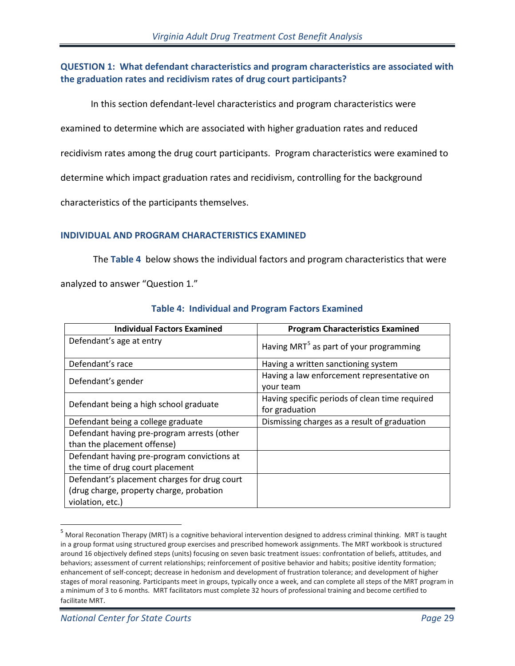## **QUESTION 1: What defendant characteristics and program characteristics are associated with the graduation rates and recidivism rates of drug court participants?**

In this section defendant-level characteristics and program characteristics were

examined to determine which are associated with higher graduation rates and reduced

recidivism rates among the drug court participants. Program characteristics were examined to

determine which impact graduation rates and recidivism, controlling for the background

characteristics of the participants themselves.

#### **INDIVIDUAL AND PROGRAM CHARACTERISTICS EXAMINED**

The **[Table 4](#page-28-0)** below shows the individual factors and program characteristics that were

analyzed to answer "Question 1."

<span id="page-28-0"></span>

| <b>Individual Factors Examined</b>                                                                           | <b>Program Characteristics Examined</b>                          |
|--------------------------------------------------------------------------------------------------------------|------------------------------------------------------------------|
| Defendant's age at entry                                                                                     | Having MRT <sup>5</sup> as part of your programming              |
| Defendant's race                                                                                             | Having a written sanctioning system                              |
| Defendant's gender                                                                                           | Having a law enforcement representative on<br>your team          |
| Defendant being a high school graduate                                                                       | Having specific periods of clean time required<br>for graduation |
| Defendant being a college graduate                                                                           | Dismissing charges as a result of graduation                     |
| Defendant having pre-program arrests (other<br>than the placement offense)                                   |                                                                  |
| Defendant having pre-program convictions at<br>the time of drug court placement                              |                                                                  |
| Defendant's placement charges for drug court<br>(drug charge, property charge, probation<br>violation, etc.) |                                                                  |

#### **Table 4: Individual and Program Factors Examined**

 $\overline{a}$ 

<span id="page-28-1"></span><sup>&</sup>lt;sup>5</sup> Moral Reconation Therapy (MRT) is a cognitive behavioral intervention designed to address criminal thinking. MRT is taught in a group format using structured group exercises and prescribed homework assignments. The MRT workbook is structured around 16 objectively defined steps (units) focusing on seven basic treatment issues: confrontation of beliefs, attitudes, and behaviors; assessment of current relationships; reinforcement of positive behavior and habits; positive identity formation; enhancement of self-concept; decrease in hedonism and development of frustration tolerance; and development of higher stages of moral reasoning. Participants meet in groups, typically once a week, and can complete all steps of the MRT program in a minimum of 3 to 6 months. MRT facilitators must complete 32 hours of professional training and become certified to facilitate MRT.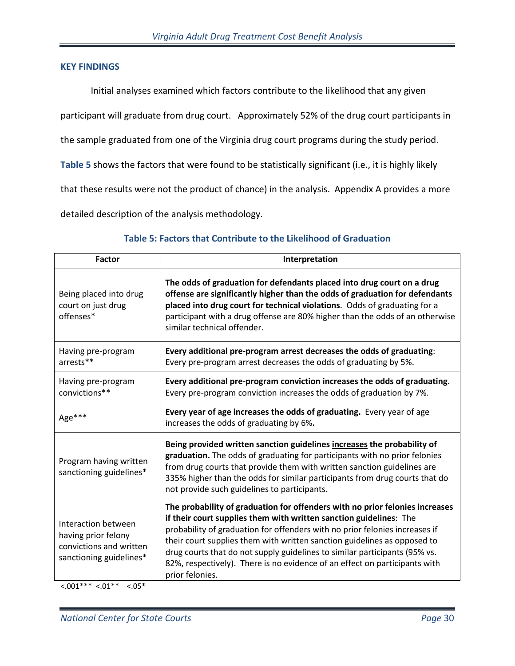#### **KEY FINDINGS**

Initial analyses examined which factors contribute to the likelihood that any given

participant will graduate from drug court. Approximately 52% of the drug court participants in

the sample graduated from one of the Virginia drug court programs during the study period.

**Table 5** shows the factors that were found to be statistically significant (i.e., it is highly likely

that these results were not the product of chance) in the analysis. Appendix A provides a more

detailed description of the analysis methodology.

| <b>Factor</b>                                                                                    | Interpretation                                                                                                                                                                                                                                                                                                                                                                                                                                                                               |  |  |
|--------------------------------------------------------------------------------------------------|----------------------------------------------------------------------------------------------------------------------------------------------------------------------------------------------------------------------------------------------------------------------------------------------------------------------------------------------------------------------------------------------------------------------------------------------------------------------------------------------|--|--|
| Being placed into drug<br>court on just drug<br>offenses*                                        | The odds of graduation for defendants placed into drug court on a drug<br>offense are significantly higher than the odds of graduation for defendants<br>placed into drug court for technical violations. Odds of graduating for a<br>participant with a drug offense are 80% higher than the odds of an otherwise<br>similar technical offender.                                                                                                                                            |  |  |
| Having pre-program<br>arrests**                                                                  | Every additional pre-program arrest decreases the odds of graduating:<br>Every pre-program arrest decreases the odds of graduating by 5%.                                                                                                                                                                                                                                                                                                                                                    |  |  |
| Having pre-program<br>convictions**                                                              | Every additional pre-program conviction increases the odds of graduating.<br>Every pre-program conviction increases the odds of graduation by 7%.                                                                                                                                                                                                                                                                                                                                            |  |  |
| Age***                                                                                           | Every year of age increases the odds of graduating. Every year of age<br>increases the odds of graduating by 6%.                                                                                                                                                                                                                                                                                                                                                                             |  |  |
| Program having written<br>sanctioning guidelines*                                                | Being provided written sanction guidelines increases the probability of<br>graduation. The odds of graduating for participants with no prior felonies<br>from drug courts that provide them with written sanction guidelines are<br>335% higher than the odds for similar participants from drug courts that do<br>not provide such guidelines to participants.                                                                                                                              |  |  |
| Interaction between<br>having prior felony<br>convictions and written<br>sanctioning guidelines* | The probability of graduation for offenders with no prior felonies increases<br>if their court supplies them with written sanction guidelines: The<br>probability of graduation for offenders with no prior felonies increases if<br>their court supplies them with written sanction guidelines as opposed to<br>drug courts that do not supply guidelines to similar participants (95% vs.<br>82%, respectively). There is no evidence of an effect on participants with<br>prior felonies. |  |  |

#### **Table 5: Factors that Contribute to the Likelihood of Graduation**

 $< .001*** < .01*** < .05*$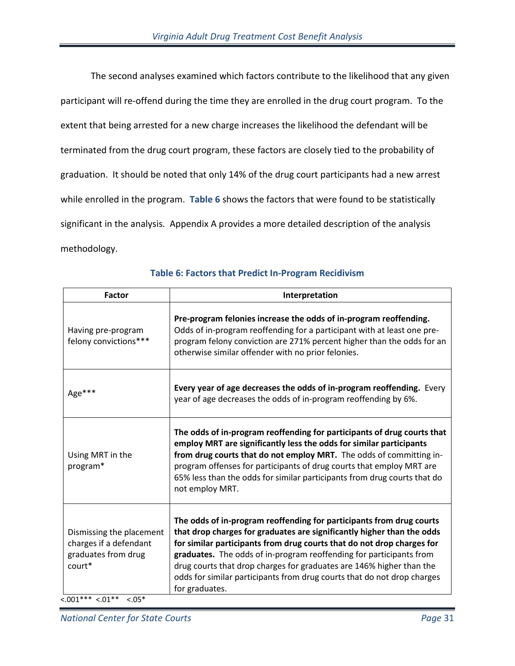The second analyses examined which factors contribute to the likelihood that any given participant will re-offend during the time they are enrolled in the drug court program. To the extent that being arrested for a new charge increases the likelihood the defendant will be terminated from the drug court program, these factors are closely tied to the probability of graduation. It should be noted that only 14% of the drug court participants had a new arrest while enrolled in the program. **Table 6** shows the factors that were found to be statistically significant in the analysis. Appendix A provides a more detailed description of the analysis methodology.

| <b>Factor</b>                                                                                                       | Interpretation                                                                                                                                                                                                                                                                                                                                                                                                                                                       |
|---------------------------------------------------------------------------------------------------------------------|----------------------------------------------------------------------------------------------------------------------------------------------------------------------------------------------------------------------------------------------------------------------------------------------------------------------------------------------------------------------------------------------------------------------------------------------------------------------|
| Having pre-program<br>felony convictions***                                                                         | Pre-program felonies increase the odds of in-program reoffending.<br>Odds of in-program reoffending for a participant with at least one pre-<br>program felony conviction are 271% percent higher than the odds for an<br>otherwise similar offender with no prior felonies.                                                                                                                                                                                         |
| Age***                                                                                                              | Every year of age decreases the odds of in-program reoffending. Every<br>year of age decreases the odds of in-program reoffending by 6%.                                                                                                                                                                                                                                                                                                                             |
| Using MRT in the<br>program*                                                                                        | The odds of in-program reoffending for participants of drug courts that<br>employ MRT are significantly less the odds for similar participants<br>from drug courts that do not employ MRT. The odds of committing in-<br>program offenses for participants of drug courts that employ MRT are<br>65% less than the odds for similar participants from drug courts that do<br>not employ MRT.                                                                         |
| Dismissing the placement<br>charges if a defendant<br>graduates from drug<br>court*<br>$<.001***<.01**$<br>$< .05*$ | The odds of in-program reoffending for participants from drug courts<br>that drop charges for graduates are significantly higher than the odds<br>for similar participants from drug courts that do not drop charges for<br>graduates. The odds of in-program reoffending for participants from<br>drug courts that drop charges for graduates are 146% higher than the<br>odds for similar participants from drug courts that do not drop charges<br>for graduates. |

## **Table 6: Factors that Predict In-Program Recidivism**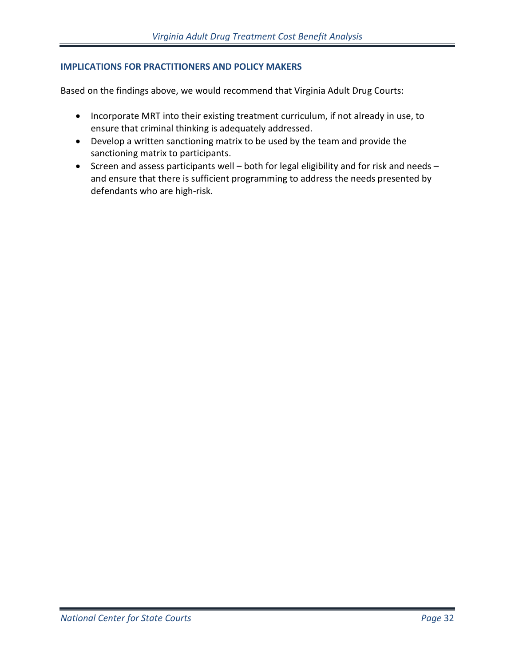#### **IMPLICATIONS FOR PRACTITIONERS AND POLICY MAKERS**

Based on the findings above, we would recommend that Virginia Adult Drug Courts:

- Incorporate MRT into their existing treatment curriculum, if not already in use, to ensure that criminal thinking is adequately addressed.
- Develop a written sanctioning matrix to be used by the team and provide the sanctioning matrix to participants.
- Screen and assess participants well both for legal eligibility and for risk and needs and ensure that there is sufficient programming to address the needs presented by defendants who are high-risk.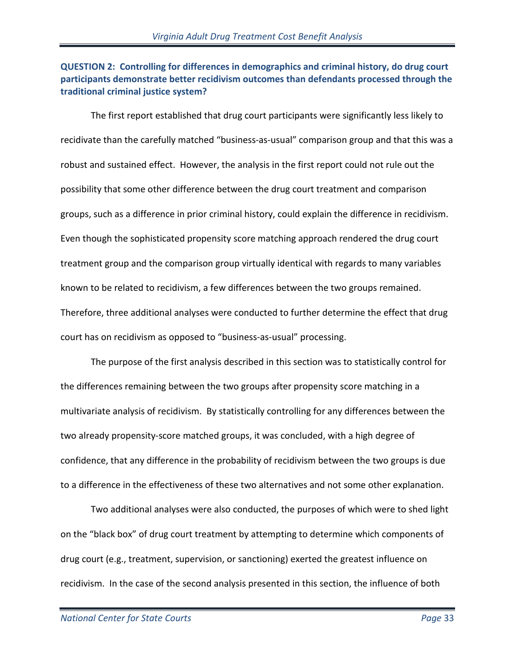## **QUESTION 2: Controlling for differences in demographics and criminal history, do drug court participants demonstrate better recidivism outcomes than defendants processed through the traditional criminal justice system?**

The first report established that drug court participants were significantly less likely to recidivate than the carefully matched "business-as-usual" comparison group and that this was a robust and sustained effect. However, the analysis in the first report could not rule out the possibility that some other difference between the drug court treatment and comparison groups, such as a difference in prior criminal history, could explain the difference in recidivism. Even though the sophisticated propensity score matching approach rendered the drug court treatment group and the comparison group virtually identical with regards to many variables known to be related to recidivism, a few differences between the two groups remained. Therefore, three additional analyses were conducted to further determine the effect that drug court has on recidivism as opposed to "business-as-usual" processing.

The purpose of the first analysis described in this section was to statistically control for the differences remaining between the two groups after propensity score matching in a multivariate analysis of recidivism. By statistically controlling for any differences between the two already propensity-score matched groups, it was concluded, with a high degree of confidence, that any difference in the probability of recidivism between the two groups is due to a difference in the effectiveness of these two alternatives and not some other explanation.

Two additional analyses were also conducted, the purposes of which were to shed light on the "black box" of drug court treatment by attempting to determine which components of drug court (e.g., treatment, supervision, or sanctioning) exerted the greatest influence on recidivism. In the case of the second analysis presented in this section, the influence of both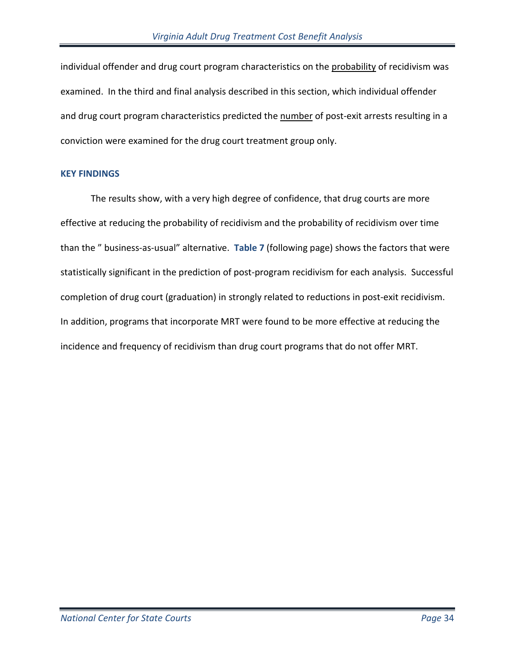individual offender and drug court program characteristics on the probability of recidivism was examined. In the third and final analysis described in this section, which individual offender and drug court program characteristics predicted the number of post-exit arrests resulting in a conviction were examined for the drug court treatment group only.

#### **KEY FINDINGS**

The results show, with a very high degree of confidence, that drug courts are more effective at reducing the probability of recidivism and the probability of recidivism over time than the " business-as-usual" alternative. **Table 7** (following page) shows the factors that were statistically significant in the prediction of post-program recidivism for each analysis. Successful completion of drug court (graduation) in strongly related to reductions in post-exit recidivism. In addition, programs that incorporate MRT were found to be more effective at reducing the incidence and frequency of recidivism than drug court programs that do not offer MRT.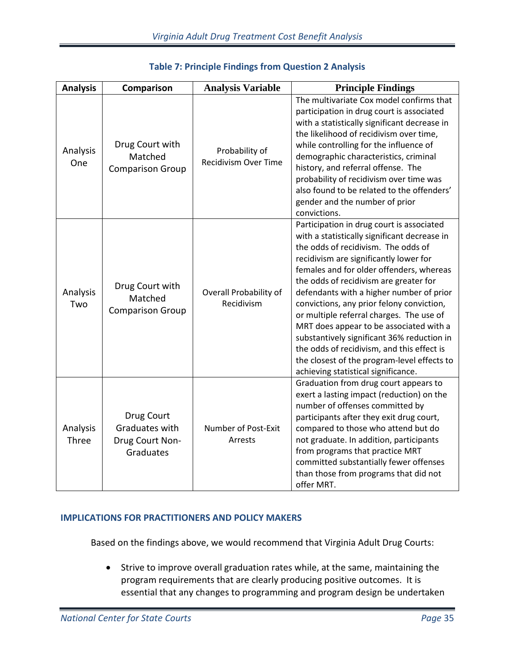| <b>Analysis</b>   | Comparison                                                   | <b>Analysis Variable</b>                      | <b>Principle Findings</b>                                                                                                                                                                                                                                                                                                                                                                                                                                                                                                                                                                                                          |
|-------------------|--------------------------------------------------------------|-----------------------------------------------|------------------------------------------------------------------------------------------------------------------------------------------------------------------------------------------------------------------------------------------------------------------------------------------------------------------------------------------------------------------------------------------------------------------------------------------------------------------------------------------------------------------------------------------------------------------------------------------------------------------------------------|
| Analysis<br>One   | Drug Court with<br>Matched<br><b>Comparison Group</b>        | Probability of<br><b>Recidivism Over Time</b> | The multivariate Cox model confirms that<br>participation in drug court is associated<br>with a statistically significant decrease in<br>the likelihood of recidivism over time,<br>while controlling for the influence of<br>demographic characteristics, criminal<br>history, and referral offense. The<br>probability of recidivism over time was<br>also found to be related to the offenders'<br>gender and the number of prior<br>convictions.                                                                                                                                                                               |
| Analysis<br>Two   | Drug Court with<br>Matched<br><b>Comparison Group</b>        | Overall Probability of<br>Recidivism          | Participation in drug court is associated<br>with a statistically significant decrease in<br>the odds of recidivism. The odds of<br>recidivism are significantly lower for<br>females and for older offenders, whereas<br>the odds of recidivism are greater for<br>defendants with a higher number of prior<br>convictions, any prior felony conviction,<br>or multiple referral charges. The use of<br>MRT does appear to be associated with a<br>substantively significant 36% reduction in<br>the odds of recidivism, and this effect is<br>the closest of the program-level effects to<br>achieving statistical significance. |
| Analysis<br>Three | Drug Court<br>Graduates with<br>Drug Court Non-<br>Graduates | Number of Post-Exit<br>Arrests                | Graduation from drug court appears to<br>exert a lasting impact (reduction) on the<br>number of offenses committed by<br>participants after they exit drug court,<br>compared to those who attend but do<br>not graduate. In addition, participants<br>from programs that practice MRT<br>committed substantially fewer offenses<br>than those from programs that did not<br>offer MRT.                                                                                                                                                                                                                                            |

## **Table 7: Principle Findings from Question 2 Analysis**

## **IMPLICATIONS FOR PRACTITIONERS AND POLICY MAKERS**

Based on the findings above, we would recommend that Virginia Adult Drug Courts:

• Strive to improve overall graduation rates while, at the same, maintaining the program requirements that are clearly producing positive outcomes. It is essential that any changes to programming and program design be undertaken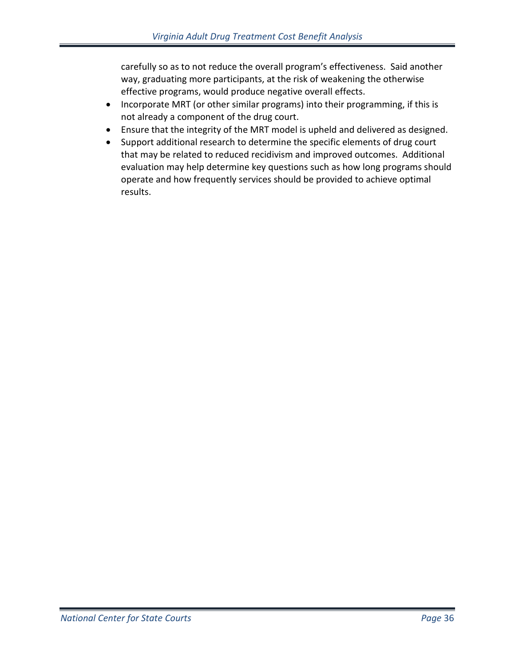carefully so as to not reduce the overall program's effectiveness. Said another way, graduating more participants, at the risk of weakening the otherwise effective programs, would produce negative overall effects.

- Incorporate MRT (or other similar programs) into their programming, if this is not already a component of the drug court.
- Ensure that the integrity of the MRT model is upheld and delivered as designed.
- Support additional research to determine the specific elements of drug court that may be related to reduced recidivism and improved outcomes. Additional evaluation may help determine key questions such as how long programs should operate and how frequently services should be provided to achieve optimal results.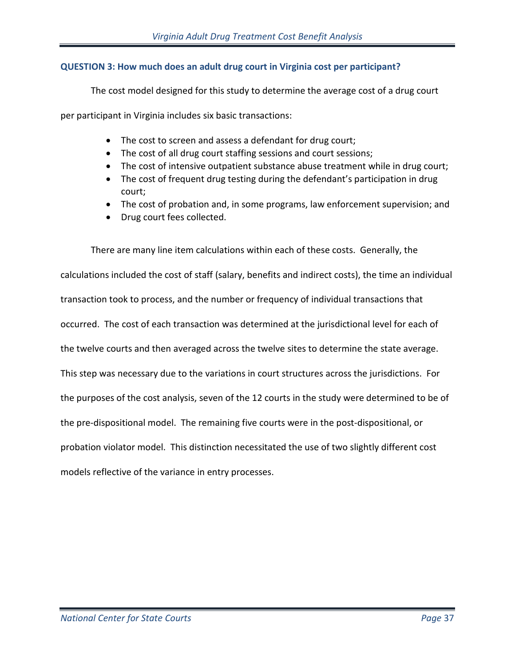# **QUESTION 3: How much does an adult drug court in Virginia cost per participant?**

The cost model designed for this study to determine the average cost of a drug court

per participant in Virginia includes six basic transactions:

- The cost to screen and assess a defendant for drug court;
- The cost of all drug court staffing sessions and court sessions;
- The cost of intensive outpatient substance abuse treatment while in drug court;
- The cost of frequent drug testing during the defendant's participation in drug court;
- The cost of probation and, in some programs, law enforcement supervision; and
- Drug court fees collected.

There are many line item calculations within each of these costs. Generally, the calculations included the cost of staff (salary, benefits and indirect costs), the time an individual transaction took to process, and the number or frequency of individual transactions that occurred. The cost of each transaction was determined at the jurisdictional level for each of the twelve courts and then averaged across the twelve sites to determine the state average. This step was necessary due to the variations in court structures across the jurisdictions. For the purposes of the cost analysis, seven of the 12 courts in the study were determined to be of the pre-dispositional model. The remaining five courts were in the post-dispositional, or probation violator model. This distinction necessitated the use of two slightly different cost models reflective of the variance in entry processes.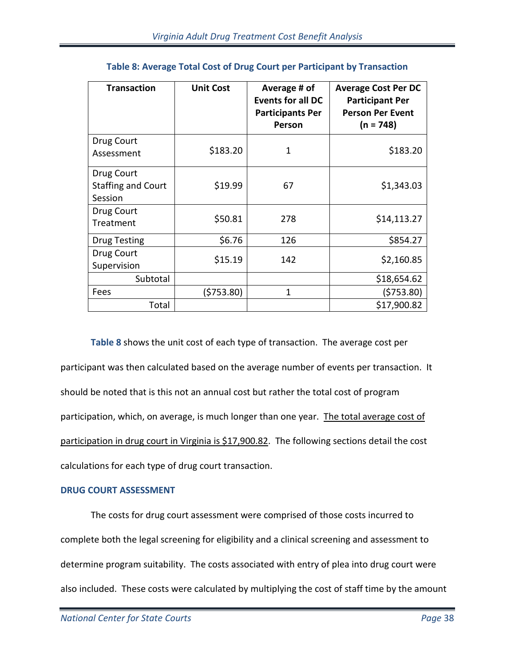| <b>Transaction</b>                                 | <b>Unit Cost</b> | Average # of<br><b>Events for all DC</b><br><b>Participants Per</b><br>Person | <b>Average Cost Per DC</b><br><b>Participant Per</b><br><b>Person Per Event</b><br>$(n = 748)$ |
|----------------------------------------------------|------------------|-------------------------------------------------------------------------------|------------------------------------------------------------------------------------------------|
| Drug Court<br>Assessment                           | \$183.20         | 1                                                                             | \$183.20                                                                                       |
| Drug Court<br><b>Staffing and Court</b><br>Session | \$19.99          | 67                                                                            | \$1,343.03                                                                                     |
| Drug Court<br>Treatment                            | \$50.81          | 278                                                                           | \$14,113.27                                                                                    |
| <b>Drug Testing</b>                                | \$6.76           | 126                                                                           | \$854.27                                                                                       |
| Drug Court<br>Supervision                          | \$15.19          | 142                                                                           | \$2,160.85                                                                                     |
| Subtotal                                           |                  |                                                                               | \$18,654.62                                                                                    |
| Fees                                               | (\$753.80)       | 1                                                                             | (5753.80)                                                                                      |
| Total                                              |                  |                                                                               | \$17,900.82                                                                                    |

# **Table 8: Average Total Cost of Drug Court per Participant by Transaction**

**Table 8** shows the unit cost of each type of transaction. The average cost per participant was then calculated based on the average number of events per transaction. It should be noted that is this not an annual cost but rather the total cost of program participation, which, on average, is much longer than one year. The total average cost of participation in drug court in Virginia is \$17,900.82. The following sections detail the cost calculations for each type of drug court transaction.

## **DRUG COURT ASSESSMENT**

The costs for drug court assessment were comprised of those costs incurred to complete both the legal screening for eligibility and a clinical screening and assessment to determine program suitability. The costs associated with entry of plea into drug court were also included. These costs were calculated by multiplying the cost of staff time by the amount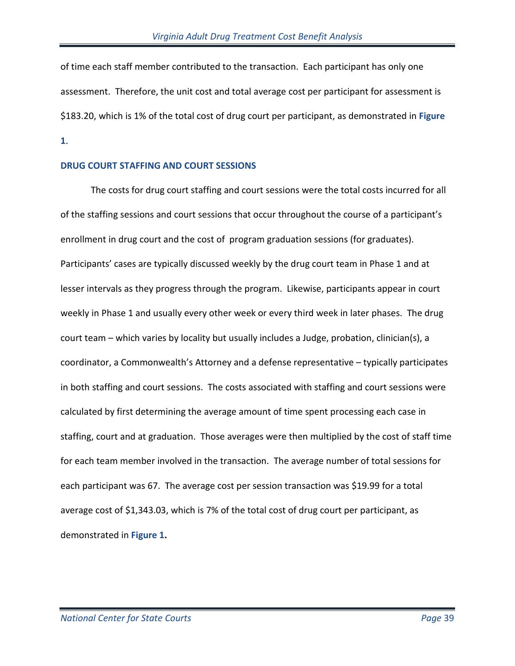of time each staff member contributed to the transaction. Each participant has only one assessment. Therefore, the unit cost and total average cost per participant for assessment is \$183.20, which is 1% of the total cost of drug court per participant, as demonstrated in **Figure 1**.

## **DRUG COURT STAFFING AND COURT SESSIONS**

The costs for drug court staffing and court sessions were the total costs incurred for all of the staffing sessions and court sessions that occur throughout the course of a participant's enrollment in drug court and the cost of program graduation sessions (for graduates). Participants' cases are typically discussed weekly by the drug court team in Phase 1 and at lesser intervals as they progress through the program. Likewise, participants appear in court weekly in Phase 1 and usually every other week or every third week in later phases. The drug court team – which varies by locality but usually includes a Judge, probation, clinician(s), a coordinator, a Commonwealth's Attorney and a defense representative – typically participates in both staffing and court sessions. The costs associated with staffing and court sessions were calculated by first determining the average amount of time spent processing each case in staffing, court and at graduation. Those averages were then multiplied by the cost of staff time for each team member involved in the transaction. The average number of total sessions for each participant was 67. The average cost per session transaction was \$19.99 for a total average cost of \$1,343.03, which is 7% of the total cost of drug court per participant, as demonstrated in **Figure 1.**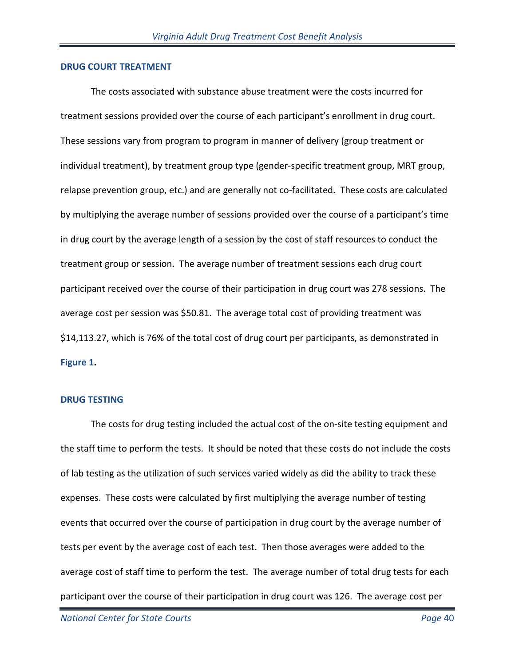#### **DRUG COURT TREATMENT**

The costs associated with substance abuse treatment were the costs incurred for treatment sessions provided over the course of each participant's enrollment in drug court. These sessions vary from program to program in manner of delivery (group treatment or individual treatment), by treatment group type (gender-specific treatment group, MRT group, relapse prevention group, etc.) and are generally not co-facilitated. These costs are calculated by multiplying the average number of sessions provided over the course of a participant's time in drug court by the average length of a session by the cost of staff resources to conduct the treatment group or session. The average number of treatment sessions each drug court participant received over the course of their participation in drug court was 278 sessions. The average cost per session was \$50.81. The average total cost of providing treatment was \$14,113.27, which is 76% of the total cost of drug court per participants, as demonstrated in **Figure 1.** 

#### **DRUG TESTING**

The costs for drug testing included the actual cost of the on-site testing equipment and the staff time to perform the tests. It should be noted that these costs do not include the costs of lab testing as the utilization of such services varied widely as did the ability to track these expenses. These costs were calculated by first multiplying the average number of testing events that occurred over the course of participation in drug court by the average number of tests per event by the average cost of each test. Then those averages were added to the average cost of staff time to perform the test. The average number of total drug tests for each participant over the course of their participation in drug court was 126. The average cost per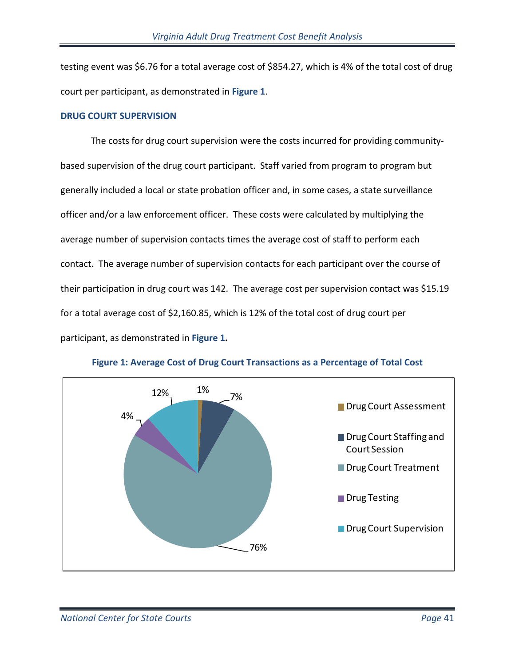testing event was \$6.76 for a total average cost of \$854.27, which is 4% of the total cost of drug court per participant, as demonstrated in **Figure 1**.

## **DRUG COURT SUPERVISION**

The costs for drug court supervision were the costs incurred for providing communitybased supervision of the drug court participant. Staff varied from program to program but generally included a local or state probation officer and, in some cases, a state surveillance officer and/or a law enforcement officer. These costs were calculated by multiplying the average number of supervision contacts times the average cost of staff to perform each contact. The average number of supervision contacts for each participant over the course of their participation in drug court was 142. The average cost per supervision contact was \$15.19 for a total average cost of \$2,160.85, which is 12% of the total cost of drug court per participant, as demonstrated in **Figure 1.** 



**Figure 1: Average Cost of Drug Court Transactions as a Percentage of Total Cost**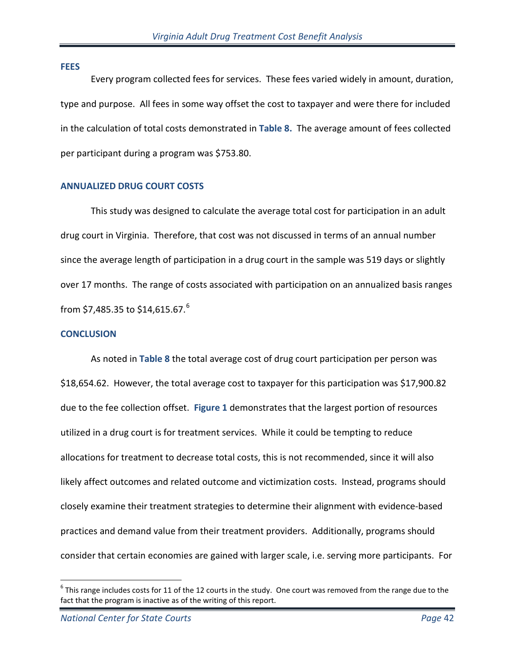#### **FEES**

Every program collected fees for services. These fees varied widely in amount, duration, type and purpose. All fees in some way offset the cost to taxpayer and were there for included in the calculation of total costs demonstrated in **Table 8.** The average amount of fees collected per participant during a program was \$753.80.

# **ANNUALIZED DRUG COURT COSTS**

This study was designed to calculate the average total cost for participation in an adult drug court in Virginia. Therefore, that cost was not discussed in terms of an annual number since the average length of participation in a drug court in the sample was 519 days or slightly over 17 months. The range of costs associated with participation on an annualized basis ranges from \$7,485.35 to \$14,[6](#page-41-0)15.67.<sup>6</sup>

## **CONCLUSION**

As noted in **Table 8** the total average cost of drug court participation per person was \$18,654.62. However, the total average cost to taxpayer for this participation was \$17,900.82 due to the fee collection offset. **Figure 1** demonstrates that the largest portion of resources utilized in a drug court is for treatment services. While it could be tempting to reduce allocations for treatment to decrease total costs, this is not recommended, since it will also likely affect outcomes and related outcome and victimization costs. Instead, programs should closely examine their treatment strategies to determine their alignment with evidence-based practices and demand value from their treatment providers. Additionally, programs should consider that certain economies are gained with larger scale, i.e. serving more participants. For

 $\overline{a}$ 

<span id="page-41-0"></span> $^6$  This range includes costs for 11 of the 12 courts in the study. One court was removed from the range due to the fact that the program is inactive as of the writing of this report.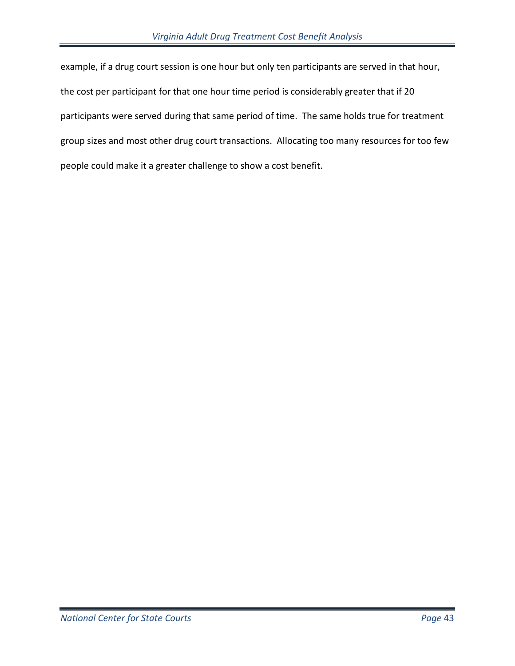example, if a drug court session is one hour but only ten participants are served in that hour, the cost per participant for that one hour time period is considerably greater that if 20 participants were served during that same period of time. The same holds true for treatment group sizes and most other drug court transactions. Allocating too many resources for too few people could make it a greater challenge to show a cost benefit.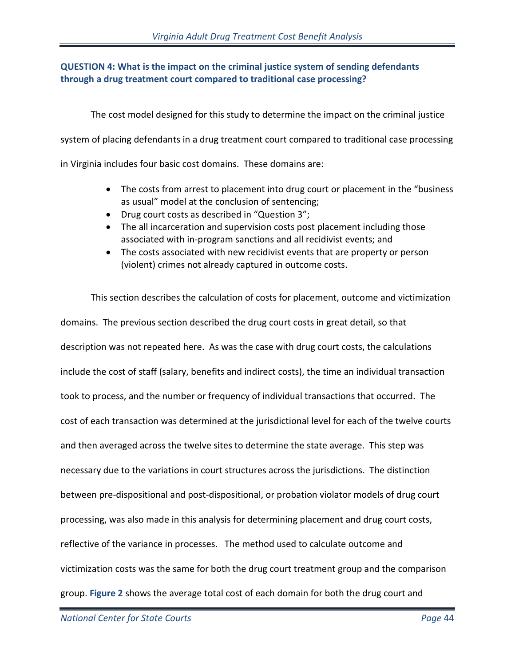# **QUESTION 4: What is the impact on the criminal justice system of sending defendants through a drug treatment court compared to traditional case processing?**

The cost model designed for this study to determine the impact on the criminal justice

system of placing defendants in a drug treatment court compared to traditional case processing

in Virginia includes four basic cost domains. These domains are:

- The costs from arrest to placement into drug court or placement in the "business" as usual" model at the conclusion of sentencing;
- Drug court costs as described in "Question 3";
- The all incarceration and supervision costs post placement including those associated with in-program sanctions and all recidivist events; and
- The costs associated with new recidivist events that are property or person (violent) crimes not already captured in outcome costs.

This section describes the calculation of costs for placement, outcome and victimization domains. The previous section described the drug court costs in great detail, so that description was not repeated here. As was the case with drug court costs, the calculations include the cost of staff (salary, benefits and indirect costs), the time an individual transaction took to process, and the number or frequency of individual transactions that occurred. The cost of each transaction was determined at the jurisdictional level for each of the twelve courts and then averaged across the twelve sites to determine the state average. This step was necessary due to the variations in court structures across the jurisdictions. The distinction between pre-dispositional and post-dispositional, or probation violator models of drug court processing, was also made in this analysis for determining placement and drug court costs, reflective of the variance in processes. The method used to calculate outcome and victimization costs was the same for both the drug court treatment group and the comparison group. **[Figure 2](#page-44-0)** shows the average total cost of each domain for both the drug court and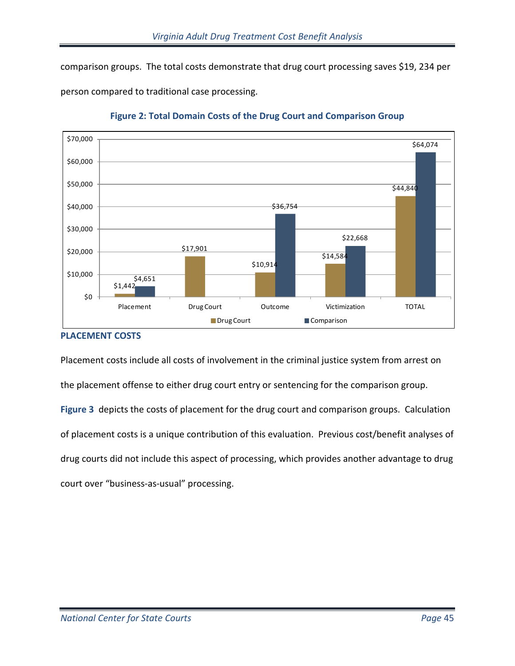comparison groups. The total costs demonstrate that drug court processing saves \$19, 234 per

person compared to traditional case processing.

<span id="page-44-0"></span>

**Figure 2: Total Domain Costs of the Drug Court and Comparison Group**

# **PLACEMENT COSTS**

<span id="page-44-1"></span>Placement costs include all costs of involvement in the criminal justice system from arrest on the placement offense to either drug court entry or sentencing for the comparison group. **[Figure 3](#page-44-1)** depicts the costs of placement for the drug court and comparison groups. Calculation of placement costs is a unique contribution of this evaluation. Previous cost/benefit analyses of drug courts did not include this aspect of processing, which provides another advantage to drug court over "business-as-usual" processing.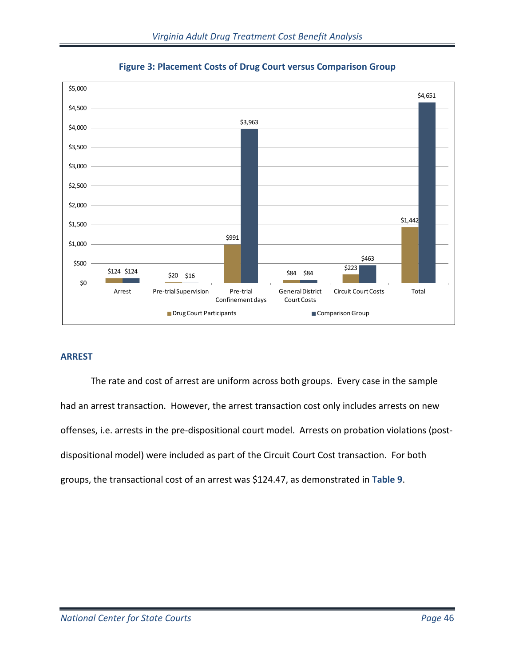



# **ARREST**

The rate and cost of arrest are uniform across both groups. Every case in the sample had an arrest transaction. However, the arrest transaction cost only includes arrests on new offenses, i.e. arrests in the pre-dispositional court model. Arrests on probation violations (postdispositional model) were included as part of the Circuit Court Cost transaction. For both groups, the transactional cost of an arrest was \$124.47, as demonstrated in **Table 9**.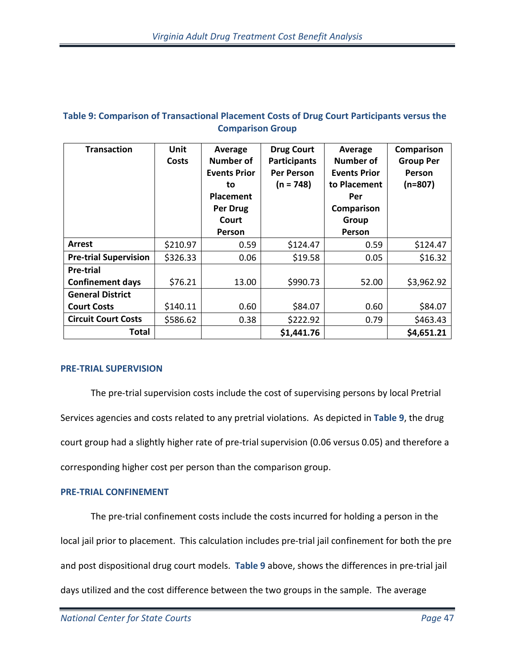# **Table 9: Comparison of Transactional Placement Costs of Drug Court Participants versus the Comparison Group**

| <b>Transaction</b>           | <b>Unit</b><br><b>Costs</b> | Average<br>Number of<br><b>Events Prior</b><br>to<br><b>Placement</b><br>Per Drug<br>Court<br>Person | <b>Drug Court</b><br><b>Participants</b><br><b>Per Person</b><br>$(n = 748)$ | Average<br>Number of<br><b>Events Prior</b><br>to Placement<br>Per<br>Comparison<br>Group<br>Person | Comparison<br><b>Group Per</b><br>Person<br>$(n=807)$ |
|------------------------------|-----------------------------|------------------------------------------------------------------------------------------------------|------------------------------------------------------------------------------|-----------------------------------------------------------------------------------------------------|-------------------------------------------------------|
| <b>Arrest</b>                | \$210.97                    | 0.59                                                                                                 | \$124.47                                                                     | 0.59                                                                                                | \$124.47                                              |
| <b>Pre-trial Supervision</b> | \$326.33                    | 0.06                                                                                                 | \$19.58                                                                      | 0.05                                                                                                | \$16.32                                               |
| <b>Pre-trial</b>             |                             |                                                                                                      |                                                                              |                                                                                                     |                                                       |
| <b>Confinement days</b>      | \$76.21                     | 13.00                                                                                                | \$990.73                                                                     | 52.00                                                                                               | \$3,962.92                                            |
| <b>General District</b>      |                             |                                                                                                      |                                                                              |                                                                                                     |                                                       |
| <b>Court Costs</b>           | \$140.11                    | 0.60                                                                                                 | \$84.07                                                                      | 0.60                                                                                                | \$84.07                                               |
| <b>Circuit Court Costs</b>   | \$586.62                    | 0.38                                                                                                 | \$222.92                                                                     | 0.79                                                                                                | \$463.43                                              |
| Total                        |                             |                                                                                                      | \$1,441.76                                                                   |                                                                                                     | \$4,651.21                                            |

## **PRE-TRIAL SUPERVISION**

The pre-trial supervision costs include the cost of supervising persons by local Pretrial Services agencies and costs related to any pretrial violations. As depicted in **Table 9**, the drug court group had a slightly higher rate of pre-trial supervision (0.06 versus 0.05) and therefore a corresponding higher cost per person than the comparison group.

# **PRE-TRIAL CONFINEMENT**

The pre-trial confinement costs include the costs incurred for holding a person in the local jail prior to placement. This calculation includes pre-trial jail confinement for both the pre and post dispositional drug court models. **Table 9** above, shows the differences in pre-trial jail days utilized and the cost difference between the two groups in the sample. The average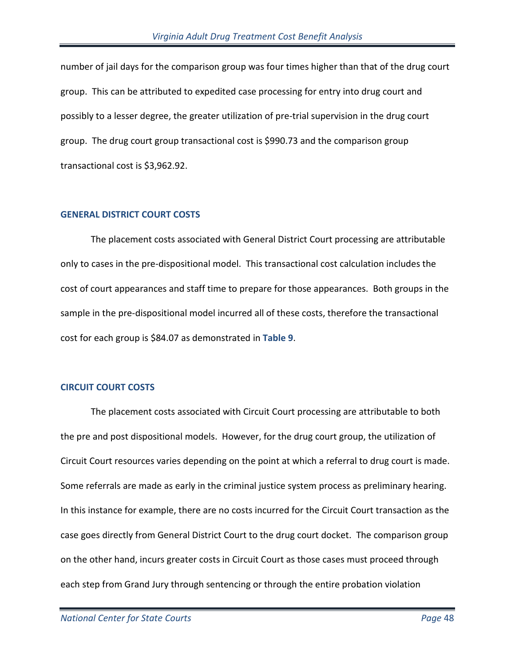number of jail days for the comparison group was four times higher than that of the drug court group. This can be attributed to expedited case processing for entry into drug court and possibly to a lesser degree, the greater utilization of pre-trial supervision in the drug court group. The drug court group transactional cost is \$990.73 and the comparison group transactional cost is \$3,962.92.

#### **GENERAL DISTRICT COURT COSTS**

The placement costs associated with General District Court processing are attributable only to cases in the pre-dispositional model. This transactional cost calculation includes the cost of court appearances and staff time to prepare for those appearances. Both groups in the sample in the pre-dispositional model incurred all of these costs, therefore the transactional cost for each group is \$84.07 as demonstrated in **Table 9**.

## **CIRCUIT COURT COSTS**

The placement costs associated with Circuit Court processing are attributable to both the pre and post dispositional models. However, for the drug court group, the utilization of Circuit Court resources varies depending on the point at which a referral to drug court is made. Some referrals are made as early in the criminal justice system process as preliminary hearing. In this instance for example, there are no costs incurred for the Circuit Court transaction as the case goes directly from General District Court to the drug court docket. The comparison group on the other hand, incurs greater costs in Circuit Court as those cases must proceed through each step from Grand Jury through sentencing or through the entire probation violation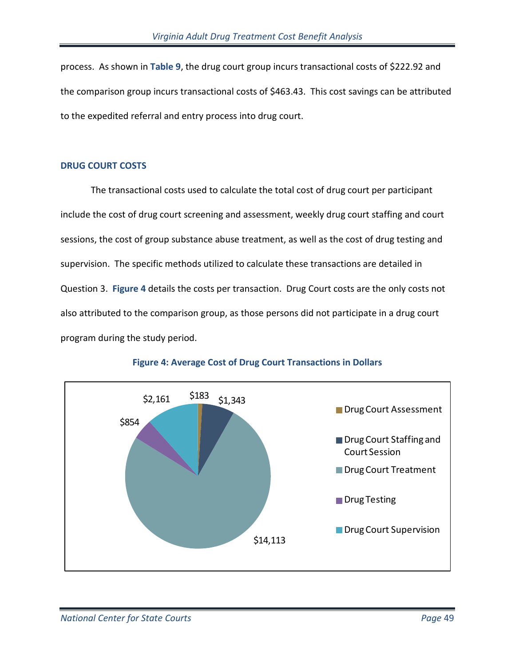process. As shown in **Table 9**, the drug court group incurs transactional costs of \$222.92 and the comparison group incurs transactional costs of \$463.43. This cost savings can be attributed to the expedited referral and entry process into drug court.

## **DRUG COURT COSTS**

The transactional costs used to calculate the total cost of drug court per participant include the cost of drug court screening and assessment, weekly drug court staffing and court sessions, the cost of group substance abuse treatment, as well as the cost of drug testing and supervision. The specific methods utilized to calculate these transactions are detailed in Question 3. **Figure 4** details the costs per transaction. Drug Court costs are the only costs not also attributed to the comparison group, as those persons did not participate in a drug court program during the study period.



## **Figure 4: Average Cost of Drug Court Transactions in Dollars**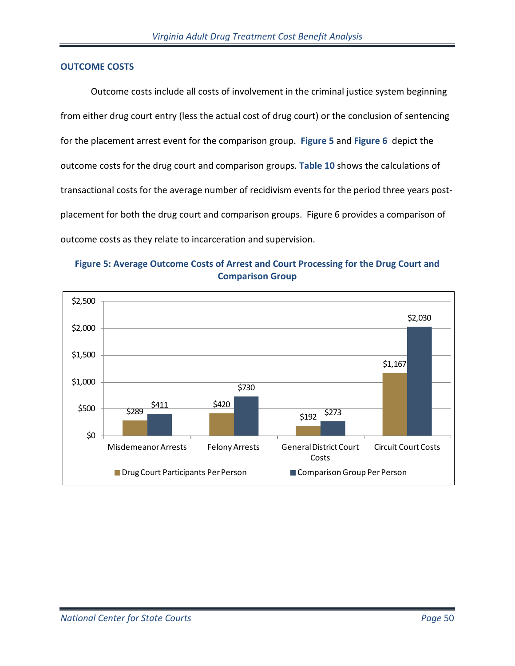## **OUTCOME COSTS**

Outcome costs include all costs of involvement in the criminal justice system beginning from either drug court entry (less the actual cost of drug court) or the conclusion of sentencing for the placement arrest event for the comparison group. **Figure 5** and **Figure 6** depict the outcome costs for the drug court and comparison groups. **[Table 10](#page-50-0)** shows the calculations of transactional costs for the average number of recidivism events for the period three years postplacement for both the drug court and comparison groups. Figure 6 provides a comparison of outcome costs as they relate to incarceration and supervision.



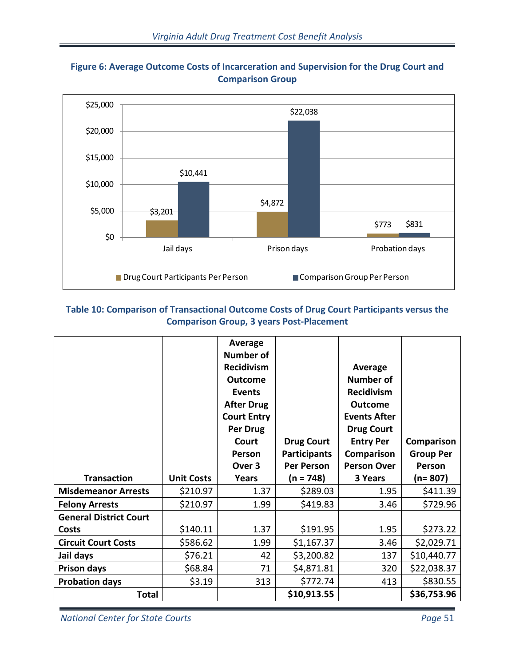

# **Figure 6: Average Outcome Costs of Incarceration and Supervision for the Drug Court and Comparison Group**

# <span id="page-50-0"></span>**Table 10: Comparison of Transactional Outcome Costs of Drug Court Participants versus the Comparison Group, 3 years Post-Placement**

|                               |                   | <b>Average</b><br><b>Number of</b><br><b>Recidivism</b><br><b>Outcome</b><br><b>Events</b><br><b>After Drug</b><br><b>Court Entry</b><br>Per Drug<br>Court<br>Person<br>Over 3 | <b>Drug Court</b><br><b>Participants</b><br><b>Per Person</b> | Average<br><b>Number of</b><br><b>Recidivism</b><br><b>Outcome</b><br><b>Events After</b><br><b>Drug Court</b><br><b>Entry Per</b><br>Comparison<br><b>Person Over</b> | Comparison<br><b>Group Per</b><br>Person |
|-------------------------------|-------------------|--------------------------------------------------------------------------------------------------------------------------------------------------------------------------------|---------------------------------------------------------------|------------------------------------------------------------------------------------------------------------------------------------------------------------------------|------------------------------------------|
| <b>Transaction</b>            | <b>Unit Costs</b> | <b>Years</b>                                                                                                                                                                   | $(n = 748)$                                                   | 3 Years                                                                                                                                                                | $(n=807)$                                |
| <b>Misdemeanor Arrests</b>    | \$210.97          | 1.37                                                                                                                                                                           | \$289.03                                                      | 1.95                                                                                                                                                                   | \$411.39                                 |
| <b>Felony Arrests</b>         | \$210.97          | 1.99                                                                                                                                                                           | \$419.83                                                      | 3.46                                                                                                                                                                   | \$729.96                                 |
| <b>General District Court</b> |                   |                                                                                                                                                                                |                                                               |                                                                                                                                                                        |                                          |
| Costs                         | \$140.11          | 1.37                                                                                                                                                                           | \$191.95                                                      | 1.95                                                                                                                                                                   | \$273.22                                 |
| <b>Circuit Court Costs</b>    | \$586.62          | 1.99                                                                                                                                                                           | \$1,167.37                                                    | 3.46                                                                                                                                                                   | \$2,029.71                               |
| Jail days                     | \$76.21           | 42                                                                                                                                                                             | \$3,200.82                                                    | 137                                                                                                                                                                    | \$10,440.77                              |
| <b>Prison days</b>            | \$68.84           | 71                                                                                                                                                                             | \$4,871.81                                                    | 320                                                                                                                                                                    | \$22,038.37                              |
| <b>Probation days</b>         | \$3.19            | 313                                                                                                                                                                            | \$772.74                                                      | 413                                                                                                                                                                    | \$830.55                                 |
| <b>Total</b>                  |                   |                                                                                                                                                                                | \$10,913.55                                                   |                                                                                                                                                                        | \$36,753.96                              |

*National Center for State Courts Page* 51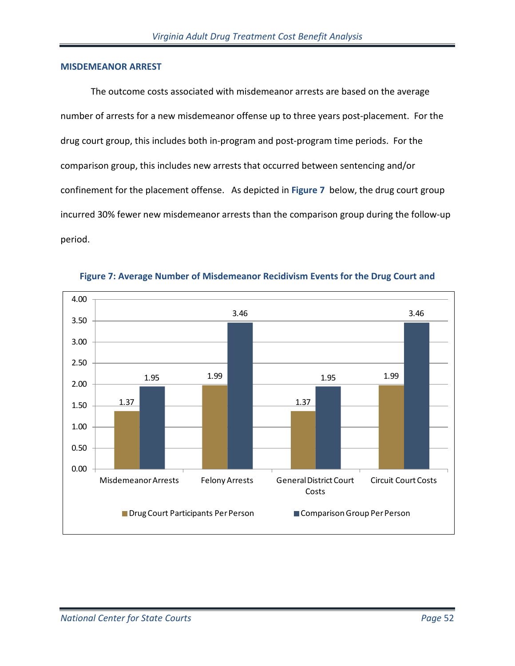#### **MISDEMEANOR ARREST**

The outcome costs associated with misdemeanor arrests are based on the average number of arrests for a new misdemeanor offense up to three years post-placement. For the drug court group, this includes both in-program and post-program time periods. For the comparison group, this includes new arrests that occurred between sentencing and/or confinement for the placement offense. As depicted in **[Figure 7](#page-51-0)** below, the drug court group incurred 30% fewer new misdemeanor arrests than the comparison group during the follow-up period.

<span id="page-51-0"></span>

**Figure 7: Average Number of Misdemeanor Recidivism Events for the Drug Court and**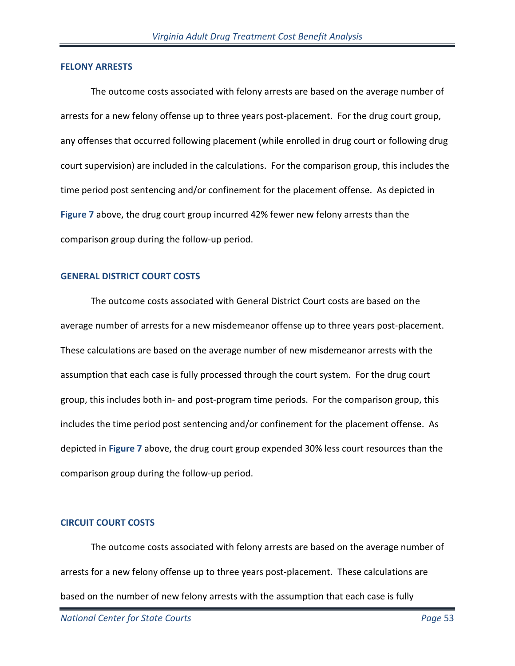#### **FELONY ARRESTS**

The outcome costs associated with felony arrests are based on the average number of arrests for a new felony offense up to three years post-placement. For the drug court group, any offenses that occurred following placement (while enrolled in drug court or following drug court supervision) are included in the calculations. For the comparison group, this includes the time period post sentencing and/or confinement for the placement offense. As depicted in **[Figure 7](#page-51-0)** above, the drug court group incurred 42% fewer new felony arrests than the comparison group during the follow-up period.

#### **GENERAL DISTRICT COURT COSTS**

The outcome costs associated with General District Court costs are based on the average number of arrests for a new misdemeanor offense up to three years post-placement. These calculations are based on the average number of new misdemeanor arrests with the assumption that each case is fully processed through the court system. For the drug court group, this includes both in- and post-program time periods. For the comparison group, this includes the time period post sentencing and/or confinement for the placement offense. As depicted in **[Figure 7](#page-51-0)** above, the drug court group expended 30% less court resources than the comparison group during the follow-up period.

#### **CIRCUIT COURT COSTS**

The outcome costs associated with felony arrests are based on the average number of arrests for a new felony offense up to three years post-placement. These calculations are based on the number of new felony arrests with the assumption that each case is fully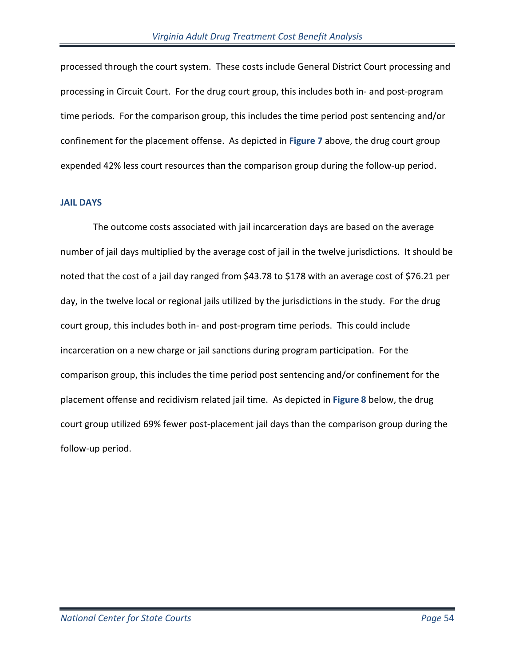processed through the court system. These costs include General District Court processing and processing in Circuit Court. For the drug court group, this includes both in- and post-program time periods. For the comparison group, this includes the time period post sentencing and/or confinement for the placement offense. As depicted in **[Figure 7](#page-51-0)** above, the drug court group expended 42% less court resources than the comparison group during the follow-up period.

#### **JAIL DAYS**

The outcome costs associated with jail incarceration days are based on the average number of jail days multiplied by the average cost of jail in the twelve jurisdictions. It should be noted that the cost of a jail day ranged from \$43.78 to \$178 with an average cost of \$76.21 per day, in the twelve local or regional jails utilized by the jurisdictions in the study. For the drug court group, this includes both in- and post-program time periods. This could include incarceration on a new charge or jail sanctions during program participation. For the comparison group, this includes the time period post sentencing and/or confinement for the placement offense and recidivism related jail time. As depicted in **Figure 8** below, the drug court group utilized 69% fewer post-placement jail days than the comparison group during the follow-up period.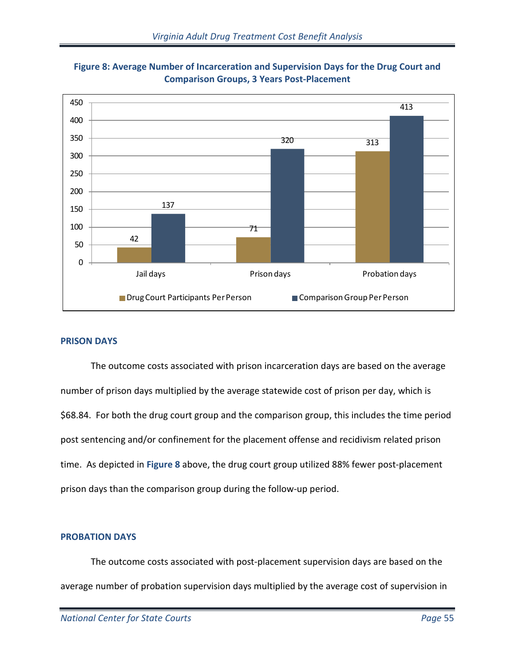

**Figure 8: Average Number of Incarceration and Supervision Days for the Drug Court and Comparison Groups, 3 Years Post-Placement**

## **PRISON DAYS**

The outcome costs associated with prison incarceration days are based on the average number of prison days multiplied by the average statewide cost of prison per day, which is \$68.84. For both the drug court group and the comparison group, this includes the time period post sentencing and/or confinement for the placement offense and recidivism related prison time. As depicted in **Figure 8** above, the drug court group utilized 88% fewer post-placement prison days than the comparison group during the follow-up period.

# **PROBATION DAYS**

The outcome costs associated with post-placement supervision days are based on the average number of probation supervision days multiplied by the average cost of supervision in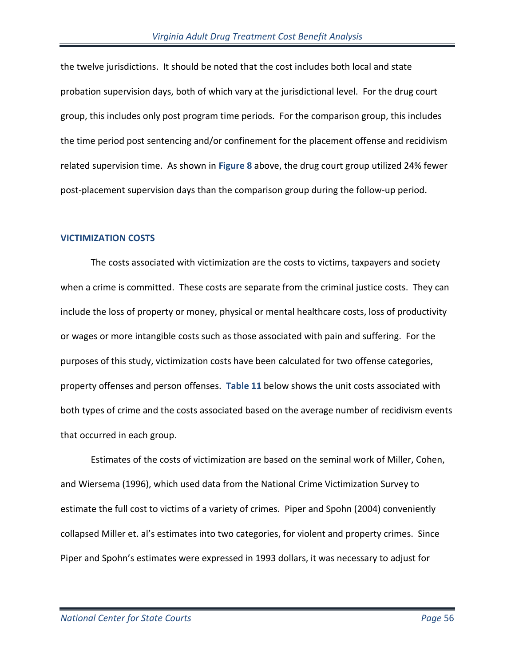the twelve jurisdictions. It should be noted that the cost includes both local and state probation supervision days, both of which vary at the jurisdictional level. For the drug court group, this includes only post program time periods. For the comparison group, this includes the time period post sentencing and/or confinement for the placement offense and recidivism related supervision time. As shown in **Figure 8** above, the drug court group utilized 24% fewer post-placement supervision days than the comparison group during the follow-up period.

#### **VICTIMIZATION COSTS**

The costs associated with victimization are the costs to victims, taxpayers and society when a crime is committed. These costs are separate from the criminal justice costs. They can include the loss of property or money, physical or mental healthcare costs, loss of productivity or wages or more intangible costs such as those associated with pain and suffering. For the purposes of this study, victimization costs have been calculated for two offense categories, property offenses and person offenses. **Table 11** below shows the unit costs associated with both types of crime and the costs associated based on the average number of recidivism events that occurred in each group.

Estimates of the costs of victimization are based on the seminal work of Miller, Cohen, and Wiersema (1996), which used data from the National Crime Victimization Survey to estimate the full cost to victims of a variety of crimes. Piper and Spohn (2004) conveniently collapsed Miller et. al's estimates into two categories, for violent and property crimes. Since Piper and Spohn's estimates were expressed in 1993 dollars, it was necessary to adjust for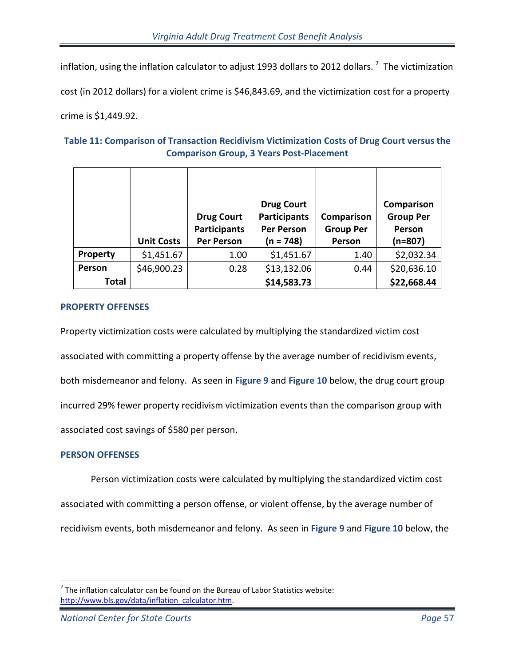inflation, using the inflation calculator to adjust 1993 dollars to 2012 dollars.  $^7\,$  $^7\,$  $^7\,$  The victimization

cost (in 2012 dollars) for a violent crime is \$46,843.69, and the victimization cost for a property

crime is \$1,449.92.

# **Table 11: Comparison of Transaction Recidivism Victimization Costs of Drug Court versus the Comparison Group, 3 Years Post-Placement**

|          | <b>Unit Costs</b> | <b>Drug Court</b><br><b>Participants</b><br><b>Per Person</b> | <b>Drug Court</b><br><b>Participants</b><br><b>Per Person</b><br>(n = 748) | Comparison<br><b>Group Per</b><br>Person | Comparison<br><b>Group Per</b><br>Person<br>$(n=807)$ |
|----------|-------------------|---------------------------------------------------------------|----------------------------------------------------------------------------|------------------------------------------|-------------------------------------------------------|
| Property | \$1,451.67        | 1.00                                                          | \$1,451.67                                                                 | 1.40                                     | \$2,032.34                                            |
| Person   | \$46,900.23       | 0.28                                                          | \$13,132.06                                                                | 0.44                                     | \$20,636.10                                           |
| Total    |                   |                                                               | \$14,583.73                                                                |                                          | \$22,668.44                                           |

# **PROPERTY OFFENSES**

Property victimization costs were calculated by multiplying the standardized victim cost associated with committing a property offense by the average number of recidivism events, both misdemeanor and felony. As seen in **Figure 9** and **Figure 10** below, the drug court group incurred 29% fewer property recidivism victimization events than the comparison group with associated cost savings of \$580 per person.

# **PERSON OFFENSES**

 $\overline{a}$ 

Person victimization costs were calculated by multiplying the standardized victim cost

associated with committing a person offense, or violent offense, by the average number of

recidivism events, both misdemeanor and felony. As seen in **Figure 9** and **[Figure 10](#page-57-0)** below, the

<span id="page-56-0"></span> $<sup>7</sup>$  The inflation calculator can be found on the Bureau of Labor Statistics website:</sup> [http://www.bls.gov/data/inflation\\_calculator.htm.](http://www.bls.gov/data/inflation_calculator.htm)

*National Center for State Courts Page* 57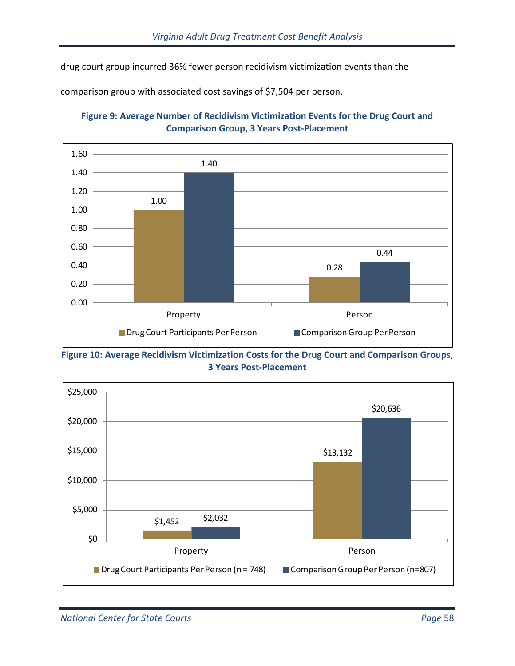drug court group incurred 36% fewer person recidivism victimization events than the

comparison group with associated cost savings of \$7,504 per person.





<span id="page-57-0"></span>

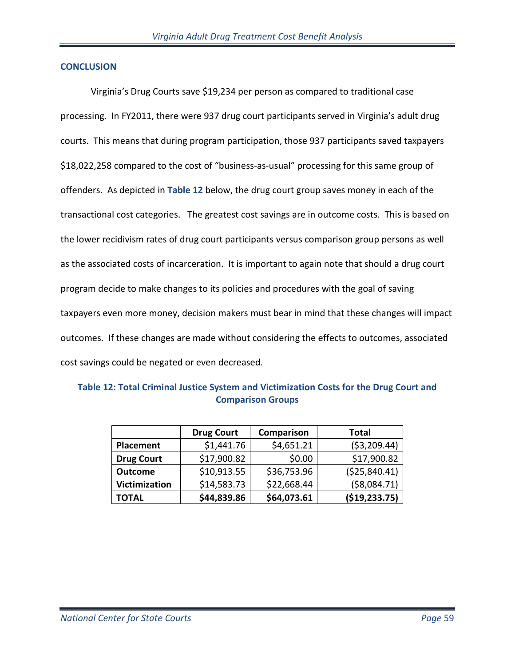#### **CONCLUSION**

Virginia's Drug Courts save \$19,234 per person as compared to traditional case processing. In FY2011, there were 937 drug court participants served in Virginia's adult drug courts. This means that during program participation, those 937 participants saved taxpayers \$18,022,258 compared to the cost of "business-as-usual" processing for this same group of offenders. As depicted in **Table 12** below, the drug court group saves money in each of the transactional cost categories. The greatest cost savings are in outcome costs. This is based on the lower recidivism rates of drug court participants versus comparison group persons as well as the associated costs of incarceration. It is important to again note that should a drug court program decide to make changes to its policies and procedures with the goal of saving taxpayers even more money, decision makers must bear in mind that these changes will impact outcomes. If these changes are made without considering the effects to outcomes, associated cost savings could be negated or even decreased.

|                      | <b>Drug Court</b> | Comparison  | Total         |
|----------------------|-------------------|-------------|---------------|
| <b>Placement</b>     | \$1,441.76        | \$4,651.21  | ( \$3,209.44) |
| <b>Drug Court</b>    | \$17,900.82       | \$0.00      | \$17,900.82   |
| <b>Outcome</b>       | \$10,913.55       | \$36,753.96 | (\$25,840.41) |
| <b>Victimization</b> | \$14,583.73       | \$22,668.44 | ( \$8,084.71) |
| <b>TOTAL</b>         | \$44,839.86       | \$64,073.61 | (\$19,233.75) |

**Table 12: Total Criminal Justice System and Victimization Costs for the Drug Court and Comparison Groups**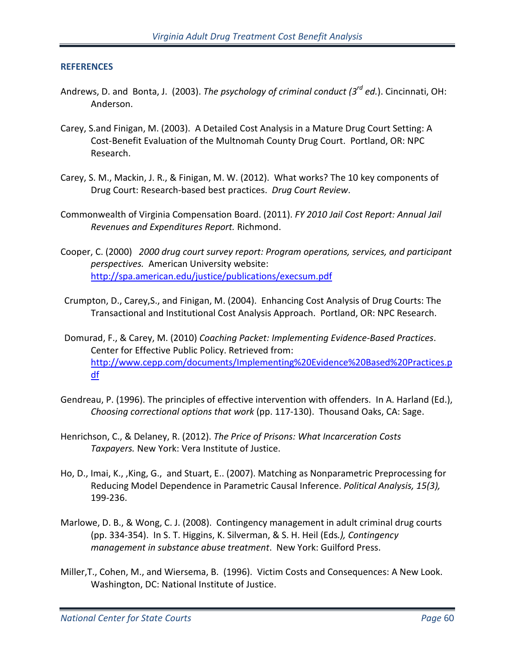#### **REFERENCES**

- Andrews, D. and Bonta, J. (2003). *The psychology of criminal conduct (3rd ed.*). Cincinnati, OH: Anderson.
- Carey, S.and Finigan, M. (2003). A Detailed Cost Analysis in a Mature Drug Court Setting: A Cost-Benefit Evaluation of the Multnomah County Drug Court. Portland, OR: NPC Research.
- Carey, S. M., Mackin, J. R., & Finigan, M. W. (2012). What works? The 10 key components of Drug Court: Research-based best practices. *Drug Court Review*.
- Commonwealth of Virginia Compensation Board. (2011). *FY 2010 Jail Cost Report: Annual Jail Revenues and Expenditures Report.* Richmond.
- Cooper, C. (2000) *2000 drug court survey report: Program operations, services, and participant perspectives.* American University website: <http://spa.american.edu/justice/publications/execsum.pdf>
- Crumpton, D., Carey,S., and Finigan, M. (2004). Enhancing Cost Analysis of Drug Courts: The Transactional and Institutional Cost Analysis Approach. Portland, OR: NPC Research.
- Domurad, F., & Carey, M. (2010) *Coaching Packet: Implementing Evidence-Based Practices*. Center for Effective Public Policy. Retrieved from: [http://www.cepp.com/documents/Implementing%20Evidence%20Based%20Practices.p](http://www.cepp.com/documents/Implementing%20Evidence%20Based%20Practices.pdf) [df](http://www.cepp.com/documents/Implementing%20Evidence%20Based%20Practices.pdf)
- Gendreau, P. (1996). The principles of effective intervention with offenders. In A. Harland (Ed.), *Choosing correctional options that work* (pp. 117-130). Thousand Oaks, CA: Sage.
- Henrichson, C., & Delaney, R. (2012). *The Price of Prisons: What Incarceration Costs Taxpayers.* New York: Vera Institute of Justice.
- Ho, D., Imai, K., ,King, G., and Stuart, E.. (2007)[. Matching as Nonparametric Preprocessing for](http://gking.harvard.edu/files/abs/matchp-abs.shtml)  [Reducing Model Dependence in Parametric Causal Inference.](http://gking.harvard.edu/files/abs/matchp-abs.shtml) *Political Analysis, 15(3),* 199-236.
- Marlowe, D. B., & Wong, C. J. (2008). Contingency management in adult criminal drug courts (pp. 334-354). In S. T. Higgins, K. Silverman, & S. H. Heil (Eds*.), Contingency management in substance abuse treatment*. New York: Guilford Press.
- Miller,T., Cohen, M., and Wiersema, B. (1996). Victim Costs and Consequences: A New Look. Washington, DC: National Institute of Justice.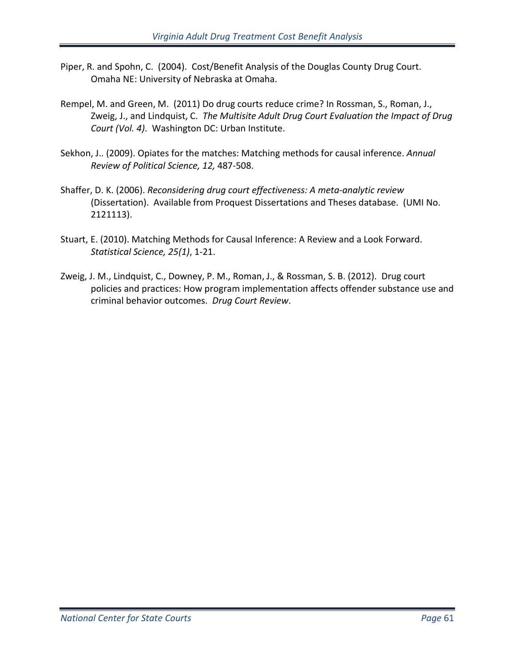- Piper, R. and Spohn, C. (2004). Cost/Benefit Analysis of the Douglas County Drug Court. Omaha NE: University of Nebraska at Omaha.
- Rempel, M. and Green, M. (2011) Do drug courts reduce crime? In Rossman, S., Roman, J., Zweig, J., and Lindquist, C. *The Multisite Adult Drug Court Evaluation the Impact of Drug Court (Vol. 4)*. Washington DC: Urban Institute.
- Sekhon, J.. (2009). Opiates for the matches: Matching methods for causal inference. *Annual Review of Political Science, 12,* 487-508.
- Shaffer, D. K. (2006). *Reconsidering drug court effectiveness: A meta-analytic review* (Dissertation). Available from Proquest Dissertations and Theses database. (UMI No. 2121113).
- Stuart, E. (2010). Matching Methods for Causal Inference: A Review and a Look Forward. *Statistical Science, 25(1)*, 1-21.
- Zweig, J. M., Lindquist, C., Downey, P. M., Roman, J., & Rossman, S. B. (2012). Drug court policies and practices: How program implementation affects offender substance use and criminal behavior outcomes. *Drug Court Review*.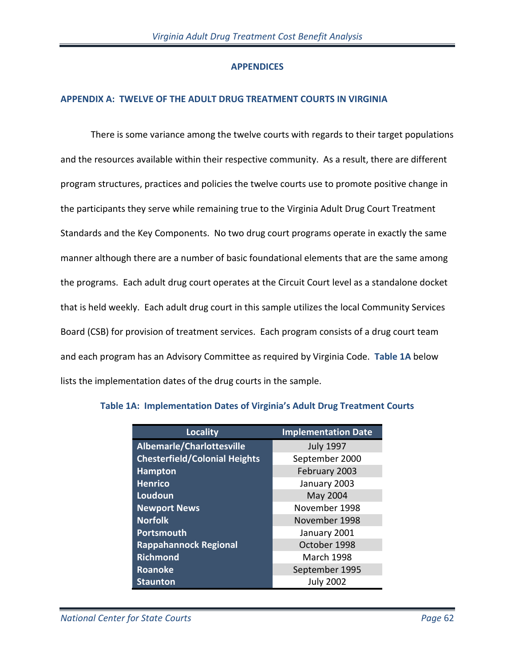# **APPENDICES**

# **APPENDIX A: TWELVE OF THE ADULT DRUG TREATMENT COURTS IN VIRGINIA**

There is some variance among the twelve courts with regards to their target populations and the resources available within their respective community. As a result, there are different program structures, practices and policies the twelve courts use to promote positive change in the participants they serve while remaining true to the Virginia Adult Drug Court Treatment Standards and the Key Components. No two drug court programs operate in exactly the same manner although there are a number of basic foundational elements that are the same among the programs. Each adult drug court operates at the Circuit Court level as a standalone docket that is held weekly. Each adult drug court in this sample utilizes the local Community Services Board (CSB) for provision of treatment services. Each program consists of a drug court team and each program has an Advisory Committee as required by Virginia Code. **Table 1A** below lists the implementation dates of the drug courts in the sample.

| <b>Locality</b>                      | <b>Implementation Date</b> |
|--------------------------------------|----------------------------|
| Albemarle/Charlottesville            | <b>July 1997</b>           |
| <b>Chesterfield/Colonial Heights</b> | September 2000             |
| <b>Hampton</b>                       | February 2003              |
| <b>Henrico</b>                       | January 2003               |
| Loudoun                              | May 2004                   |
| <b>Newport News</b>                  | November 1998              |
| <b>Norfolk</b>                       | November 1998              |
| Portsmouth                           | January 2001               |
| <b>Rappahannock Regional</b>         | October 1998               |
| <b>Richmond</b>                      | <b>March 1998</b>          |
| <b>Roanoke</b>                       | September 1995             |
| <b>Staunton</b>                      | <b>July 2002</b>           |

## **Table 1A: Implementation Dates of Virginia's Adult Drug Treatment Courts**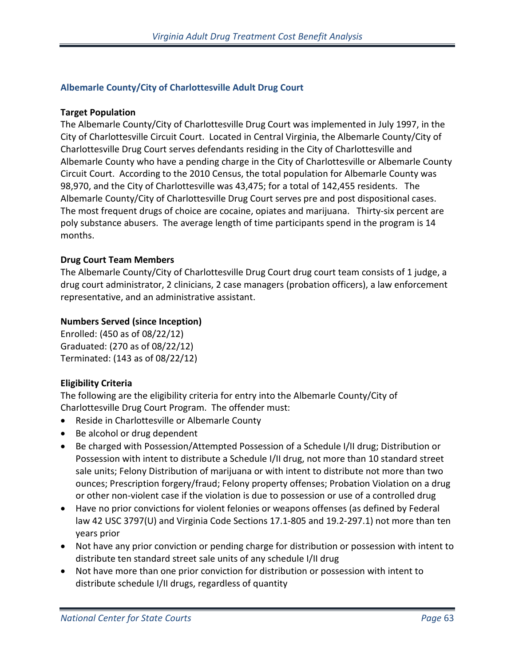# **Albemarle County/City of Charlottesville Adult Drug Court**

## **Target Population**

The Albemarle County/City of Charlottesville Drug Court was implemented in July 1997, in the City of Charlottesville Circuit Court. Located in Central Virginia, the Albemarle County/City of Charlottesville Drug Court serves defendants residing in the City of Charlottesville and Albemarle County who have a pending charge in the City of Charlottesville or Albemarle County Circuit Court. According to the 2010 Census, the total population for Albemarle County was 98,970, and the City of Charlottesville was 43,475; for a total of 142,455 residents. The Albemarle County/City of Charlottesville Drug Court serves pre and post dispositional cases. The most frequent drugs of choice are cocaine, opiates and marijuana. Thirty-six percent are poly substance abusers. The average length of time participants spend in the program is 14 months.

## **Drug Court Team Members**

The Albemarle County/City of Charlottesville Drug Court drug court team consists of 1 judge, a drug court administrator, 2 clinicians, 2 case managers (probation officers), a law enforcement representative, and an administrative assistant.

# **Numbers Served (since Inception)**

Enrolled: (450 as of 08/22/12) Graduated: (270 as of 08/22/12) Terminated: (143 as of 08/22/12)

## **Eligibility Criteria**

The following are the eligibility criteria for entry into the Albemarle County/City of Charlottesville Drug Court Program. The offender must:

- Reside in Charlottesville or Albemarle County
- Be alcohol or drug dependent
- Be charged with Possession/Attempted Possession of a Schedule I/II drug; Distribution or Possession with intent to distribute a Schedule I/II drug, not more than 10 standard street sale units; Felony Distribution of marijuana or with intent to distribute not more than two ounces; Prescription forgery/fraud; Felony property offenses; Probation Violation on a drug or other non-violent case if the violation is due to possession or use of a controlled drug
- Have no prior convictions for violent felonies or weapons offenses (as defined by Federal law 42 USC 3797(U) and Virginia Code Sections 17.1-805 and 19.2-297.1) not more than ten years prior
- Not have any prior conviction or pending charge for distribution or possession with intent to distribute ten standard street sale units of any schedule I/II drug
- Not have more than one prior conviction for distribution or possession with intent to distribute schedule I/II drugs, regardless of quantity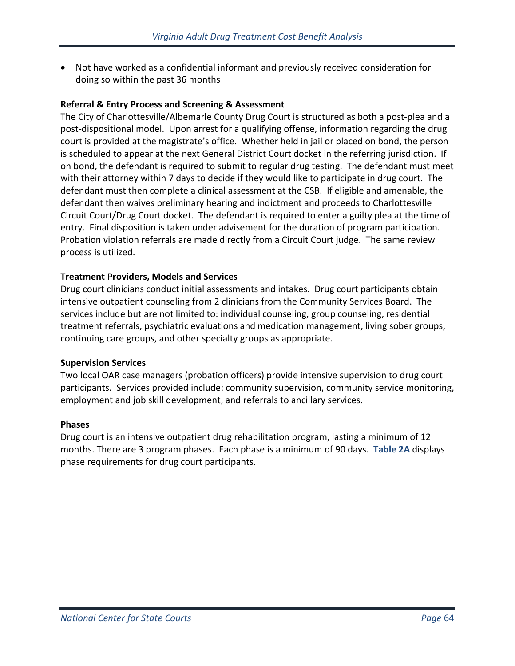• Not have worked as a confidential informant and previously received consideration for doing so within the past 36 months

## **Referral & Entry Process and Screening & Assessment**

The City of Charlottesville/Albemarle County Drug Court is structured as both a post-plea and a post-dispositional model. Upon arrest for a qualifying offense, information regarding the drug court is provided at the magistrate's office. Whether held in jail or placed on bond, the person is scheduled to appear at the next General District Court docket in the referring jurisdiction. If on bond, the defendant is required to submit to regular drug testing. The defendant must meet with their attorney within 7 days to decide if they would like to participate in drug court. The defendant must then complete a clinical assessment at the CSB. If eligible and amenable, the defendant then waives preliminary hearing and indictment and proceeds to Charlottesville Circuit Court/Drug Court docket. The defendant is required to enter a guilty plea at the time of entry. Final disposition is taken under advisement for the duration of program participation. Probation violation referrals are made directly from a Circuit Court judge. The same review process is utilized.

## **Treatment Providers, Models and Services**

Drug court clinicians conduct initial assessments and intakes. Drug court participants obtain intensive outpatient counseling from 2 clinicians from the Community Services Board. The services include but are not limited to: individual counseling, group counseling, residential treatment referrals, psychiatric evaluations and medication management, living sober groups, continuing care groups, and other specialty groups as appropriate.

## **Supervision Services**

Two local OAR case managers (probation officers) provide intensive supervision to drug court participants. Services provided include: community supervision, community service monitoring, employment and job skill development, and referrals to ancillary services.

#### **Phases**

Drug court is an intensive outpatient drug rehabilitation program, lasting a minimum of 12 months. There are 3 program phases. Each phase is a minimum of 90 days. **Table 2A** displays phase requirements for drug court participants.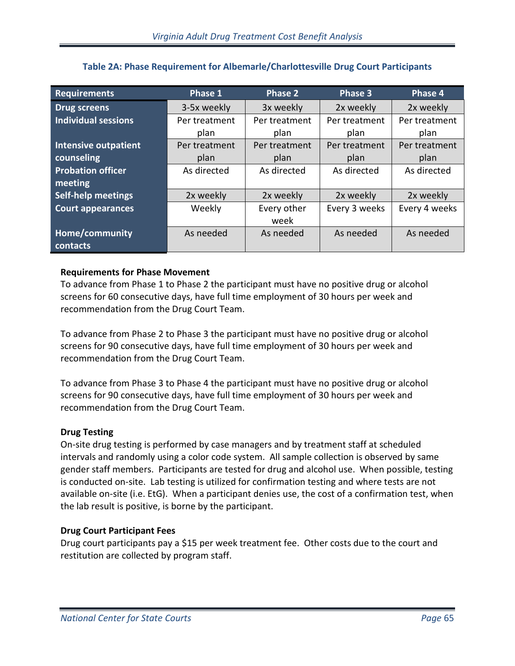| <b>Requirements</b>         | Phase 1       | Phase 2       |               | Phase 4       |  |
|-----------------------------|---------------|---------------|---------------|---------------|--|
| <b>Drug screens</b>         | 3-5x weekly   | 3x weekly     | 2x weekly     | 2x weekly     |  |
| <b>Individual sessions</b>  | Per treatment | Per treatment | Per treatment | Per treatment |  |
|                             | plan          | plan          |               | plan          |  |
| <b>Intensive outpatient</b> | Per treatment | Per treatment | Per treatment | Per treatment |  |
| counseling                  | plan          | plan          | plan          | plan          |  |
| <b>Probation officer</b>    | As directed   | As directed   | As directed   | As directed   |  |
| meeting                     |               |               |               |               |  |
| <b>Self-help meetings</b>   | 2x weekly     | 2x weekly     | 2x weekly     | 2x weekly     |  |
| <b>Court appearances</b>    | Weekly        | Every other   | Every 3 weeks | Every 4 weeks |  |
|                             |               | week          |               |               |  |
| Home/community              | As needed     | As needed     | As needed     | As needed     |  |
| contacts                    |               |               |               |               |  |

# **Table 2A: Phase Requirement for Albemarle/Charlottesville Drug Court Participants**

# **Requirements for Phase Movement**

To advance from Phase 1 to Phase 2 the participant must have no positive drug or alcohol screens for 60 consecutive days, have full time employment of 30 hours per week and recommendation from the Drug Court Team.

To advance from Phase 2 to Phase 3 the participant must have no positive drug or alcohol screens for 90 consecutive days, have full time employment of 30 hours per week and recommendation from the Drug Court Team.

To advance from Phase 3 to Phase 4 the participant must have no positive drug or alcohol screens for 90 consecutive days, have full time employment of 30 hours per week and recommendation from the Drug Court Team.

## **Drug Testing**

On-site drug testing is performed by case managers and by treatment staff at scheduled intervals and randomly using a color code system. All sample collection is observed by same gender staff members. Participants are tested for drug and alcohol use. When possible, testing is conducted on-site. Lab testing is utilized for confirmation testing and where tests are not available on-site (i.e. EtG). When a participant denies use, the cost of a confirmation test, when the lab result is positive, is borne by the participant.

## **Drug Court Participant Fees**

Drug court participants pay a \$15 per week treatment fee. Other costs due to the court and restitution are collected by program staff.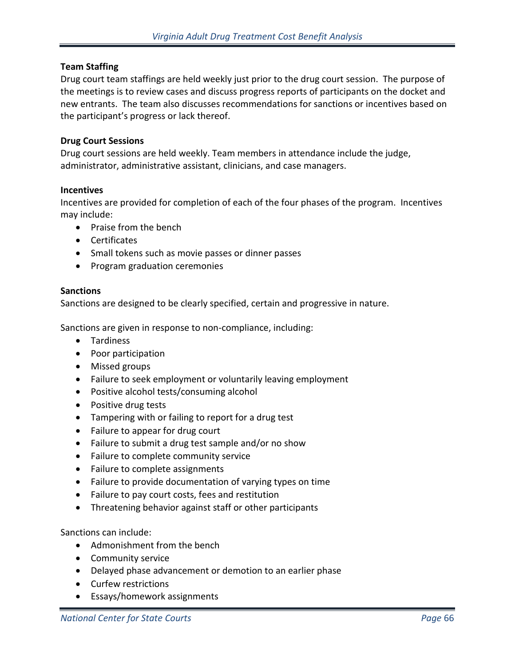## **Team Staffing**

Drug court team staffings are held weekly just prior to the drug court session. The purpose of the meetings is to review cases and discuss progress reports of participants on the docket and new entrants. The team also discusses recommendations for sanctions or incentives based on the participant's progress or lack thereof.

## **Drug Court Sessions**

Drug court sessions are held weekly. Team members in attendance include the judge, administrator, administrative assistant, clinicians, and case managers.

#### **Incentives**

Incentives are provided for completion of each of the four phases of the program. Incentives may include:

- Praise from the bench
- Certificates
- Small tokens such as movie passes or dinner passes
- Program graduation ceremonies

#### **Sanctions**

Sanctions are designed to be clearly specified, certain and progressive in nature.

Sanctions are given in response to non-compliance, including:

- Tardiness
- Poor participation
- Missed groups
- Failure to seek employment or voluntarily leaving employment
- Positive alcohol tests/consuming alcohol
- Positive drug tests
- Tampering with or failing to report for a drug test
- Failure to appear for drug court
- Failure to submit a drug test sample and/or no show
- Failure to complete community service
- Failure to complete assignments
- Failure to provide documentation of varying types on time
- Failure to pay court costs, fees and restitution
- Threatening behavior against staff or other participants

Sanctions can include:

- Admonishment from the bench
- Community service
- Delayed phase advancement or demotion to an earlier phase
- Curfew restrictions
- Essays/homework assignments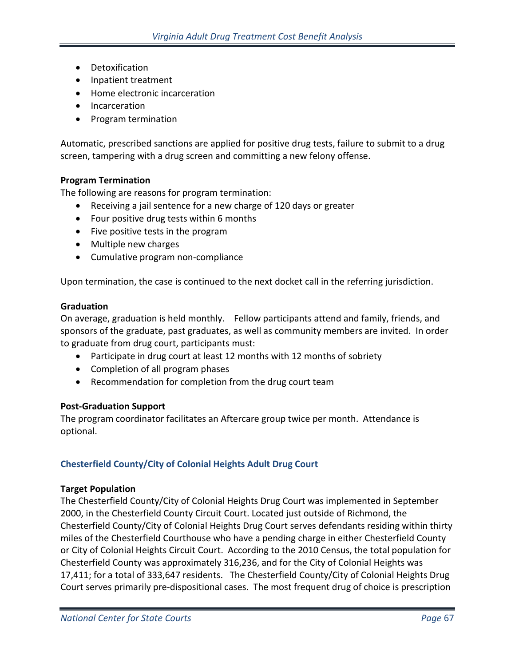- Detoxification
- Inpatient treatment
- Home electronic incarceration
- Incarceration
- Program termination

Automatic, prescribed sanctions are applied for positive drug tests, failure to submit to a drug screen, tampering with a drug screen and committing a new felony offense.

# **Program Termination**

The following are reasons for program termination:

- Receiving a jail sentence for a new charge of 120 days or greater
- Four positive drug tests within 6 months
- Five positive tests in the program
- Multiple new charges
- Cumulative program non-compliance

Upon termination, the case is continued to the next docket call in the referring jurisdiction.

#### **Graduation**

On average, graduation is held monthly. Fellow participants attend and family, friends, and sponsors of the graduate, past graduates, as well as community members are invited. In order to graduate from drug court, participants must:

- Participate in drug court at least 12 months with 12 months of sobriety
- Completion of all program phases
- Recommendation for completion from the drug court team

## **Post-Graduation Support**

The program coordinator facilitates an Aftercare group twice per month. Attendance is optional.

# **Chesterfield County/City of Colonial Heights Adult Drug Court**

## **Target Population**

The Chesterfield County/City of Colonial Heights Drug Court was implemented in September 2000, in the Chesterfield County Circuit Court. Located just outside of Richmond, the Chesterfield County/City of Colonial Heights Drug Court serves defendants residing within thirty miles of the Chesterfield Courthouse who have a pending charge in either Chesterfield County or City of Colonial Heights Circuit Court. According to the 2010 Census, the total population for Chesterfield County was approximately 316,236, and for the City of Colonial Heights was 17,411; for a total of 333,647 residents. The Chesterfield County/City of Colonial Heights Drug Court serves primarily pre-dispositional cases. The most frequent drug of choice is prescription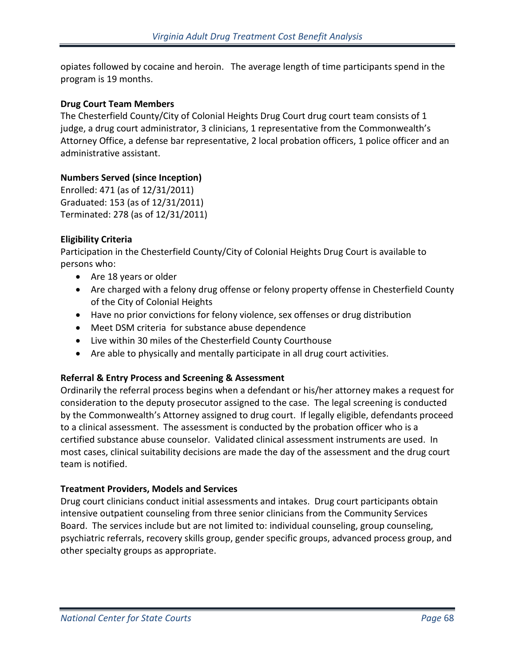opiates followed by cocaine and heroin. The average length of time participants spend in the program is 19 months.

# **Drug Court Team Members**

The Chesterfield County/City of Colonial Heights Drug Court drug court team consists of 1 judge, a drug court administrator, 3 clinicians, 1 representative from the Commonwealth's Attorney Office, a defense bar representative, 2 local probation officers, 1 police officer and an administrative assistant.

# **Numbers Served (since Inception)**

Enrolled: 471 (as of 12/31/2011) Graduated: 153 (as of 12/31/2011) Terminated: 278 (as of 12/31/2011)

# **Eligibility Criteria**

Participation in the Chesterfield County/City of Colonial Heights Drug Court is available to persons who:

- Are 18 years or older
- Are charged with a felony drug offense or felony property offense in Chesterfield County of the City of Colonial Heights
- Have no prior convictions for felony violence, sex offenses or drug distribution
- Meet DSM criteria for substance abuse dependence
- Live within 30 miles of the Chesterfield County Courthouse
- Are able to physically and mentally participate in all drug court activities.

# **Referral & Entry Process and Screening & Assessment**

Ordinarily the referral process begins when a defendant or his/her attorney makes a request for consideration to the deputy prosecutor assigned to the case. The legal screening is conducted by the Commonwealth's Attorney assigned to drug court. If legally eligible, defendants proceed to a clinical assessment. The assessment is conducted by the probation officer who is a certified substance abuse counselor. Validated clinical assessment instruments are used. In most cases, clinical suitability decisions are made the day of the assessment and the drug court team is notified.

## **Treatment Providers, Models and Services**

Drug court clinicians conduct initial assessments and intakes. Drug court participants obtain intensive outpatient counseling from three senior clinicians from the Community Services Board. The services include but are not limited to: individual counseling, group counseling, psychiatric referrals, recovery skills group, gender specific groups, advanced process group, and other specialty groups as appropriate.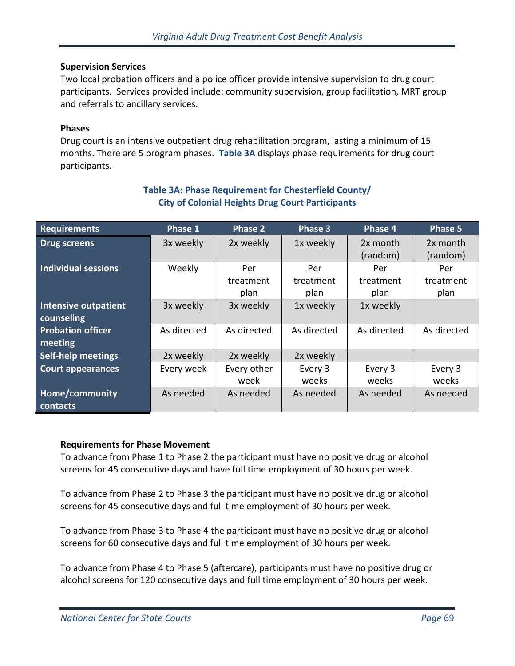## **Supervision Services**

Two local probation officers and a police officer provide intensive supervision to drug court participants. Services provided include: community supervision, group facilitation, MRT group and referrals to ancillary services.

#### **Phases**

Drug court is an intensive outpatient drug rehabilitation program, lasting a minimum of 15 months. There are 5 program phases. **Table 3A** displays phase requirements for drug court participants.

| <b>Requirements</b>                       | Phase <sub>1</sub> | <b>Phase 2</b>           | Phase 3                  | Phase 4                  | Phase 5                  |
|-------------------------------------------|--------------------|--------------------------|--------------------------|--------------------------|--------------------------|
| <b>Drug screens</b>                       | 3x weekly          | 2x weekly                | 1x weekly                | 2x month<br>(random)     | 2x month<br>(random)     |
| <b>Individual sessions</b>                | Weekly             | Per<br>treatment<br>plan | Per<br>treatment<br>plan | Per<br>treatment<br>plan | Per<br>treatment<br>plan |
| <b>Intensive outpatient</b><br>counseling | 3x weekly          | 3x weekly                | 1x weekly                | 1x weekly                |                          |
| <b>Probation officer</b><br>meeting       | As directed        | As directed              | As directed              | As directed              | As directed              |
| <b>Self-help meetings</b>                 | 2x weekly          | 2x weekly                | 2x weekly                |                          |                          |
| <b>Court appearances</b>                  | Every week         | Every other<br>week      | Every 3<br>weeks         | Every 3<br>weeks         | Every 3<br>weeks         |
| Home/community<br>contacts                | As needed          | As needed                | As needed                | As needed                | As needed                |

# **Table 3A: Phase Requirement for Chesterfield County/ City of Colonial Heights Drug Court Participants**

## **Requirements for Phase Movement**

To advance from Phase 1 to Phase 2 the participant must have no positive drug or alcohol screens for 45 consecutive days and have full time employment of 30 hours per week.

To advance from Phase 2 to Phase 3 the participant must have no positive drug or alcohol screens for 45 consecutive days and full time employment of 30 hours per week.

To advance from Phase 3 to Phase 4 the participant must have no positive drug or alcohol screens for 60 consecutive days and full time employment of 30 hours per week.

To advance from Phase 4 to Phase 5 (aftercare), participants must have no positive drug or alcohol screens for 120 consecutive days and full time employment of 30 hours per week.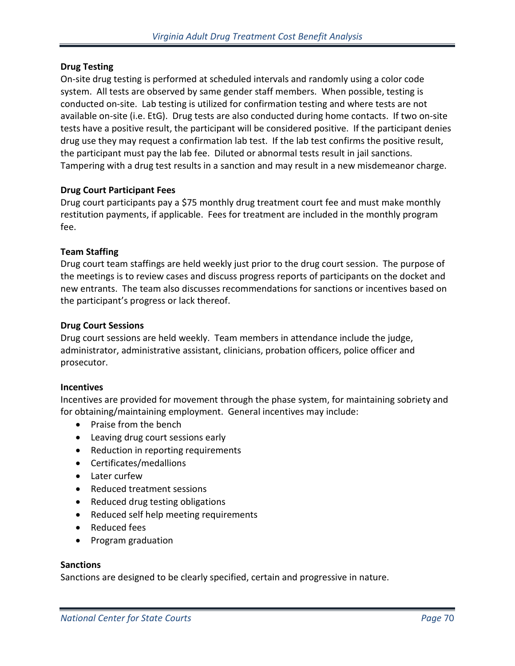## **Drug Testing**

On-site drug testing is performed at scheduled intervals and randomly using a color code system. All tests are observed by same gender staff members. When possible, testing is conducted on-site. Lab testing is utilized for confirmation testing and where tests are not available on-site (i.e. EtG). Drug tests are also conducted during home contacts. If two on-site tests have a positive result, the participant will be considered positive. If the participant denies drug use they may request a confirmation lab test. If the lab test confirms the positive result, the participant must pay the lab fee. Diluted or abnormal tests result in jail sanctions. Tampering with a drug test results in a sanction and may result in a new misdemeanor charge.

## **Drug Court Participant Fees**

Drug court participants pay a \$75 monthly drug treatment court fee and must make monthly restitution payments, if applicable. Fees for treatment are included in the monthly program fee.

#### **Team Staffing**

Drug court team staffings are held weekly just prior to the drug court session. The purpose of the meetings is to review cases and discuss progress reports of participants on the docket and new entrants. The team also discusses recommendations for sanctions or incentives based on the participant's progress or lack thereof.

#### **Drug Court Sessions**

Drug court sessions are held weekly. Team members in attendance include the judge, administrator, administrative assistant, clinicians, probation officers, police officer and prosecutor.

#### **Incentives**

Incentives are provided for movement through the phase system, for maintaining sobriety and for obtaining/maintaining employment. General incentives may include:

- Praise from the bench
- Leaving drug court sessions early
- Reduction in reporting requirements
- Certificates/medallions
- Later curfew
- Reduced treatment sessions
- Reduced drug testing obligations
- Reduced self help meeting requirements
- Reduced fees
- Program graduation

#### **Sanctions**

Sanctions are designed to be clearly specified, certain and progressive in nature.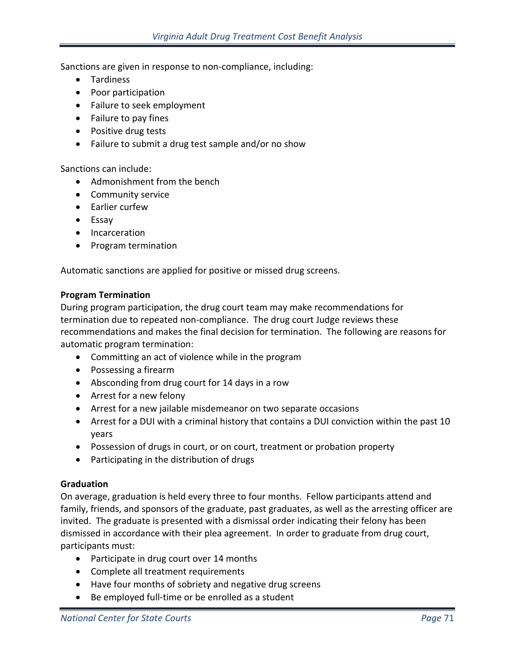Sanctions are given in response to non-compliance, including:

- Tardiness
- Poor participation
- Failure to seek employment
- Failure to pay fines
- Positive drug tests
- Failure to submit a drug test sample and/or no show

Sanctions can include:

- Admonishment from the bench
- Community service
- Earlier curfew
- Essay
- Incarceration
- Program termination

Automatic sanctions are applied for positive or missed drug screens.

#### **Program Termination**

During program participation, the drug court team may make recommendations for termination due to repeated non-compliance. The drug court Judge reviews these recommendations and makes the final decision for termination. The following are reasons for automatic program termination:

- Committing an act of violence while in the program
- Possessing a firearm
- Absconding from drug court for 14 days in a row
- Arrest for a new felony
- Arrest for a new jailable misdemeanor on two separate occasions
- Arrest for a DUI with a criminal history that contains a DUI conviction within the past 10 years
- Possession of drugs in court, or on court, treatment or probation property
- Participating in the distribution of drugs

## **Graduation**

On average, graduation is held every three to four months. Fellow participants attend and family, friends, and sponsors of the graduate, past graduates, as well as the arresting officer are invited. The graduate is presented with a dismissal order indicating their felony has been dismissed in accordance with their plea agreement. In order to graduate from drug court, participants must:

- Participate in drug court over 14 months
- Complete all treatment requirements
- Have four months of sobriety and negative drug screens
- Be employed full-time or be enrolled as a student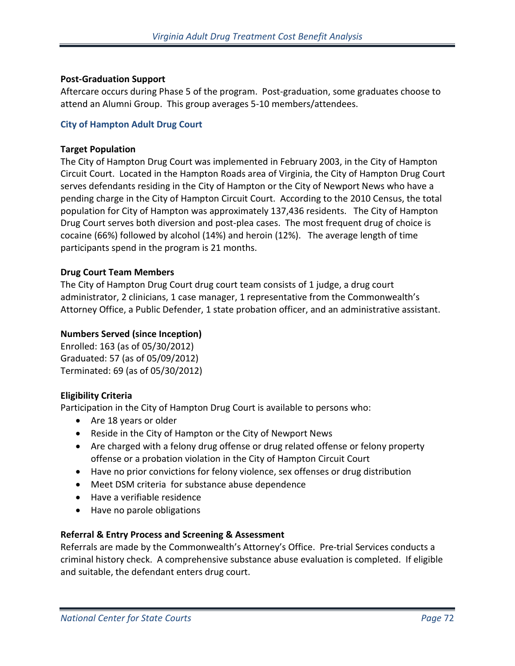## **Post-Graduation Support**

Aftercare occurs during Phase 5 of the program. Post-graduation, some graduates choose to attend an Alumni Group. This group averages 5-10 members/attendees.

#### **City of Hampton Adult Drug Court**

#### **Target Population**

The City of Hampton Drug Court was implemented in February 2003, in the City of Hampton Circuit Court. Located in the Hampton Roads area of Virginia, the City of Hampton Drug Court serves defendants residing in the City of Hampton or the City of Newport News who have a pending charge in the City of Hampton Circuit Court. According to the 2010 Census, the total population for City of Hampton was approximately 137,436 residents. The City of Hampton Drug Court serves both diversion and post-plea cases. The most frequent drug of choice is cocaine (66%) followed by alcohol (14%) and heroin (12%). The average length of time participants spend in the program is 21 months.

## **Drug Court Team Members**

The City of Hampton Drug Court drug court team consists of 1 judge, a drug court administrator, 2 clinicians, 1 case manager, 1 representative from the Commonwealth's Attorney Office, a Public Defender, 1 state probation officer, and an administrative assistant.

## **Numbers Served (since Inception)**

Enrolled: 163 (as of 05/30/2012) Graduated: 57 (as of 05/09/2012) Terminated: 69 (as of 05/30/2012)

## **Eligibility Criteria**

Participation in the City of Hampton Drug Court is available to persons who:

- Are 18 years or older
- Reside in the City of Hampton or the City of Newport News
- Are charged with a felony drug offense or drug related offense or felony property offense or a probation violation in the City of Hampton Circuit Court
- Have no prior convictions for felony violence, sex offenses or drug distribution
- Meet DSM criteria for substance abuse dependence
- Have a verifiable residence
- Have no parole obligations

## **Referral & Entry Process and Screening & Assessment**

Referrals are made by the Commonwealth's Attorney's Office. Pre-trial Services conducts a criminal history check. A comprehensive substance abuse evaluation is completed. If eligible and suitable, the defendant enters drug court.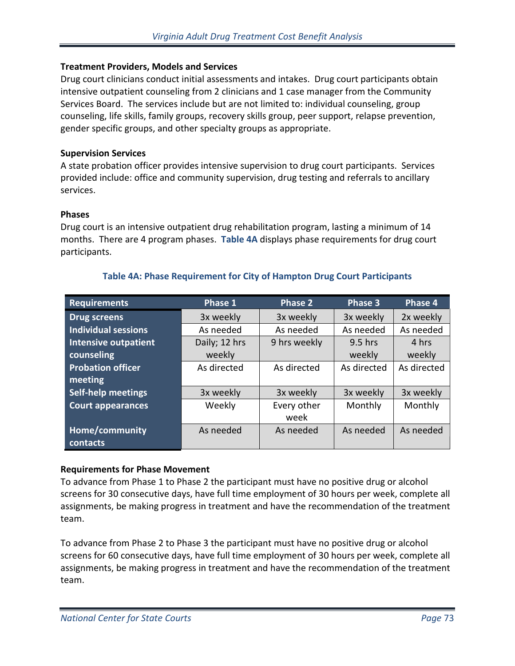## **Treatment Providers, Models and Services**

Drug court clinicians conduct initial assessments and intakes. Drug court participants obtain intensive outpatient counseling from 2 clinicians and 1 case manager from the Community Services Board. The services include but are not limited to: individual counseling, group counseling, life skills, family groups, recovery skills group, peer support, relapse prevention, gender specific groups, and other specialty groups as appropriate.

## **Supervision Services**

A state probation officer provides intensive supervision to drug court participants. Services provided include: office and community supervision, drug testing and referrals to ancillary services.

## **Phases**

Drug court is an intensive outpatient drug rehabilitation program, lasting a minimum of 14 months. There are 4 program phases. **Table 4A** displays phase requirements for drug court participants.

| <b>Requirements</b>         | Phase 1<br><b>Phase 2</b>  |              | Phase 3     | Phase 4     |
|-----------------------------|----------------------------|--------------|-------------|-------------|
| <b>Drug screens</b>         | 3x weekly                  | 3x weekly    | 3x weekly   | 2x weekly   |
| <b>Individual sessions</b>  | As needed                  | As needed    | As needed   | As needed   |
| <b>Intensive outpatient</b> | Daily; 12 hrs              | 9 hrs weekly | $9.5$ hrs   | 4 hrs       |
| counseling                  | weekly                     |              | weekly      | weekly      |
| <b>Probation officer</b>    | As directed<br>As directed |              | As directed | As directed |
| meeting                     |                            |              |             |             |
| Self-help meetings          | 3x weekly                  | 3x weekly    | 3x weekly   | 3x weekly   |
| <b>Court appearances</b>    | Weekly                     | Every other  | Monthly     | Monthly     |
|                             |                            | week         |             |             |
| <b>Home/community</b>       | As needed                  | As needed    | As needed   | As needed   |
| contacts                    |                            |              |             |             |

# **Table 4A: Phase Requirement for City of Hampton Drug Court Participants**

# **Requirements for Phase Movement**

To advance from Phase 1 to Phase 2 the participant must have no positive drug or alcohol screens for 30 consecutive days, have full time employment of 30 hours per week, complete all assignments, be making progress in treatment and have the recommendation of the treatment team.

To advance from Phase 2 to Phase 3 the participant must have no positive drug or alcohol screens for 60 consecutive days, have full time employment of 30 hours per week, complete all assignments, be making progress in treatment and have the recommendation of the treatment team.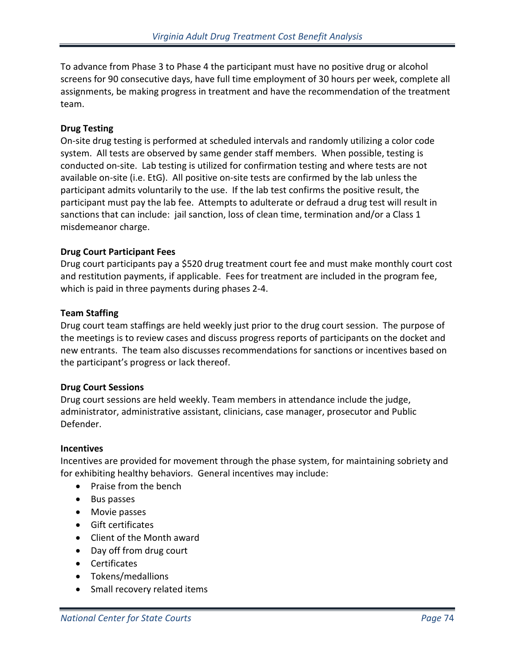To advance from Phase 3 to Phase 4 the participant must have no positive drug or alcohol screens for 90 consecutive days, have full time employment of 30 hours per week, complete all assignments, be making progress in treatment and have the recommendation of the treatment team.

## **Drug Testing**

On-site drug testing is performed at scheduled intervals and randomly utilizing a color code system. All tests are observed by same gender staff members. When possible, testing is conducted on-site. Lab testing is utilized for confirmation testing and where tests are not available on-site (i.e. EtG). All positive on-site tests are confirmed by the lab unless the participant admits voluntarily to the use. If the lab test confirms the positive result, the participant must pay the lab fee. Attempts to adulterate or defraud a drug test will result in sanctions that can include: jail sanction, loss of clean time, termination and/or a Class 1 misdemeanor charge.

#### **Drug Court Participant Fees**

Drug court participants pay a \$520 drug treatment court fee and must make monthly court cost and restitution payments, if applicable. Fees for treatment are included in the program fee, which is paid in three payments during phases 2-4.

#### **Team Staffing**

Drug court team staffings are held weekly just prior to the drug court session. The purpose of the meetings is to review cases and discuss progress reports of participants on the docket and new entrants. The team also discusses recommendations for sanctions or incentives based on the participant's progress or lack thereof.

#### **Drug Court Sessions**

Drug court sessions are held weekly. Team members in attendance include the judge, administrator, administrative assistant, clinicians, case manager, prosecutor and Public Defender.

#### **Incentives**

Incentives are provided for movement through the phase system, for maintaining sobriety and for exhibiting healthy behaviors. General incentives may include:

- Praise from the bench
- Bus passes
- Movie passes
- Gift certificates
- Client of the Month award
- Day off from drug court
- Certificates
- Tokens/medallions
- Small recovery related items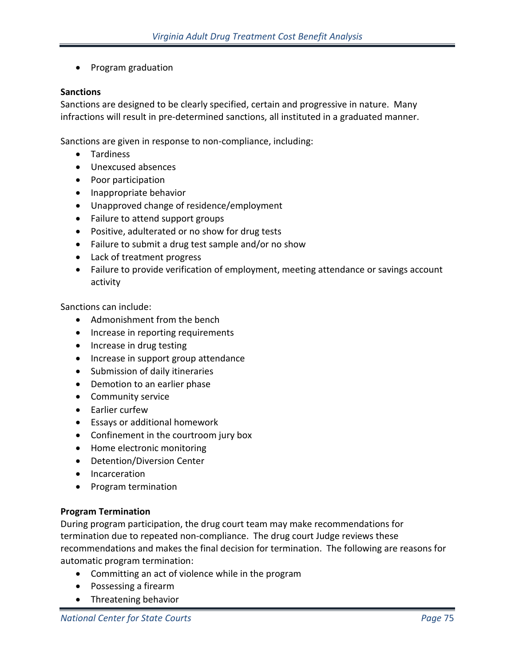• Program graduation

## **Sanctions**

Sanctions are designed to be clearly specified, certain and progressive in nature. Many infractions will result in pre-determined sanctions, all instituted in a graduated manner.

Sanctions are given in response to non-compliance, including:

- Tardiness
- Unexcused absences
- Poor participation
- Inappropriate behavior
- Unapproved change of residence/employment
- Failure to attend support groups
- Positive, adulterated or no show for drug tests
- Failure to submit a drug test sample and/or no show
- Lack of treatment progress
- Failure to provide verification of employment, meeting attendance or savings account activity

Sanctions can include:

- Admonishment from the bench
- Increase in reporting requirements
- Increase in drug testing
- Increase in support group attendance
- Submission of daily itineraries
- Demotion to an earlier phase
- Community service
- Earlier curfew
- Essays or additional homework
- Confinement in the courtroom jury box
- Home electronic monitoring
- Detention/Diversion Center
- Incarceration
- Program termination

## **Program Termination**

During program participation, the drug court team may make recommendations for termination due to repeated non-compliance. The drug court Judge reviews these recommendations and makes the final decision for termination. The following are reasons for automatic program termination:

- Committing an act of violence while in the program
- Possessing a firearm
- Threatening behavior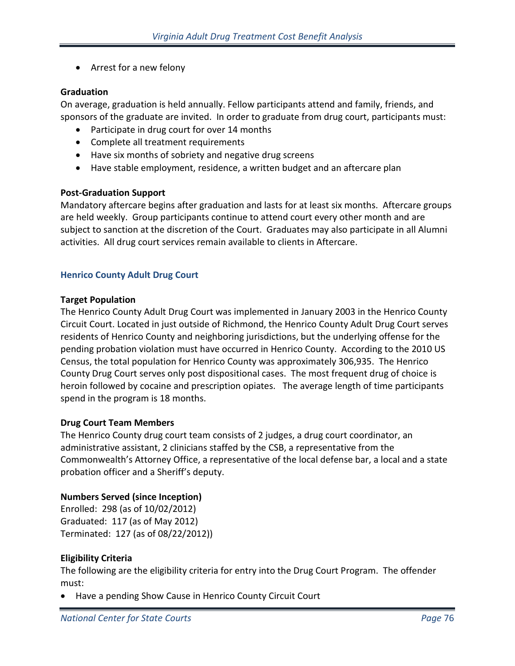• Arrest for a new felony

# **Graduation**

On average, graduation is held annually. Fellow participants attend and family, friends, and sponsors of the graduate are invited. In order to graduate from drug court, participants must:

- Participate in drug court for over 14 months
- Complete all treatment requirements
- Have six months of sobriety and negative drug screens
- Have stable employment, residence, a written budget and an aftercare plan

# **Post-Graduation Support**

Mandatory aftercare begins after graduation and lasts for at least six months. Aftercare groups are held weekly. Group participants continue to attend court every other month and are subject to sanction at the discretion of the Court. Graduates may also participate in all Alumni activities. All drug court services remain available to clients in Aftercare.

# **Henrico County Adult Drug Court**

# **Target Population**

The Henrico County Adult Drug Court was implemented in January 2003 in the Henrico County Circuit Court. Located in just outside of Richmond, the Henrico County Adult Drug Court serves residents of Henrico County and neighboring jurisdictions, but the underlying offense for the pending probation violation must have occurred in Henrico County. According to the 2010 US Census, the total population for Henrico County was approximately 306,935. The Henrico County Drug Court serves only post dispositional cases. The most frequent drug of choice is heroin followed by cocaine and prescription opiates. The average length of time participants spend in the program is 18 months.

# **Drug Court Team Members**

The Henrico County drug court team consists of 2 judges, a drug court coordinator, an administrative assistant, 2 clinicians staffed by the CSB, a representative from the Commonwealth's Attorney Office, a representative of the local defense bar, a local and a state probation officer and a Sheriff's deputy.

# **Numbers Served (since Inception)**

Enrolled: 298 (as of 10/02/2012) Graduated: 117 (as of May 2012) Terminated: 127 (as of 08/22/2012))

# **Eligibility Criteria**

The following are the eligibility criteria for entry into the Drug Court Program. The offender must:

• Have a pending Show Cause in Henrico County Circuit Court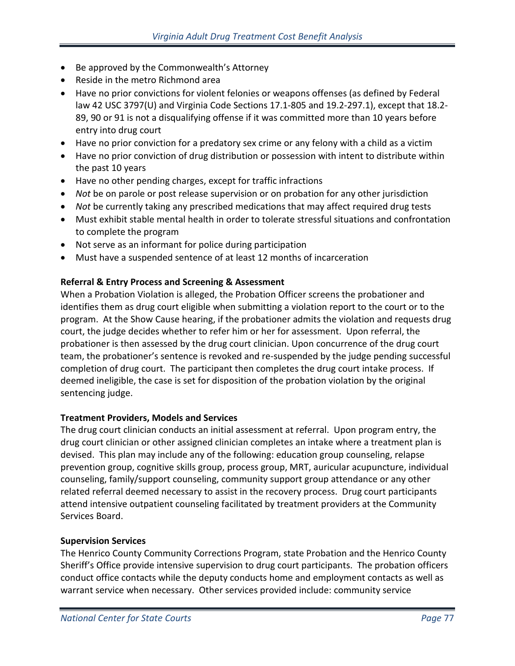- Be approved by the Commonwealth's Attorney
- Reside in the metro Richmond area
- Have no prior convictions for violent felonies or weapons offenses (as defined by Federal law 42 USC 3797(U) and Virginia Code Sections 17.1-805 and 19.2-297.1), except that 18.2- 89, 90 or 91 is not a disqualifying offense if it was committed more than 10 years before entry into drug court
- Have no prior conviction for a predatory sex crime or any felony with a child as a victim
- Have no prior conviction of drug distribution or possession with intent to distribute within the past 10 years
- Have no other pending charges, except for traffic infractions
- *Not* be on parole or post release supervision or on probation for any other jurisdiction
- *Not* be currently taking any prescribed medications that may affect required drug tests
- Must exhibit stable mental health in order to tolerate stressful situations and confrontation to complete the program
- Not serve as an informant for police during participation
- Must have a suspended sentence of at least 12 months of incarceration

# **Referral & Entry Process and Screening & Assessment**

When a Probation Violation is alleged, the Probation Officer screens the probationer and identifies them as drug court eligible when submitting a violation report to the court or to the program. At the Show Cause hearing, if the probationer admits the violation and requests drug court, the judge decides whether to refer him or her for assessment. Upon referral, the probationer is then assessed by the drug court clinician. Upon concurrence of the drug court team, the probationer's sentence is revoked and re-suspended by the judge pending successful completion of drug court. The participant then completes the drug court intake process. If deemed ineligible, the case is set for disposition of the probation violation by the original sentencing judge.

# **Treatment Providers, Models and Services**

The drug court clinician conducts an initial assessment at referral. Upon program entry, the drug court clinician or other assigned clinician completes an intake where a treatment plan is devised. This plan may include any of the following: education group counseling, relapse prevention group, cognitive skills group, process group, MRT, auricular acupuncture, individual counseling, family/support counseling, community support group attendance or any other related referral deemed necessary to assist in the recovery process. Drug court participants attend intensive outpatient counseling facilitated by treatment providers at the Community Services Board.

# **Supervision Services**

The Henrico County Community Corrections Program, state Probation and the Henrico County Sheriff's Office provide intensive supervision to drug court participants. The probation officers conduct office contacts while the deputy conducts home and employment contacts as well as warrant service when necessary. Other services provided include: community service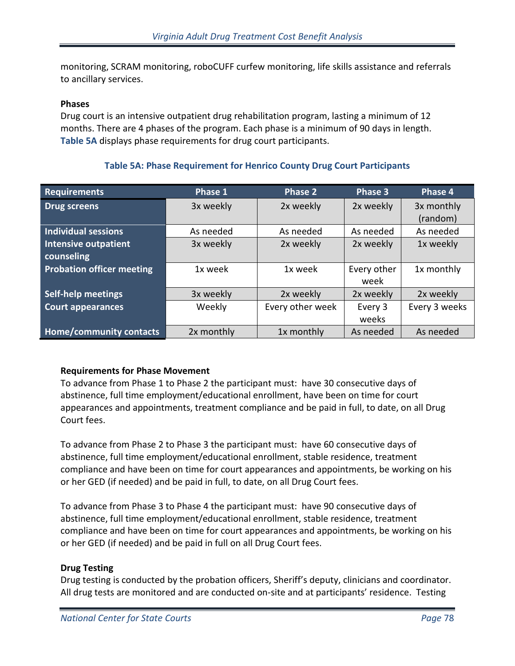monitoring, SCRAM monitoring, roboCUFF curfew monitoring, life skills assistance and referrals to ancillary services.

#### **Phases**

Drug court is an intensive outpatient drug rehabilitation program, lasting a minimum of 12 months. There are 4 phases of the program. Each phase is a minimum of 90 days in length. **Table 5A** displays phase requirements for drug court participants.

# **Requirements Phase 1 Phase 2 Phase 3 Phase 4 Drug screens** 3x weekly 2x weekly 2x weekly 3x monthly

## **Table 5A: Phase Requirement for Henrico County Drug Court Participants**

|                                  |            |                  |             | (random)      |
|----------------------------------|------------|------------------|-------------|---------------|
| <b>Individual sessions</b>       | As needed  | As needed        | As needed   | As needed     |
| <b>Intensive outpatient</b>      | 3x weekly  | 2x weekly        | 2x weekly   | 1x weekly     |
| counseling                       |            |                  |             |               |
| <b>Probation officer meeting</b> | 1x week    | 1x week          | Every other | 1x monthly    |
|                                  |            |                  | week        |               |
| <b>Self-help meetings</b>        | 3x weekly  | 2x weekly        | 2x weekly   | 2x weekly     |
| <b>Court appearances</b>         | Weekly     | Every other week | Every 3     | Every 3 weeks |
|                                  |            |                  | weeks       |               |
| <b>Home/community contacts</b>   | 2x monthly | 1x monthly       | As needed   | As needed     |

## **Requirements for Phase Movement**

To advance from Phase 1 to Phase 2 the participant must: have 30 consecutive days of abstinence, full time employment/educational enrollment, have been on time for court appearances and appointments, treatment compliance and be paid in full, to date, on all Drug Court fees.

To advance from Phase 2 to Phase 3 the participant must: have 60 consecutive days of abstinence, full time employment/educational enrollment, stable residence, treatment compliance and have been on time for court appearances and appointments, be working on his or her GED (if needed) and be paid in full, to date, on all Drug Court fees.

To advance from Phase 3 to Phase 4 the participant must: have 90 consecutive days of abstinence, full time employment/educational enrollment, stable residence, treatment compliance and have been on time for court appearances and appointments, be working on his or her GED (if needed) and be paid in full on all Drug Court fees.

## **Drug Testing**

Drug testing is conducted by the probation officers, Sheriff's deputy, clinicians and coordinator. All drug tests are monitored and are conducted on-site and at participants' residence. Testing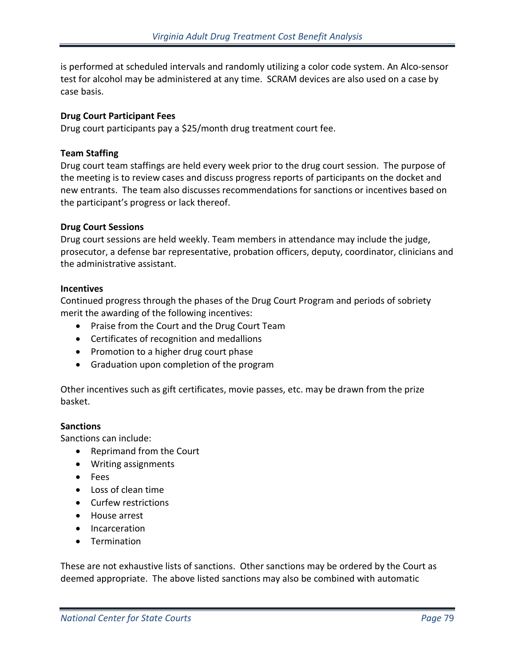is performed at scheduled intervals and randomly utilizing a color code system. An Alco-sensor test for alcohol may be administered at any time. SCRAM devices are also used on a case by case basis.

## **Drug Court Participant Fees**

Drug court participants pay a \$25/month drug treatment court fee.

## **Team Staffing**

Drug court team staffings are held every week prior to the drug court session. The purpose of the meeting is to review cases and discuss progress reports of participants on the docket and new entrants. The team also discusses recommendations for sanctions or incentives based on the participant's progress or lack thereof.

## **Drug Court Sessions**

Drug court sessions are held weekly. Team members in attendance may include the judge, prosecutor, a defense bar representative, probation officers, deputy, coordinator, clinicians and the administrative assistant.

## **Incentives**

Continued progress through the phases of the Drug Court Program and periods of sobriety merit the awarding of the following incentives:

- Praise from the Court and the Drug Court Team
- Certificates of recognition and medallions
- Promotion to a higher drug court phase
- Graduation upon completion of the program

Other incentives such as gift certificates, movie passes, etc. may be drawn from the prize basket.

## **Sanctions**

Sanctions can include:

- Reprimand from the Court
- Writing assignments
- Fees
- Loss of clean time
- Curfew restrictions
- House arrest
- Incarceration
- Termination

These are not exhaustive lists of sanctions. Other sanctions may be ordered by the Court as deemed appropriate. The above listed sanctions may also be combined with automatic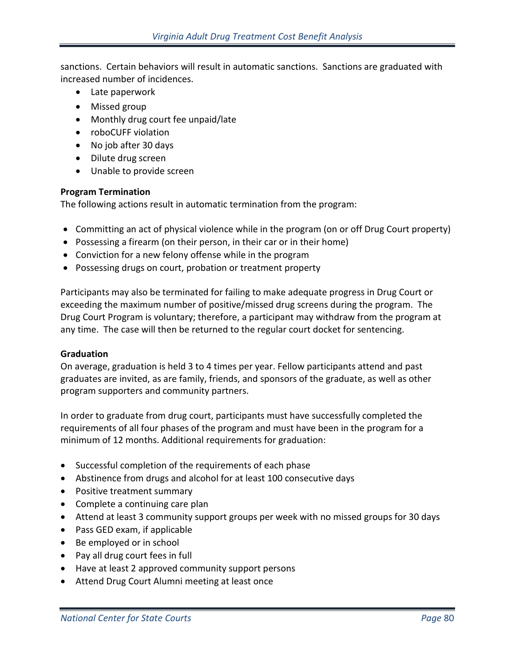sanctions. Certain behaviors will result in automatic sanctions. Sanctions are graduated with increased number of incidences.

- Late paperwork
- Missed group
- Monthly drug court fee unpaid/late
- roboCUFF violation
- No job after 30 days
- Dilute drug screen
- Unable to provide screen

## **Program Termination**

The following actions result in automatic termination from the program:

- Committing an act of physical violence while in the program (on or off Drug Court property)
- Possessing a firearm (on their person, in their car or in their home)
- Conviction for a new felony offense while in the program
- Possessing drugs on court, probation or treatment property

Participants may also be terminated for failing to make adequate progress in Drug Court or exceeding the maximum number of positive/missed drug screens during the program. The Drug Court Program is voluntary; therefore, a participant may withdraw from the program at any time. The case will then be returned to the regular court docket for sentencing.

## **Graduation**

On average, graduation is held 3 to 4 times per year. Fellow participants attend and past graduates are invited, as are family, friends, and sponsors of the graduate, as well as other program supporters and community partners.

In order to graduate from drug court, participants must have successfully completed the requirements of all four phases of the program and must have been in the program for a minimum of 12 months. Additional requirements for graduation:

- Successful completion of the requirements of each phase
- Abstinence from drugs and alcohol for at least 100 consecutive days
- Positive treatment summary
- Complete a continuing care plan
- Attend at least 3 community support groups per week with no missed groups for 30 days
- Pass GED exam, if applicable
- Be employed or in school
- Pay all drug court fees in full
- Have at least 2 approved community support persons
- Attend Drug Court Alumni meeting at least once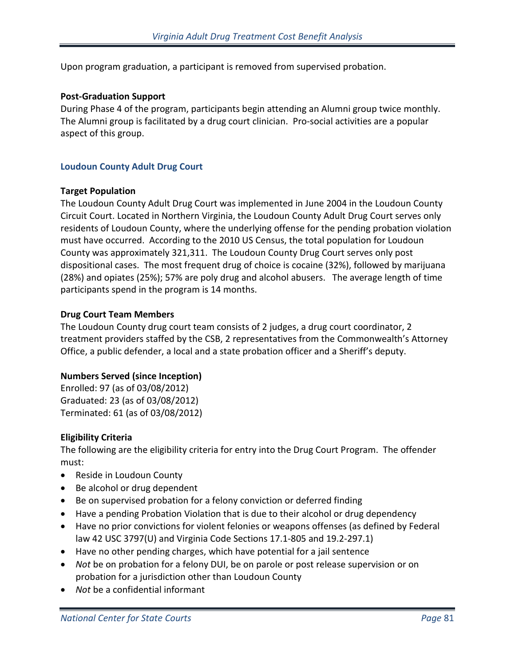Upon program graduation, a participant is removed from supervised probation.

## **Post-Graduation Support**

During Phase 4 of the program, participants begin attending an Alumni group twice monthly. The Alumni group is facilitated by a drug court clinician. Pro-social activities are a popular aspect of this group.

## **Loudoun County Adult Drug Court**

#### **Target Population**

The Loudoun County Adult Drug Court was implemented in June 2004 in the Loudoun County Circuit Court. Located in Northern Virginia, the Loudoun County Adult Drug Court serves only residents of Loudoun County, where the underlying offense for the pending probation violation must have occurred. According to the 2010 US Census, the total population for Loudoun County was approximately 321,311. The Loudoun County Drug Court serves only post dispositional cases. The most frequent drug of choice is cocaine (32%), followed by marijuana (28%) and opiates (25%); 57% are poly drug and alcohol abusers. The average length of time participants spend in the program is 14 months.

## **Drug Court Team Members**

The Loudoun County drug court team consists of 2 judges, a drug court coordinator, 2 treatment providers staffed by the CSB, 2 representatives from the Commonwealth's Attorney Office, a public defender, a local and a state probation officer and a Sheriff's deputy.

## **Numbers Served (since Inception)**

Enrolled: 97 (as of 03/08/2012) Graduated: 23 (as of 03/08/2012) Terminated: 61 (as of 03/08/2012)

## **Eligibility Criteria**

The following are the eligibility criteria for entry into the Drug Court Program. The offender must:

- Reside in Loudoun County
- Be alcohol or drug dependent
- Be on supervised probation for a felony conviction or deferred finding
- Have a pending Probation Violation that is due to their alcohol or drug dependency
- Have no prior convictions for violent felonies or weapons offenses (as defined by Federal law 42 USC 3797(U) and Virginia Code Sections 17.1-805 and 19.2-297.1)
- Have no other pending charges, which have potential for a jail sentence
- *Not* be on probation for a felony DUI, be on parole or post release supervision or on probation for a jurisdiction other than Loudoun County
- *Not* be a confidential informant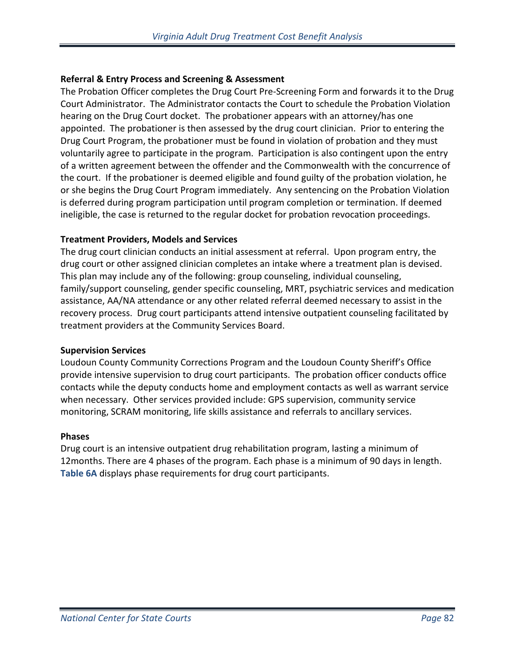# **Referral & Entry Process and Screening & Assessment**

The Probation Officer completes the Drug Court Pre-Screening Form and forwards it to the Drug Court Administrator. The Administrator contacts the Court to schedule the Probation Violation hearing on the Drug Court docket. The probationer appears with an attorney/has one appointed. The probationer is then assessed by the drug court clinician. Prior to entering the Drug Court Program, the probationer must be found in violation of probation and they must voluntarily agree to participate in the program. Participation is also contingent upon the entry of a written agreement between the offender and the Commonwealth with the concurrence of the court. If the probationer is deemed eligible and found guilty of the probation violation, he or she begins the Drug Court Program immediately. Any sentencing on the Probation Violation is deferred during program participation until program completion or termination. If deemed ineligible, the case is returned to the regular docket for probation revocation proceedings.

## **Treatment Providers, Models and Services**

The drug court clinician conducts an initial assessment at referral. Upon program entry, the drug court or other assigned clinician completes an intake where a treatment plan is devised. This plan may include any of the following: group counseling, individual counseling, family/support counseling, gender specific counseling, MRT, psychiatric services and medication assistance, AA/NA attendance or any other related referral deemed necessary to assist in the recovery process. Drug court participants attend intensive outpatient counseling facilitated by treatment providers at the Community Services Board.

## **Supervision Services**

Loudoun County Community Corrections Program and the Loudoun County Sheriff's Office provide intensive supervision to drug court participants. The probation officer conducts office contacts while the deputy conducts home and employment contacts as well as warrant service when necessary. Other services provided include: GPS supervision, community service monitoring, SCRAM monitoring, life skills assistance and referrals to ancillary services.

## **Phases**

Drug court is an intensive outpatient drug rehabilitation program, lasting a minimum of 12months. There are 4 phases of the program. Each phase is a minimum of 90 days in length. **Table 6A** displays phase requirements for drug court participants.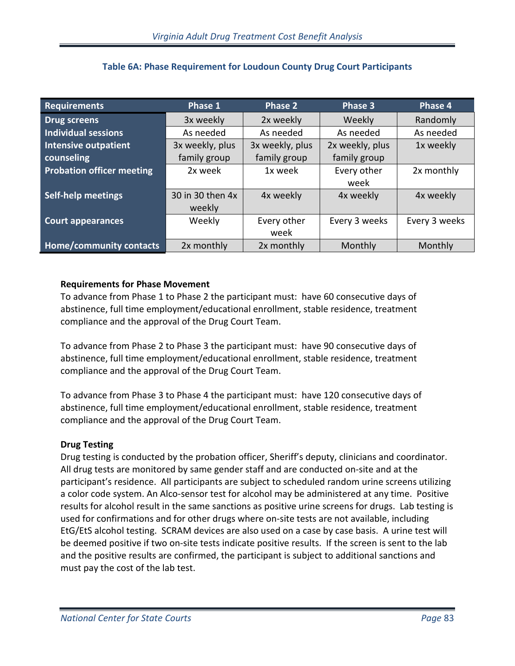| <b>Requirements</b>              | Phase 1          | Phase 2         | Phase 3         | Phase 4       |
|----------------------------------|------------------|-----------------|-----------------|---------------|
| <b>Drug screens</b>              | 3x weekly        | 2x weekly       | Weekly          | Randomly      |
| <b>Individual sessions</b>       | As needed        | As needed       | As needed       | As needed     |
| <b>Intensive outpatient</b>      | 3x weekly, plus  | 3x weekly, plus | 2x weekly, plus | 1x weekly     |
| counseling                       | family group     | family group    | family group    |               |
| <b>Probation officer meeting</b> | 2x week          | 1x week         | Every other     | 2x monthly    |
|                                  |                  |                 | week            |               |
| <b>Self-help meetings</b>        | 30 in 30 then 4x | 4x weekly       | 4x weekly       | 4x weekly     |
|                                  | weekly           |                 |                 |               |
| <b>Court appearances</b>         | Weekly           | Every other     | Every 3 weeks   | Every 3 weeks |
|                                  |                  | week            |                 |               |
| Home/community contacts          | 2x monthly       | 2x monthly      | Monthly         | Monthly       |

# **Table 6A: Phase Requirement for Loudoun County Drug Court Participants**

# **Requirements for Phase Movement**

To advance from Phase 1 to Phase 2 the participant must: have 60 consecutive days of abstinence, full time employment/educational enrollment, stable residence, treatment compliance and the approval of the Drug Court Team.

To advance from Phase 2 to Phase 3 the participant must: have 90 consecutive days of abstinence, full time employment/educational enrollment, stable residence, treatment compliance and the approval of the Drug Court Team.

To advance from Phase 3 to Phase 4 the participant must: have 120 consecutive days of abstinence, full time employment/educational enrollment, stable residence, treatment compliance and the approval of the Drug Court Team.

# **Drug Testing**

Drug testing is conducted by the probation officer, Sheriff's deputy, clinicians and coordinator. All drug tests are monitored by same gender staff and are conducted on-site and at the participant's residence. All participants are subject to scheduled random urine screens utilizing a color code system. An Alco-sensor test for alcohol may be administered at any time. Positive results for alcohol result in the same sanctions as positive urine screens for drugs. Lab testing is used for confirmations and for other drugs where on-site tests are not available, including EtG/EtS alcohol testing. SCRAM devices are also used on a case by case basis. A urine test will be deemed positive if two on-site tests indicate positive results. If the screen is sent to the lab and the positive results are confirmed, the participant is subject to additional sanctions and must pay the cost of the lab test.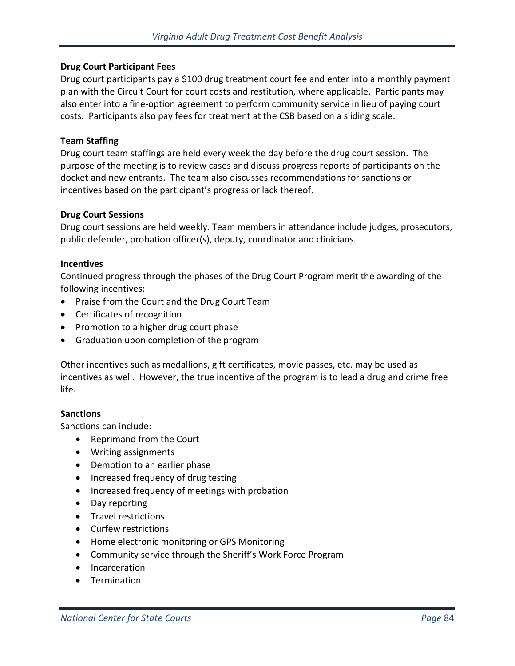## **Drug Court Participant Fees**

Drug court participants pay a \$100 drug treatment court fee and enter into a monthly payment plan with the Circuit Court for court costs and restitution, where applicable. Participants may also enter into a fine-option agreement to perform community service in lieu of paying court costs. Participants also pay fees for treatment at the CSB based on a sliding scale.

#### **Team Staffing**

Drug court team staffings are held every week the day before the drug court session. The purpose of the meeting is to review cases and discuss progress reports of participants on the docket and new entrants. The team also discusses recommendations for sanctions or incentives based on the participant's progress or lack thereof.

#### **Drug Court Sessions**

Drug court sessions are held weekly. Team members in attendance include judges, prosecutors, public defender, probation officer(s), deputy, coordinator and clinicians.

#### **Incentives**

Continued progress through the phases of the Drug Court Program merit the awarding of the following incentives:

- Praise from the Court and the Drug Court Team
- Certificates of recognition
- Promotion to a higher drug court phase
- Graduation upon completion of the program

Other incentives such as medallions, gift certificates, movie passes, etc. may be used as incentives as well. However, the true incentive of the program is to lead a drug and crime free life.

## **Sanctions**

Sanctions can include:

- Reprimand from the Court
- Writing assignments
- Demotion to an earlier phase
- Increased frequency of drug testing
- Increased frequency of meetings with probation
- Day reporting
- Travel restrictions
- Curfew restrictions
- Home electronic monitoring or GPS Monitoring
- Community service through the Sheriff's Work Force Program
- Incarceration
- Termination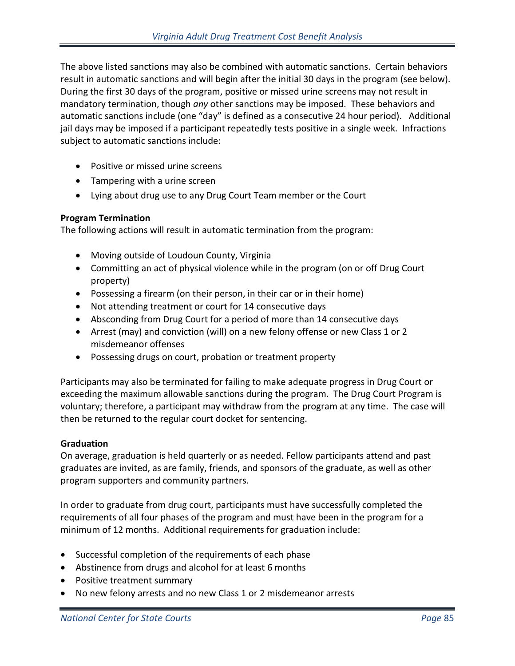The above listed sanctions may also be combined with automatic sanctions. Certain behaviors result in automatic sanctions and will begin after the initial 30 days in the program (see below). During the first 30 days of the program, positive or missed urine screens may not result in mandatory termination, though *any* other sanctions may be imposed. These behaviors and automatic sanctions include (one "day" is defined as a consecutive 24 hour period). Additional jail days may be imposed if a participant repeatedly tests positive in a single week. Infractions subject to automatic sanctions include:

- Positive or missed urine screens
- Tampering with a urine screen
- Lying about drug use to any Drug Court Team member or the Court

## **Program Termination**

The following actions will result in automatic termination from the program:

- Moving outside of Loudoun County, Virginia
- Committing an act of physical violence while in the program (on or off Drug Court property)
- Possessing a firearm (on their person, in their car or in their home)
- Not attending treatment or court for 14 consecutive days
- Absconding from Drug Court for a period of more than 14 consecutive days
- Arrest (may) and conviction (will) on a new felony offense or new Class 1 or 2 misdemeanor offenses
- Possessing drugs on court, probation or treatment property

Participants may also be terminated for failing to make adequate progress in Drug Court or exceeding the maximum allowable sanctions during the program. The Drug Court Program is voluntary; therefore, a participant may withdraw from the program at any time. The case will then be returned to the regular court docket for sentencing.

# **Graduation**

On average, graduation is held quarterly or as needed. Fellow participants attend and past graduates are invited, as are family, friends, and sponsors of the graduate, as well as other program supporters and community partners.

In order to graduate from drug court, participants must have successfully completed the requirements of all four phases of the program and must have been in the program for a minimum of 12 months. Additional requirements for graduation include:

- Successful completion of the requirements of each phase
- Abstinence from drugs and alcohol for at least 6 months
- Positive treatment summary
- No new felony arrests and no new Class 1 or 2 misdemeanor arrests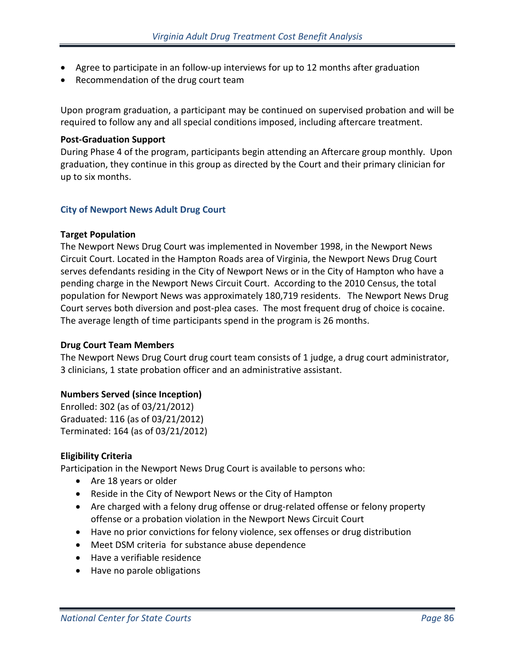- Agree to participate in an follow-up interviews for up to 12 months after graduation
- Recommendation of the drug court team

Upon program graduation, a participant may be continued on supervised probation and will be required to follow any and all special conditions imposed, including aftercare treatment.

#### **Post-Graduation Support**

During Phase 4 of the program, participants begin attending an Aftercare group monthly. Upon graduation, they continue in this group as directed by the Court and their primary clinician for up to six months.

## **City of Newport News Adult Drug Court**

#### **Target Population**

The Newport News Drug Court was implemented in November 1998, in the Newport News Circuit Court. Located in the Hampton Roads area of Virginia, the Newport News Drug Court serves defendants residing in the City of Newport News or in the City of Hampton who have a pending charge in the Newport News Circuit Court. According to the 2010 Census, the total population for Newport News was approximately 180,719 residents. The Newport News Drug Court serves both diversion and post-plea cases. The most frequent drug of choice is cocaine. The average length of time participants spend in the program is 26 months.

## **Drug Court Team Members**

The Newport News Drug Court drug court team consists of 1 judge, a drug court administrator, 3 clinicians, 1 state probation officer and an administrative assistant.

## **Numbers Served (since Inception)**

Enrolled: 302 (as of 03/21/2012) Graduated: 116 (as of 03/21/2012) Terminated: 164 (as of 03/21/2012)

## **Eligibility Criteria**

Participation in the Newport News Drug Court is available to persons who:

- Are 18 years or older
- Reside in the City of Newport News or the City of Hampton
- Are charged with a felony drug offense or drug-related offense or felony property offense or a probation violation in the Newport News Circuit Court
- Have no prior convictions for felony violence, sex offenses or drug distribution
- Meet DSM criteria for substance abuse dependence
- Have a verifiable residence
- Have no parole obligations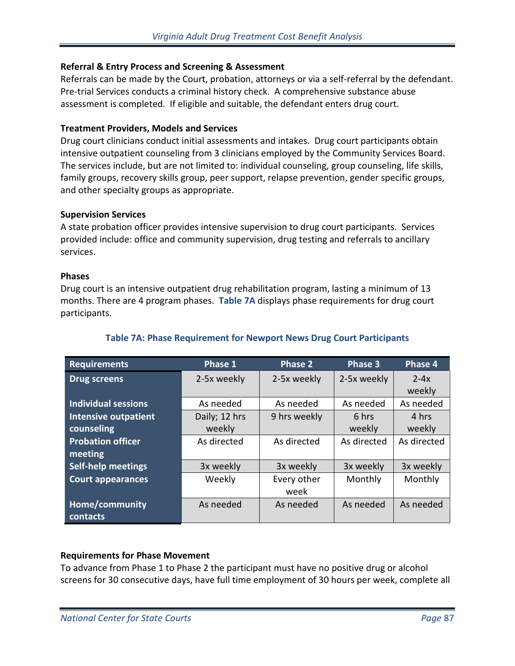## **Referral & Entry Process and Screening & Assessment**

Referrals can be made by the Court, probation, attorneys or via a self-referral by the defendant. Pre-trial Services conducts a criminal history check. A comprehensive substance abuse assessment is completed. If eligible and suitable, the defendant enters drug court.

## **Treatment Providers, Models and Services**

Drug court clinicians conduct initial assessments and intakes. Drug court participants obtain intensive outpatient counseling from 3 clinicians employed by the Community Services Board. The services include, but are not limited to: individual counseling, group counseling, life skills, family groups, recovery skills group, peer support, relapse prevention, gender specific groups, and other specialty groups as appropriate.

## **Supervision Services**

A state probation officer provides intensive supervision to drug court participants. Services provided include: office and community supervision, drug testing and referrals to ancillary services.

## **Phases**

Drug court is an intensive outpatient drug rehabilitation program, lasting a minimum of 13 months. There are 4 program phases. **Table 7A** displays phase requirements for drug court participants.

| <b>Requirements</b>         | Phase 1               | Phase 2      | Phase 3            | Phase 4     |
|-----------------------------|-----------------------|--------------|--------------------|-------------|
| <b>Drug screens</b>         | 2-5x weekly           | 2-5x weekly  | 2-5x weekly        | $2-4x$      |
|                             |                       |              |                    | weekly      |
| <b>Individual sessions</b>  | As needed             | As needed    | As needed          | As needed   |
| <b>Intensive outpatient</b> | Daily; 12 hrs         | 9 hrs weekly | 6 hrs              | 4 hrs       |
| counseling                  | weekly                |              | weekly             | weekly      |
| <b>Probation officer</b>    | As directed           | As directed  | As directed        | As directed |
| meeting                     |                       |              |                    |             |
| <b>Self-help meetings</b>   | 3x weekly             | 3x weekly    | 3x weekly          | 3x weekly   |
| <b>Court appearances</b>    | Weekly<br>Every other |              | Monthly<br>Monthly |             |
|                             |                       | week         |                    |             |
| Home/community              | As needed             | As needed    | As needed          | As needed   |
| contacts                    |                       |              |                    |             |

# **Table 7A: Phase Requirement for Newport News Drug Court Participants**

# **Requirements for Phase Movement**

To advance from Phase 1 to Phase 2 the participant must have no positive drug or alcohol screens for 30 consecutive days, have full time employment of 30 hours per week, complete all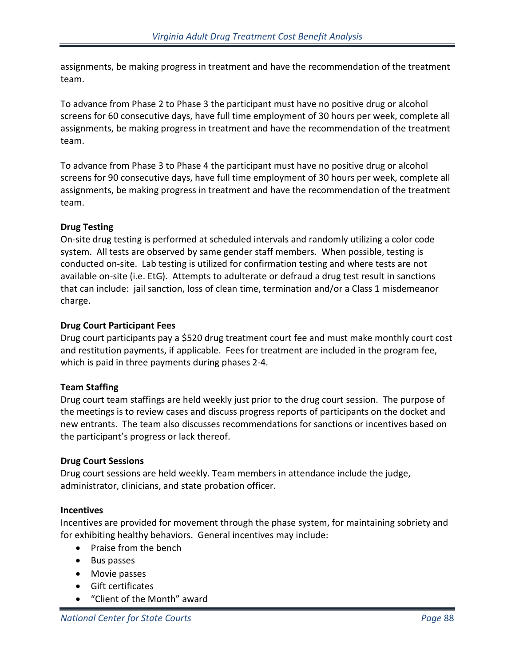assignments, be making progress in treatment and have the recommendation of the treatment team.

To advance from Phase 2 to Phase 3 the participant must have no positive drug or alcohol screens for 60 consecutive days, have full time employment of 30 hours per week, complete all assignments, be making progress in treatment and have the recommendation of the treatment team.

To advance from Phase 3 to Phase 4 the participant must have no positive drug or alcohol screens for 90 consecutive days, have full time employment of 30 hours per week, complete all assignments, be making progress in treatment and have the recommendation of the treatment team.

# **Drug Testing**

On-site drug testing is performed at scheduled intervals and randomly utilizing a color code system. All tests are observed by same gender staff members. When possible, testing is conducted on-site. Lab testing is utilized for confirmation testing and where tests are not available on-site (i.e. EtG). Attempts to adulterate or defraud a drug test result in sanctions that can include: jail sanction, loss of clean time, termination and/or a Class 1 misdemeanor charge.

# **Drug Court Participant Fees**

Drug court participants pay a \$520 drug treatment court fee and must make monthly court cost and restitution payments, if applicable. Fees for treatment are included in the program fee, which is paid in three payments during phases 2-4.

# **Team Staffing**

Drug court team staffings are held weekly just prior to the drug court session. The purpose of the meetings is to review cases and discuss progress reports of participants on the docket and new entrants. The team also discusses recommendations for sanctions or incentives based on the participant's progress or lack thereof.

# **Drug Court Sessions**

Drug court sessions are held weekly. Team members in attendance include the judge, administrator, clinicians, and state probation officer.

# **Incentives**

Incentives are provided for movement through the phase system, for maintaining sobriety and for exhibiting healthy behaviors. General incentives may include:

- Praise from the bench
- Bus passes
- Movie passes
- Gift certificates
- "Client of the Month" award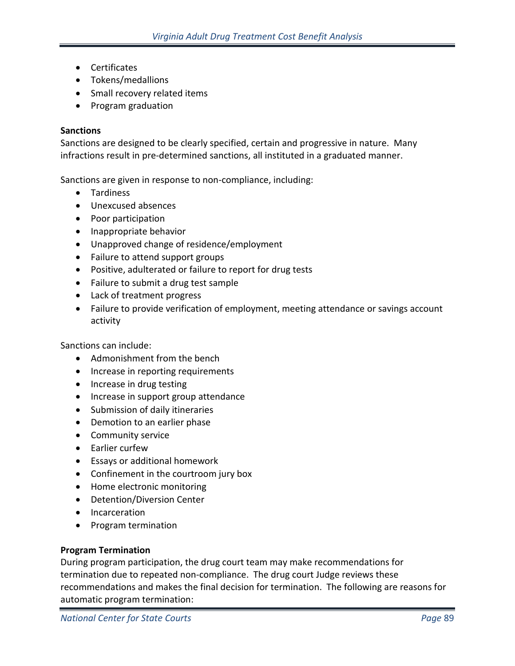- Certificates
- Tokens/medallions
- Small recovery related items
- Program graduation

## **Sanctions**

Sanctions are designed to be clearly specified, certain and progressive in nature. Many infractions result in pre-determined sanctions, all instituted in a graduated manner.

Sanctions are given in response to non-compliance, including:

- Tardiness
- Unexcused absences
- Poor participation
- Inappropriate behavior
- Unapproved change of residence/employment
- Failure to attend support groups
- Positive, adulterated or failure to report for drug tests
- Failure to submit a drug test sample
- Lack of treatment progress
- Failure to provide verification of employment, meeting attendance or savings account activity

Sanctions can include:

- Admonishment from the bench
- Increase in reporting requirements
- Increase in drug testing
- Increase in support group attendance
- Submission of daily itineraries
- Demotion to an earlier phase
- Community service
- Earlier curfew
- Essays or additional homework
- Confinement in the courtroom jury box
- Home electronic monitoring
- Detention/Diversion Center
- Incarceration
- Program termination

## **Program Termination**

During program participation, the drug court team may make recommendations for termination due to repeated non-compliance. The drug court Judge reviews these recommendations and makes the final decision for termination. The following are reasons for automatic program termination: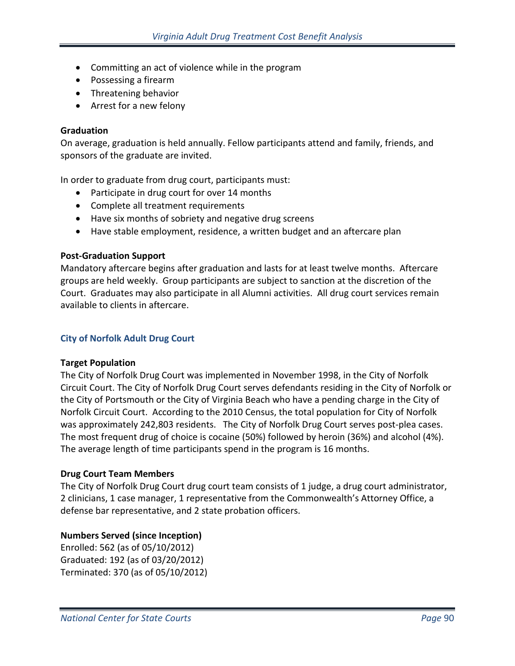- Committing an act of violence while in the program
- Possessing a firearm
- Threatening behavior
- Arrest for a new felony

## **Graduation**

On average, graduation is held annually. Fellow participants attend and family, friends, and sponsors of the graduate are invited.

In order to graduate from drug court, participants must:

- Participate in drug court for over 14 months
- Complete all treatment requirements
- Have six months of sobriety and negative drug screens
- Have stable employment, residence, a written budget and an aftercare plan

# **Post-Graduation Support**

Mandatory aftercare begins after graduation and lasts for at least twelve months. Aftercare groups are held weekly. Group participants are subject to sanction at the discretion of the Court. Graduates may also participate in all Alumni activities. All drug court services remain available to clients in aftercare.

# **City of Norfolk Adult Drug Court**

# **Target Population**

The City of Norfolk Drug Court was implemented in November 1998, in the City of Norfolk Circuit Court. The City of Norfolk Drug Court serves defendants residing in the City of Norfolk or the City of Portsmouth or the City of Virginia Beach who have a pending charge in the City of Norfolk Circuit Court. According to the 2010 Census, the total population for City of Norfolk was approximately 242,803 residents. The City of Norfolk Drug Court serves post-plea cases. The most frequent drug of choice is cocaine (50%) followed by heroin (36%) and alcohol (4%). The average length of time participants spend in the program is 16 months.

# **Drug Court Team Members**

The City of Norfolk Drug Court drug court team consists of 1 judge, a drug court administrator, 2 clinicians, 1 case manager, 1 representative from the Commonwealth's Attorney Office, a defense bar representative, and 2 state probation officers.

# **Numbers Served (since Inception)**

Enrolled: 562 (as of 05/10/2012) Graduated: 192 (as of 03/20/2012) Terminated: 370 (as of 05/10/2012)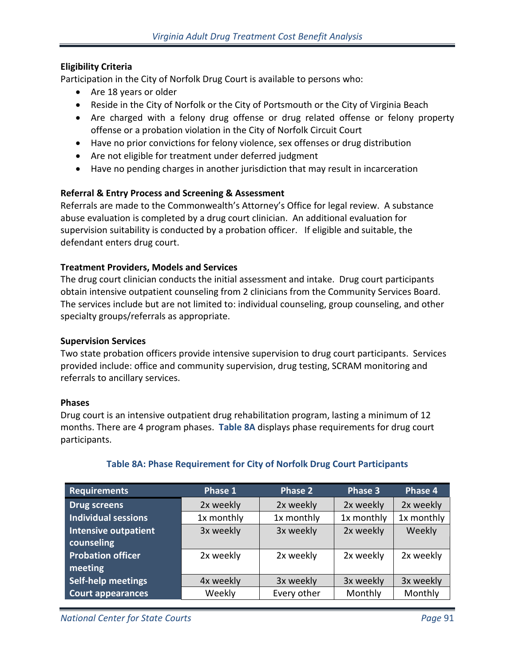# **Eligibility Criteria**

Participation in the City of Norfolk Drug Court is available to persons who:

- Are 18 years or older
- Reside in the City of Norfolk or the City of Portsmouth or the City of Virginia Beach
- Are charged with a felony drug offense or drug related offense or felony property offense or a probation violation in the City of Norfolk Circuit Court
- Have no prior convictions for felony violence, sex offenses or drug distribution
- Are not eligible for treatment under deferred judgment
- Have no pending charges in another jurisdiction that may result in incarceration

## **Referral & Entry Process and Screening & Assessment**

Referrals are made to the Commonwealth's Attorney's Office for legal review. A substance abuse evaluation is completed by a drug court clinician. An additional evaluation for supervision suitability is conducted by a probation officer. If eligible and suitable, the defendant enters drug court.

## **Treatment Providers, Models and Services**

The drug court clinician conducts the initial assessment and intake. Drug court participants obtain intensive outpatient counseling from 2 clinicians from the Community Services Board. The services include but are not limited to: individual counseling, group counseling, and other specialty groups/referrals as appropriate.

## **Supervision Services**

Two state probation officers provide intensive supervision to drug court participants. Services provided include: office and community supervision, drug testing, SCRAM monitoring and referrals to ancillary services.

## **Phases**

Drug court is an intensive outpatient drug rehabilitation program, lasting a minimum of 12 months. There are 4 program phases. **Table 8A** displays phase requirements for drug court participants.

| <b>Requirements</b>         | Phase 1    | Phase 2     | Phase 3    | Phase 4    |
|-----------------------------|------------|-------------|------------|------------|
| <b>Drug screens</b>         | 2x weekly  | 2x weekly   | 2x weekly  | 2x weekly  |
| <b>Individual sessions</b>  | 1x monthly | 1x monthly  | 1x monthly | 1x monthly |
| <b>Intensive outpatient</b> | 3x weekly  | 3x weekly   | 2x weekly  | Weekly     |
| counseling                  |            |             |            |            |
| <b>Probation officer</b>    | 2x weekly  | 2x weekly   | 2x weekly  | 2x weekly  |
| meeting                     |            |             |            |            |
| Self-help meetings          | 4x weekly  | 3x weekly   | 3x weekly  | 3x weekly  |
| <b>Court appearances</b>    | Weekly     | Every other | Monthly    | Monthly    |

# **Table 8A: Phase Requirement for City of Norfolk Drug Court Participants**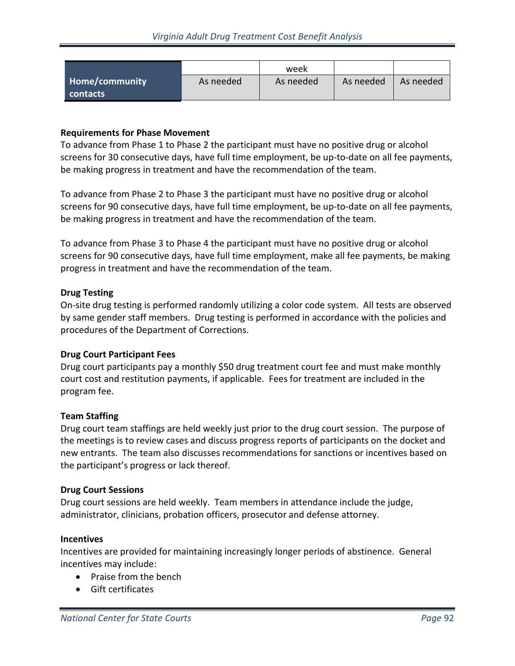|                       |           | week      |           |           |
|-----------------------|-----------|-----------|-----------|-----------|
| <b>Home/community</b> | As needed | As needed | As needed | As needed |
| contacts              |           |           |           |           |

## **Requirements for Phase Movement**

To advance from Phase 1 to Phase 2 the participant must have no positive drug or alcohol screens for 30 consecutive days, have full time employment, be up-to-date on all fee payments, be making progress in treatment and have the recommendation of the team.

To advance from Phase 2 to Phase 3 the participant must have no positive drug or alcohol screens for 90 consecutive days, have full time employment, be up-to-date on all fee payments, be making progress in treatment and have the recommendation of the team.

To advance from Phase 3 to Phase 4 the participant must have no positive drug or alcohol screens for 90 consecutive days, have full time employment, make all fee payments, be making progress in treatment and have the recommendation of the team.

## **Drug Testing**

On-site drug testing is performed randomly utilizing a color code system. All tests are observed by same gender staff members. Drug testing is performed in accordance with the policies and procedures of the Department of Corrections.

## **Drug Court Participant Fees**

Drug court participants pay a monthly \$50 drug treatment court fee and must make monthly court cost and restitution payments, if applicable. Fees for treatment are included in the program fee.

## **Team Staffing**

Drug court team staffings are held weekly just prior to the drug court session. The purpose of the meetings is to review cases and discuss progress reports of participants on the docket and new entrants. The team also discusses recommendations for sanctions or incentives based on the participant's progress or lack thereof.

#### **Drug Court Sessions**

Drug court sessions are held weekly. Team members in attendance include the judge, administrator, clinicians, probation officers, prosecutor and defense attorney.

## **Incentives**

Incentives are provided for maintaining increasingly longer periods of abstinence. General incentives may include:

- Praise from the bench
- Gift certificates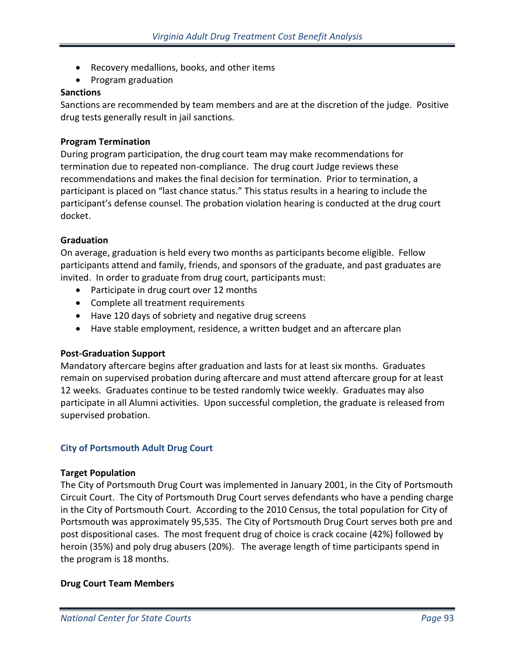- Recovery medallions, books, and other items
- Program graduation

#### **Sanctions**

Sanctions are recommended by team members and are at the discretion of the judge. Positive drug tests generally result in jail sanctions.

#### **Program Termination**

During program participation, the drug court team may make recommendations for termination due to repeated non-compliance. The drug court Judge reviews these recommendations and makes the final decision for termination. Prior to termination, a participant is placed on "last chance status." This status results in a hearing to include the participant's defense counsel. The probation violation hearing is conducted at the drug court docket.

#### **Graduation**

On average, graduation is held every two months as participants become eligible. Fellow participants attend and family, friends, and sponsors of the graduate, and past graduates are invited. In order to graduate from drug court, participants must:

- Participate in drug court over 12 months
- Complete all treatment requirements
- Have 120 days of sobriety and negative drug screens
- Have stable employment, residence, a written budget and an aftercare plan

## **Post-Graduation Support**

Mandatory aftercare begins after graduation and lasts for at least six months. Graduates remain on supervised probation during aftercare and must attend aftercare group for at least 12 weeks. Graduates continue to be tested randomly twice weekly. Graduates may also participate in all Alumni activities. Upon successful completion, the graduate is released from supervised probation.

#### **City of Portsmouth Adult Drug Court**

#### **Target Population**

The City of Portsmouth Drug Court was implemented in January 2001, in the City of Portsmouth Circuit Court. The City of Portsmouth Drug Court serves defendants who have a pending charge in the City of Portsmouth Court. According to the 2010 Census, the total population for City of Portsmouth was approximately 95,535. The City of Portsmouth Drug Court serves both pre and post dispositional cases. The most frequent drug of choice is crack cocaine (42%) followed by heroin (35%) and poly drug abusers (20%). The average length of time participants spend in the program is 18 months.

#### **Drug Court Team Members**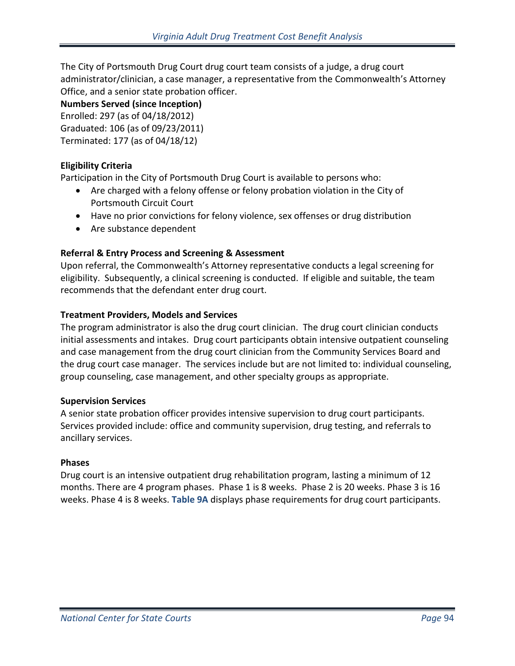The City of Portsmouth Drug Court drug court team consists of a judge, a drug court administrator/clinician, a case manager, a representative from the Commonwealth's Attorney Office, and a senior state probation officer.

**Numbers Served (since Inception)**

Enrolled: 297 (as of 04/18/2012)

Graduated: 106 (as of 09/23/2011)

Terminated: 177 (as of 04/18/12)

# **Eligibility Criteria**

Participation in the City of Portsmouth Drug Court is available to persons who:

- Are charged with a felony offense or felony probation violation in the City of Portsmouth Circuit Court
- Have no prior convictions for felony violence, sex offenses or drug distribution
- Are substance dependent

# **Referral & Entry Process and Screening & Assessment**

Upon referral, the Commonwealth's Attorney representative conducts a legal screening for eligibility. Subsequently, a clinical screening is conducted. If eligible and suitable, the team recommends that the defendant enter drug court.

# **Treatment Providers, Models and Services**

The program administrator is also the drug court clinician. The drug court clinician conducts initial assessments and intakes. Drug court participants obtain intensive outpatient counseling and case management from the drug court clinician from the Community Services Board and the drug court case manager. The services include but are not limited to: individual counseling, group counseling, case management, and other specialty groups as appropriate.

# **Supervision Services**

A senior state probation officer provides intensive supervision to drug court participants. Services provided include: office and community supervision, drug testing, and referrals to ancillary services.

# **Phases**

Drug court is an intensive outpatient drug rehabilitation program, lasting a minimum of 12 months. There are 4 program phases. Phase 1 is 8 weeks. Phase 2 is 20 weeks. Phase 3 is 16 weeks. Phase 4 is 8 weeks. **Table 9A** displays phase requirements for drug court participants.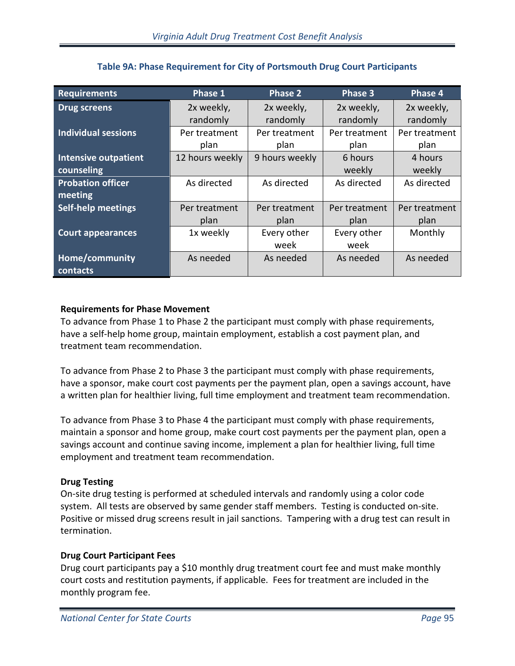| <b>Requirements</b>         | Phase 1         | <b>Phase 2</b> | Phase 3       | Phase <sub>4</sub> |
|-----------------------------|-----------------|----------------|---------------|--------------------|
| <b>Drug screens</b>         | 2x weekly,      | 2x weekly,     | 2x weekly,    | 2x weekly,         |
|                             | randomly        | randomly       | randomly      | randomly           |
| <b>Individual sessions</b>  | Per treatment   | Per treatment  | Per treatment | Per treatment      |
|                             | plan            | plan           | plan          | plan               |
| <b>Intensive outpatient</b> | 12 hours weekly | 9 hours weekly | 6 hours       | 4 hours            |
| counseling                  |                 |                | weekly        | weekly             |
| <b>Probation officer</b>    | As directed     | As directed    | As directed   | As directed        |
| meeting                     |                 |                |               |                    |
| <b>Self-help meetings</b>   | Per treatment   | Per treatment  | Per treatment | Per treatment      |
|                             | plan            | plan           | plan          | plan               |
| <b>Court appearances</b>    | 1x weekly       | Every other    | Every other   | Monthly            |
|                             |                 | week           | week          |                    |
| Home/community              | As needed       | As needed      | As needed     | As needed          |
| contacts                    |                 |                |               |                    |

# **Table 9A: Phase Requirement for City of Portsmouth Drug Court Participants**

# **Requirements for Phase Movement**

To advance from Phase 1 to Phase 2 the participant must comply with phase requirements, have a self-help home group, maintain employment, establish a cost payment plan, and treatment team recommendation.

To advance from Phase 2 to Phase 3 the participant must comply with phase requirements, have a sponsor, make court cost payments per the payment plan, open a savings account, have a written plan for healthier living, full time employment and treatment team recommendation.

To advance from Phase 3 to Phase 4 the participant must comply with phase requirements, maintain a sponsor and home group, make court cost payments per the payment plan, open a savings account and continue saving income, implement a plan for healthier living, full time employment and treatment team recommendation.

# **Drug Testing**

On-site drug testing is performed at scheduled intervals and randomly using a color code system. All tests are observed by same gender staff members. Testing is conducted on-site. Positive or missed drug screens result in jail sanctions. Tampering with a drug test can result in termination.

# **Drug Court Participant Fees**

Drug court participants pay a \$10 monthly drug treatment court fee and must make monthly court costs and restitution payments, if applicable. Fees for treatment are included in the monthly program fee.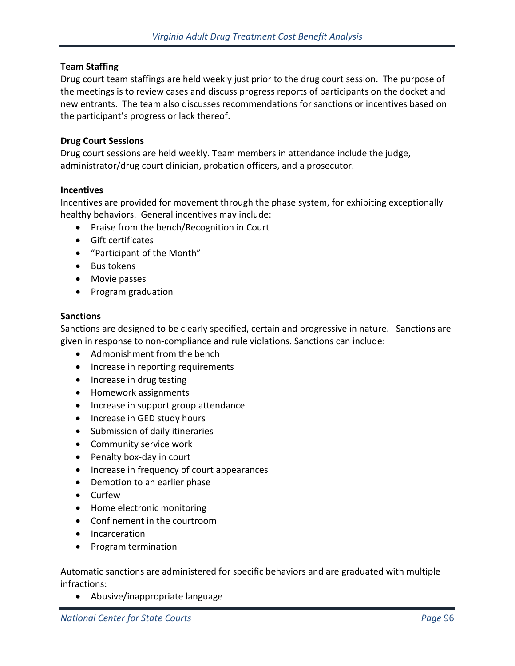## **Team Staffing**

Drug court team staffings are held weekly just prior to the drug court session. The purpose of the meetings is to review cases and discuss progress reports of participants on the docket and new entrants. The team also discusses recommendations for sanctions or incentives based on the participant's progress or lack thereof.

## **Drug Court Sessions**

Drug court sessions are held weekly. Team members in attendance include the judge, administrator/drug court clinician, probation officers, and a prosecutor.

#### **Incentives**

Incentives are provided for movement through the phase system, for exhibiting exceptionally healthy behaviors. General incentives may include:

- Praise from the bench/Recognition in Court
- Gift certificates
- "Participant of the Month"
- Bus tokens
- Movie passes
- Program graduation

## **Sanctions**

Sanctions are designed to be clearly specified, certain and progressive in nature. Sanctions are given in response to non-compliance and rule violations. Sanctions can include:

- Admonishment from the bench
- Increase in reporting requirements
- Increase in drug testing
- Homework assignments
- Increase in support group attendance
- Increase in GED study hours
- Submission of daily itineraries
- Community service work
- Penalty box-day in court
- Increase in frequency of court appearances
- Demotion to an earlier phase
- Curfew
- Home electronic monitoring
- Confinement in the courtroom
- Incarceration
- Program termination

Automatic sanctions are administered for specific behaviors and are graduated with multiple infractions:

• Abusive/inappropriate language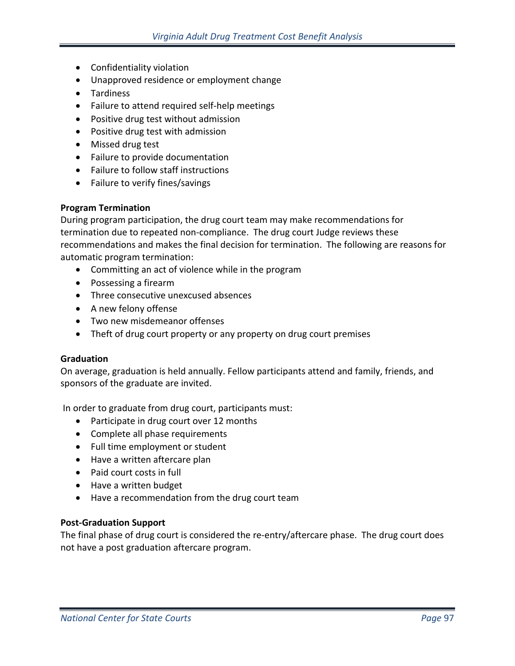- Confidentiality violation
- Unapproved residence or employment change
- Tardiness
- Failure to attend required self-help meetings
- Positive drug test without admission
- Positive drug test with admission
- Missed drug test
- Failure to provide documentation
- Failure to follow staff instructions
- Failure to verify fines/savings

## **Program Termination**

During program participation, the drug court team may make recommendations for termination due to repeated non-compliance. The drug court Judge reviews these recommendations and makes the final decision for termination. The following are reasons for automatic program termination:

- Committing an act of violence while in the program
- Possessing a firearm
- Three consecutive unexcused absences
- A new felony offense
- Two new misdemeanor offenses
- Theft of drug court property or any property on drug court premises

# **Graduation**

On average, graduation is held annually. Fellow participants attend and family, friends, and sponsors of the graduate are invited.

In order to graduate from drug court, participants must:

- Participate in drug court over 12 months
- Complete all phase requirements
- Full time employment or student
- Have a written aftercare plan
- Paid court costs in full
- Have a written budget
- Have a recommendation from the drug court team

## **Post-Graduation Support**

The final phase of drug court is considered the re-entry/aftercare phase. The drug court does not have a post graduation aftercare program.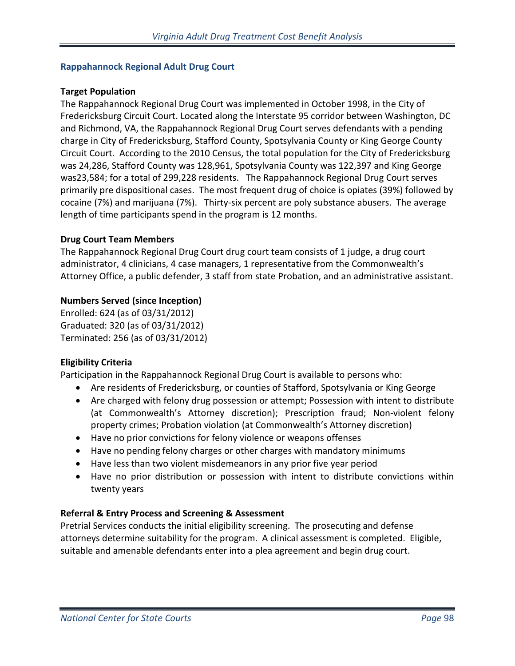## **Rappahannock Regional Adult Drug Court**

## **Target Population**

The Rappahannock Regional Drug Court was implemented in October 1998, in the City of Fredericksburg Circuit Court. Located along the Interstate 95 corridor between Washington, DC and Richmond, VA, the Rappahannock Regional Drug Court serves defendants with a pending charge in City of Fredericksburg, Stafford County, Spotsylvania County or King George County Circuit Court. According to the 2010 Census, the total population for the City of Fredericksburg was 24,286, Stafford County was 128,961, Spotsylvania County was 122,397 and King George was23,584; for a total of 299,228 residents. The Rappahannock Regional Drug Court serves primarily pre dispositional cases. The most frequent drug of choice is opiates (39%) followed by cocaine (7%) and marijuana (7%). Thirty-six percent are poly substance abusers. The average length of time participants spend in the program is 12 months.

## **Drug Court Team Members**

The Rappahannock Regional Drug Court drug court team consists of 1 judge, a drug court administrator, 4 clinicians, 4 case managers, 1 representative from the Commonwealth's Attorney Office, a public defender, 3 staff from state Probation, and an administrative assistant.

## **Numbers Served (since Inception)**

Enrolled: 624 (as of 03/31/2012) Graduated: 320 (as of 03/31/2012) Terminated: 256 (as of 03/31/2012)

# **Eligibility Criteria**

Participation in the Rappahannock Regional Drug Court is available to persons who:

- Are residents of Fredericksburg, or counties of Stafford, Spotsylvania or King George
- Are charged with felony drug possession or attempt; Possession with intent to distribute (at Commonwealth's Attorney discretion); Prescription fraud; Non-violent felony property crimes; Probation violation (at Commonwealth's Attorney discretion)
- Have no prior convictions for felony violence or weapons offenses
- Have no pending felony charges or other charges with mandatory minimums
- Have less than two violent misdemeanors in any prior five year period
- Have no prior distribution or possession with intent to distribute convictions within twenty years

# **Referral & Entry Process and Screening & Assessment**

Pretrial Services conducts the initial eligibility screening. The prosecuting and defense attorneys determine suitability for the program. A clinical assessment is completed. Eligible, suitable and amenable defendants enter into a plea agreement and begin drug court.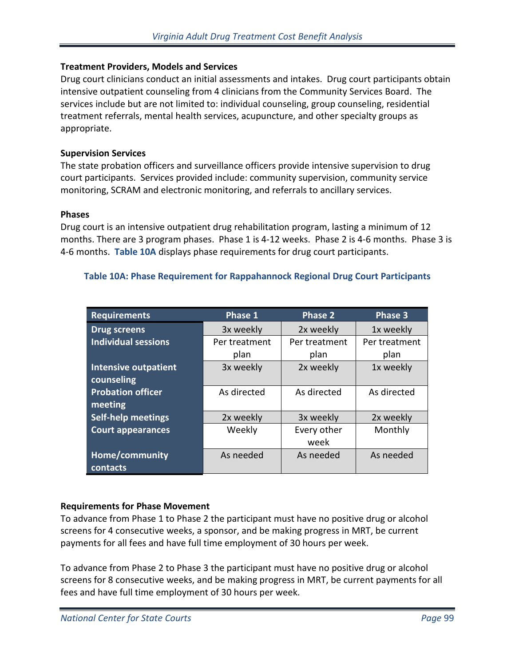## **Treatment Providers, Models and Services**

Drug court clinicians conduct an initial assessments and intakes. Drug court participants obtain intensive outpatient counseling from 4 clinicians from the Community Services Board. The services include but are not limited to: individual counseling, group counseling, residential treatment referrals, mental health services, acupuncture, and other specialty groups as appropriate.

## **Supervision Services**

The state probation officers and surveillance officers provide intensive supervision to drug court participants. Services provided include: community supervision, community service monitoring, SCRAM and electronic monitoring, and referrals to ancillary services.

## **Phases**

Drug court is an intensive outpatient drug rehabilitation program, lasting a minimum of 12 months. There are 3 program phases. Phase 1 is 4-12 weeks. Phase 2 is 4-6 months. Phase 3 is 4-6 months. **Table 10A** displays phase requirements for drug court participants.

# **Table 10A: Phase Requirement for Rappahannock Regional Drug Court Participants**

| <b>Requirements</b>         | Phase 1       | <b>Phase 2</b> | Phase 3       |
|-----------------------------|---------------|----------------|---------------|
| <b>Drug screens</b>         | 3x weekly     | 2x weekly      | 1x weekly     |
| <b>Individual sessions</b>  | Per treatment | Per treatment  | Per treatment |
|                             | plan          | plan           | plan          |
| <b>Intensive outpatient</b> | 3x weekly     | 2x weekly      | 1x weekly     |
| counseling                  |               |                |               |
| <b>Probation officer</b>    | As directed   | As directed    | As directed   |
| meeting                     |               |                |               |
| <b>Self-help meetings</b>   | 2x weekly     | 3x weekly      | 2x weekly     |
| <b>Court appearances</b>    | Weekly        | Every other    | Monthly       |
|                             |               | week           |               |
| Home/community              | As needed     | As needed      | As needed     |
| contacts                    |               |                |               |

# **Requirements for Phase Movement**

To advance from Phase 1 to Phase 2 the participant must have no positive drug or alcohol screens for 4 consecutive weeks, a sponsor, and be making progress in MRT, be current payments for all fees and have full time employment of 30 hours per week.

To advance from Phase 2 to Phase 3 the participant must have no positive drug or alcohol screens for 8 consecutive weeks, and be making progress in MRT, be current payments for all fees and have full time employment of 30 hours per week.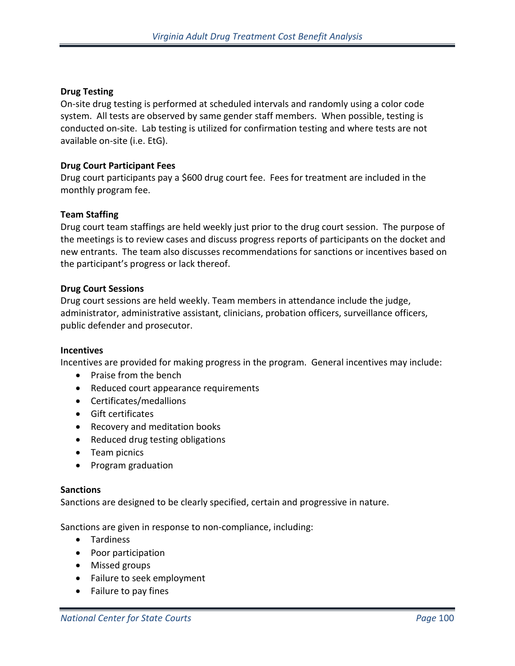## **Drug Testing**

On-site drug testing is performed at scheduled intervals and randomly using a color code system. All tests are observed by same gender staff members. When possible, testing is conducted on-site. Lab testing is utilized for confirmation testing and where tests are not available on-site (i.e. EtG).

#### **Drug Court Participant Fees**

Drug court participants pay a \$600 drug court fee. Fees for treatment are included in the monthly program fee.

#### **Team Staffing**

Drug court team staffings are held weekly just prior to the drug court session. The purpose of the meetings is to review cases and discuss progress reports of participants on the docket and new entrants. The team also discusses recommendations for sanctions or incentives based on the participant's progress or lack thereof.

#### **Drug Court Sessions**

Drug court sessions are held weekly. Team members in attendance include the judge, administrator, administrative assistant, clinicians, probation officers, surveillance officers, public defender and prosecutor.

#### **Incentives**

Incentives are provided for making progress in the program. General incentives may include:

- Praise from the bench
- Reduced court appearance requirements
- Certificates/medallions
- Gift certificates
- Recovery and meditation books
- Reduced drug testing obligations
- Team picnics
- Program graduation

#### **Sanctions**

Sanctions are designed to be clearly specified, certain and progressive in nature.

Sanctions are given in response to non-compliance, including:

- Tardiness
- Poor participation
- Missed groups
- Failure to seek employment
- Failure to pay fines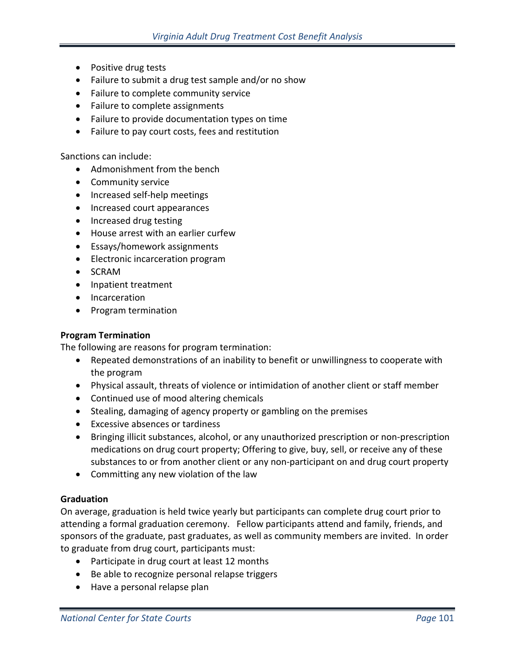- Positive drug tests
- Failure to submit a drug test sample and/or no show
- Failure to complete community service
- Failure to complete assignments
- Failure to provide documentation types on time
- Failure to pay court costs, fees and restitution

Sanctions can include:

- Admonishment from the bench
- Community service
- Increased self-help meetings
- Increased court appearances
- Increased drug testing
- House arrest with an earlier curfew
- Essays/homework assignments
- Electronic incarceration program
- SCRAM
- Inpatient treatment
- Incarceration
- Program termination

# **Program Termination**

The following are reasons for program termination:

- Repeated demonstrations of an inability to benefit or unwillingness to cooperate with the program
- Physical assault, threats of violence or intimidation of another client or staff member
- Continued use of mood altering chemicals
- Stealing, damaging of agency property or gambling on the premises
- Excessive absences or tardiness
- Bringing illicit substances, alcohol, or any unauthorized prescription or non-prescription medications on drug court property; Offering to give, buy, sell, or receive any of these substances to or from another client or any non-participant on and drug court property
- Committing any new violation of the law

# **Graduation**

On average, graduation is held twice yearly but participants can complete drug court prior to attending a formal graduation ceremony. Fellow participants attend and family, friends, and sponsors of the graduate, past graduates, as well as community members are invited. In order to graduate from drug court, participants must:

- Participate in drug court at least 12 months
- Be able to recognize personal relapse triggers
- Have a personal relapse plan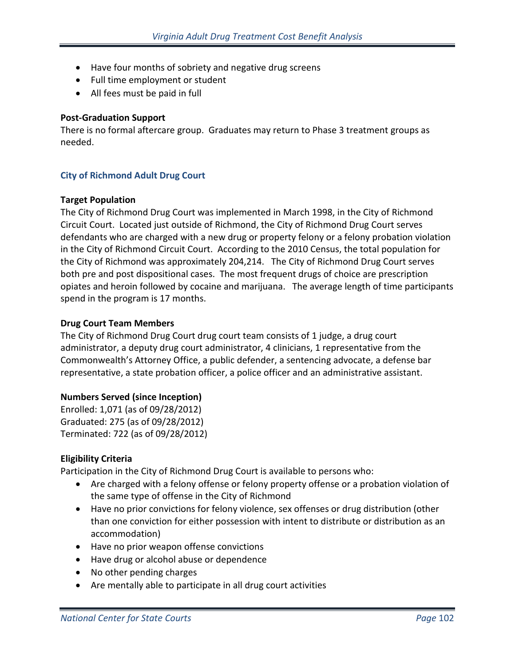- Have four months of sobriety and negative drug screens
- Full time employment or student
- All fees must be paid in full

## **Post-Graduation Support**

There is no formal aftercare group. Graduates may return to Phase 3 treatment groups as needed.

# **City of Richmond Adult Drug Court**

## **Target Population**

The City of Richmond Drug Court was implemented in March 1998, in the City of Richmond Circuit Court. Located just outside of Richmond, the City of Richmond Drug Court serves defendants who are charged with a new drug or property felony or a felony probation violation in the City of Richmond Circuit Court. According to the 2010 Census, the total population for the City of Richmond was approximately 204,214. The City of Richmond Drug Court serves both pre and post dispositional cases. The most frequent drugs of choice are prescription opiates and heroin followed by cocaine and marijuana. The average length of time participants spend in the program is 17 months.

## **Drug Court Team Members**

The City of Richmond Drug Court drug court team consists of 1 judge, a drug court administrator, a deputy drug court administrator, 4 clinicians, 1 representative from the Commonwealth's Attorney Office, a public defender, a sentencing advocate, a defense bar representative, a state probation officer, a police officer and an administrative assistant.

## **Numbers Served (since Inception)**

Enrolled: 1,071 (as of 09/28/2012) Graduated: 275 (as of 09/28/2012) Terminated: 722 (as of 09/28/2012)

# **Eligibility Criteria**

Participation in the City of Richmond Drug Court is available to persons who:

- Are charged with a felony offense or felony property offense or a probation violation of the same type of offense in the City of Richmond
- Have no prior convictions for felony violence, sex offenses or drug distribution (other than one conviction for either possession with intent to distribute or distribution as an accommodation)
- Have no prior weapon offense convictions
- Have drug or alcohol abuse or dependence
- No other pending charges
- Are mentally able to participate in all drug court activities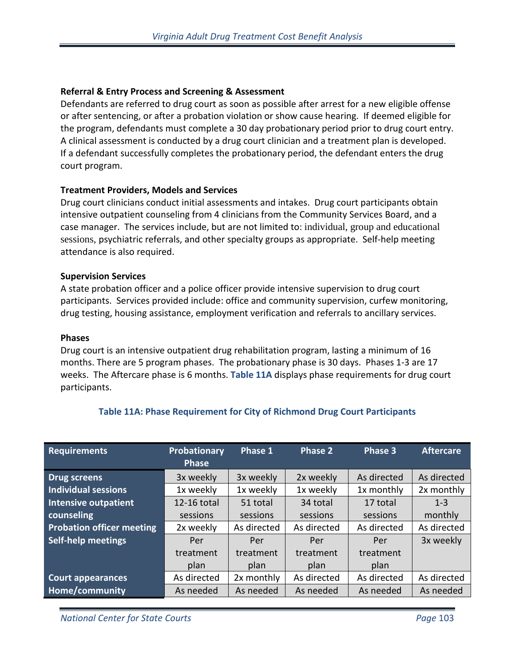## **Referral & Entry Process and Screening & Assessment**

Defendants are referred to drug court as soon as possible after arrest for a new eligible offense or after sentencing, or after a probation violation or show cause hearing. If deemed eligible for the program, defendants must complete a 30 day probationary period prior to drug court entry. A clinical assessment is conducted by a drug court clinician and a treatment plan is developed. If a defendant successfully completes the probationary period, the defendant enters the drug court program.

## **Treatment Providers, Models and Services**

Drug court clinicians conduct initial assessments and intakes. Drug court participants obtain intensive outpatient counseling from 4 clinicians from the Community Services Board, and a case manager. The services include, but are not limited to: individual, group and educational sessions, psychiatric referrals, and other specialty groups as appropriate. Self-help meeting attendance is also required.

## **Supervision Services**

A state probation officer and a police officer provide intensive supervision to drug court participants. Services provided include: office and community supervision, curfew monitoring, drug testing, housing assistance, employment verification and referrals to ancillary services.

#### **Phases**

Drug court is an intensive outpatient drug rehabilitation program, lasting a minimum of 16 months. There are 5 program phases. The probationary phase is 30 days. Phases 1-3 are 17 weeks. The Aftercare phase is 6 months. **Table 11A** displays phase requirements for drug court participants.

| <b>Requirements</b>              | Probationary<br><b>Phase</b> | Phase 1     | Phase 2     | Phase 3     | <b>Aftercare</b> |
|----------------------------------|------------------------------|-------------|-------------|-------------|------------------|
| <b>Drug screens</b>              | 3x weekly                    | 3x weekly   | 2x weekly   | As directed | As directed      |
| <b>Individual sessions</b>       | 1x weekly                    | 1x weekly   | 1x weekly   | 1x monthly  | 2x monthly       |
| <b>Intensive outpatient</b>      | 12-16 total                  | 51 total    | 34 total    | 17 total    | $1 - 3$          |
| counseling                       | sessions                     | sessions    | sessions    | sessions    | monthly          |
| <b>Probation officer meeting</b> | 2x weekly                    | As directed | As directed | As directed | As directed      |
| <b>Self-help meetings</b>        | Per                          | Per         | Per         | Per         | 3x weekly        |
|                                  | treatment                    | treatment   | treatment   | treatment   |                  |
|                                  | plan                         | plan        | plan        | plan        |                  |
| <b>Court appearances</b>         | As directed                  | 2x monthly  | As directed | As directed | As directed      |
| Home/community                   | As needed                    | As needed   | As needed   | As needed   | As needed        |

# **Table 11A: Phase Requirement for City of Richmond Drug Court Participants**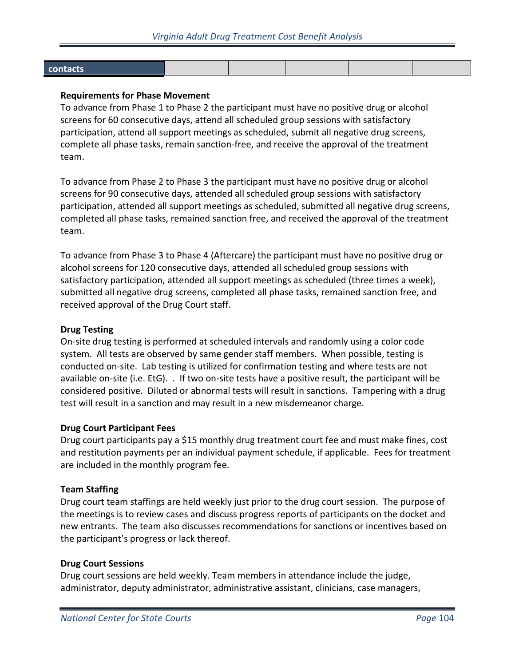| contacts |  |  |  |
|----------|--|--|--|
|          |  |  |  |
|          |  |  |  |

## **Requirements for Phase Movement**

To advance from Phase 1 to Phase 2 the participant must have no positive drug or alcohol screens for 60 consecutive days, attend all scheduled group sessions with satisfactory participation, attend all support meetings as scheduled, submit all negative drug screens, complete all phase tasks, remain sanction-free, and receive the approval of the treatment team.

To advance from Phase 2 to Phase 3 the participant must have no positive drug or alcohol screens for 90 consecutive days, attended all scheduled group sessions with satisfactory participation, attended all support meetings as scheduled, submitted all negative drug screens, completed all phase tasks, remained sanction free, and received the approval of the treatment team.

To advance from Phase 3 to Phase 4 (Aftercare) the participant must have no positive drug or alcohol screens for 120 consecutive days, attended all scheduled group sessions with satisfactory participation, attended all support meetings as scheduled (three times a week), submitted all negative drug screens, completed all phase tasks, remained sanction free, and received approval of the Drug Court staff.

#### **Drug Testing**

On-site drug testing is performed at scheduled intervals and randomly using a color code system. All tests are observed by same gender staff members. When possible, testing is conducted on-site. Lab testing is utilized for confirmation testing and where tests are not available on-site (i.e. EtG). . If two on-site tests have a positive result, the participant will be considered positive. Diluted or abnormal tests will result in sanctions. Tampering with a drug test will result in a sanction and may result in a new misdemeanor charge.

## **Drug Court Participant Fees**

Drug court participants pay a \$15 monthly drug treatment court fee and must make fines, cost and restitution payments per an individual payment schedule, if applicable. Fees for treatment are included in the monthly program fee.

#### **Team Staffing**

Drug court team staffings are held weekly just prior to the drug court session. The purpose of the meetings is to review cases and discuss progress reports of participants on the docket and new entrants. The team also discusses recommendations for sanctions or incentives based on the participant's progress or lack thereof.

#### **Drug Court Sessions**

Drug court sessions are held weekly. Team members in attendance include the judge, administrator, deputy administrator, administrative assistant, clinicians, case managers,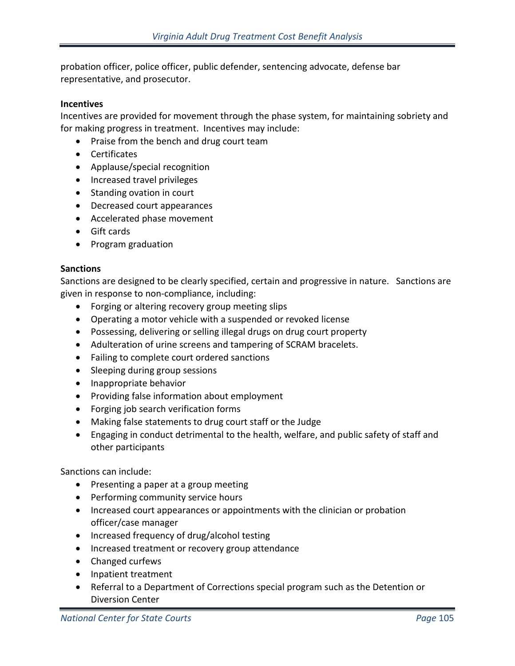probation officer, police officer, public defender, sentencing advocate, defense bar representative, and prosecutor.

#### **Incentives**

Incentives are provided for movement through the phase system, for maintaining sobriety and for making progress in treatment. Incentives may include:

- Praise from the bench and drug court team
- Certificates
- Applause/special recognition
- Increased travel privileges
- Standing ovation in court
- Decreased court appearances
- Accelerated phase movement
- Gift cards
- Program graduation

## **Sanctions**

Sanctions are designed to be clearly specified, certain and progressive in nature. Sanctions are given in response to non-compliance, including:

- Forging or altering recovery group meeting slips
- Operating a motor vehicle with a suspended or revoked license
- Possessing, delivering or selling illegal drugs on drug court property
- Adulteration of urine screens and tampering of SCRAM bracelets.
- Failing to complete court ordered sanctions
- Sleeping during group sessions
- Inappropriate behavior
- Providing false information about employment
- Forging job search verification forms
- Making false statements to drug court staff or the Judge
- Engaging in conduct detrimental to the health, welfare, and public safety of staff and other participants

Sanctions can include:

- Presenting a paper at a group meeting
- Performing community service hours
- Increased court appearances or appointments with the clinician or probation officer/case manager
- Increased frequency of drug/alcohol testing
- Increased treatment or recovery group attendance
- Changed curfews
- Inpatient treatment
- Referral to a Department of Corrections special program such as the Detention or Diversion Center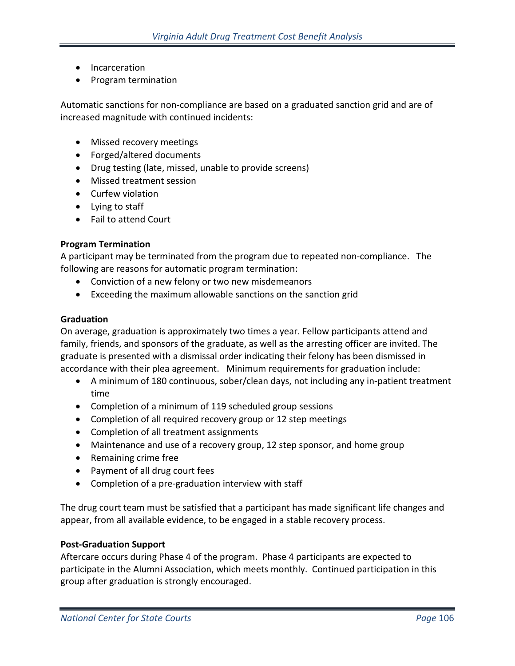- Incarceration
- Program termination

Automatic sanctions for non-compliance are based on a graduated sanction grid and are of increased magnitude with continued incidents:

- Missed recovery meetings
- Forged/altered documents
- Drug testing (late, missed, unable to provide screens)
- Missed treatment session
- Curfew violation
- Lying to staff
- Fail to attend Court

#### **Program Termination**

A participant may be terminated from the program due to repeated non-compliance. The following are reasons for automatic program termination:

- Conviction of a new felony or two new misdemeanors
- Exceeding the maximum allowable sanctions on the sanction grid

#### **Graduation**

On average, graduation is approximately two times a year. Fellow participants attend and family, friends, and sponsors of the graduate, as well as the arresting officer are invited. The graduate is presented with a dismissal order indicating their felony has been dismissed in accordance with their plea agreement. Minimum requirements for graduation include:

- A minimum of 180 continuous, sober/clean days, not including any in-patient treatment time
- Completion of a minimum of 119 scheduled group sessions
- Completion of all required recovery group or 12 step meetings
- Completion of all treatment assignments
- Maintenance and use of a recovery group, 12 step sponsor, and home group
- Remaining crime free
- Payment of all drug court fees
- Completion of a pre-graduation interview with staff

The drug court team must be satisfied that a participant has made significant life changes and appear, from all available evidence, to be engaged in a stable recovery process.

#### **Post-Graduation Support**

Aftercare occurs during Phase 4 of the program. Phase 4 participants are expected to participate in the Alumni Association, which meets monthly. Continued participation in this group after graduation is strongly encouraged.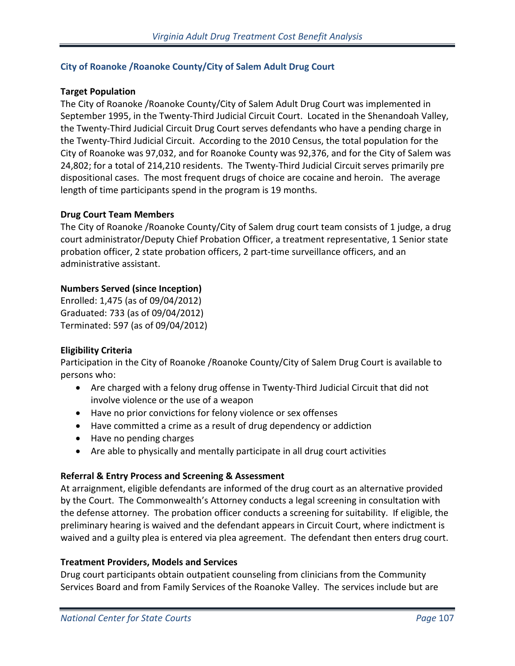## **City of Roanoke /Roanoke County/City of Salem Adult Drug Court**

## **Target Population**

The City of Roanoke /Roanoke County/City of Salem Adult Drug Court was implemented in September 1995, in the Twenty-Third Judicial Circuit Court. Located in the Shenandoah Valley, the Twenty-Third Judicial Circuit Drug Court serves defendants who have a pending charge in the Twenty-Third Judicial Circuit. According to the 2010 Census, the total population for the City of Roanoke was 97,032, and for Roanoke County was 92,376, and for the City of Salem was 24,802; for a total of 214,210 residents. The Twenty-Third Judicial Circuit serves primarily pre dispositional cases. The most frequent drugs of choice are cocaine and heroin. The average length of time participants spend in the program is 19 months.

## **Drug Court Team Members**

The City of Roanoke /Roanoke County/City of Salem drug court team consists of 1 judge, a drug court administrator/Deputy Chief Probation Officer, a treatment representative, 1 Senior state probation officer, 2 state probation officers, 2 part-time surveillance officers, and an administrative assistant.

# **Numbers Served (since Inception)**

Enrolled: 1,475 (as of 09/04/2012) Graduated: 733 (as of 09/04/2012) Terminated: 597 (as of 09/04/2012)

## **Eligibility Criteria**

Participation in the City of Roanoke /Roanoke County/City of Salem Drug Court is available to persons who:

- Are charged with a felony drug offense in Twenty-Third Judicial Circuit that did not involve violence or the use of a weapon
- Have no prior convictions for felony violence or sex offenses
- Have committed a crime as a result of drug dependency or addiction
- Have no pending charges
- Are able to physically and mentally participate in all drug court activities

## **Referral & Entry Process and Screening & Assessment**

At arraignment, eligible defendants are informed of the drug court as an alternative provided by the Court. The Commonwealth's Attorney conducts a legal screening in consultation with the defense attorney. The probation officer conducts a screening for suitability. If eligible, the preliminary hearing is waived and the defendant appears in Circuit Court, where indictment is waived and a guilty plea is entered via plea agreement. The defendant then enters drug court.

## **Treatment Providers, Models and Services**

Drug court participants obtain outpatient counseling from clinicians from the Community Services Board and from Family Services of the Roanoke Valley. The services include but are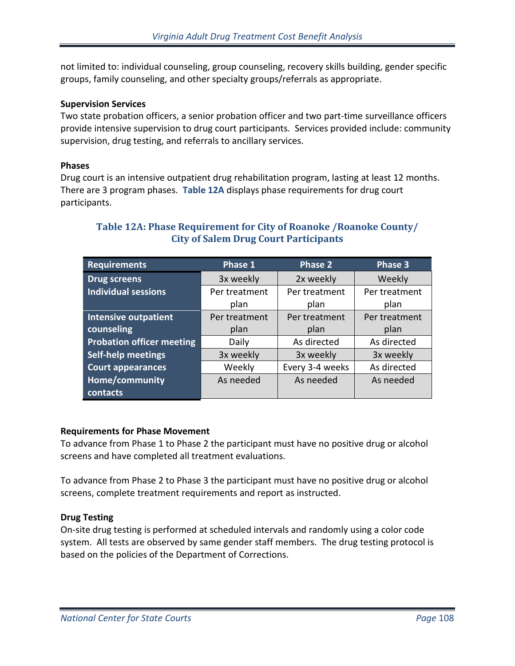not limited to: individual counseling, group counseling, recovery skills building, gender specific groups, family counseling, and other specialty groups/referrals as appropriate.

## **Supervision Services**

Two state probation officers, a senior probation officer and two part-time surveillance officers provide intensive supervision to drug court participants. Services provided include: community supervision, drug testing, and referrals to ancillary services.

## **Phases**

Drug court is an intensive outpatient drug rehabilitation program, lasting at least 12 months. There are 3 program phases. **Table 12A** displays phase requirements for drug court participants.

| <b>Requirements</b>              | Phase 1       | <b>Phase 2</b>  | Phase 3       |
|----------------------------------|---------------|-----------------|---------------|
| <b>Drug screens</b>              | 3x weekly     | 2x weekly       | Weekly        |
| <b>Individual sessions</b>       | Per treatment | Per treatment   | Per treatment |
|                                  | plan          | plan            | plan          |
| <b>Intensive outpatient</b>      | Per treatment | Per treatment   | Per treatment |
| counseling                       | plan          | plan            | plan          |
| <b>Probation officer meeting</b> | Daily         | As directed     | As directed   |
| <b>Self-help meetings</b>        | 3x weekly     | 3x weekly       | 3x weekly     |
| <b>Court appearances</b>         | Weekly        | Every 3-4 weeks | As directed   |
| Home/community                   | As needed     | As needed       | As needed     |
| contacts                         |               |                 |               |

# **Table 12A: Phase Requirement for City of Roanoke /Roanoke County/ City of Salem Drug Court Participants**

# **Requirements for Phase Movement**

To advance from Phase 1 to Phase 2 the participant must have no positive drug or alcohol screens and have completed all treatment evaluations.

To advance from Phase 2 to Phase 3 the participant must have no positive drug or alcohol screens, complete treatment requirements and report as instructed.

## **Drug Testing**

On-site drug testing is performed at scheduled intervals and randomly using a color code system. All tests are observed by same gender staff members. The drug testing protocol is based on the policies of the Department of Corrections.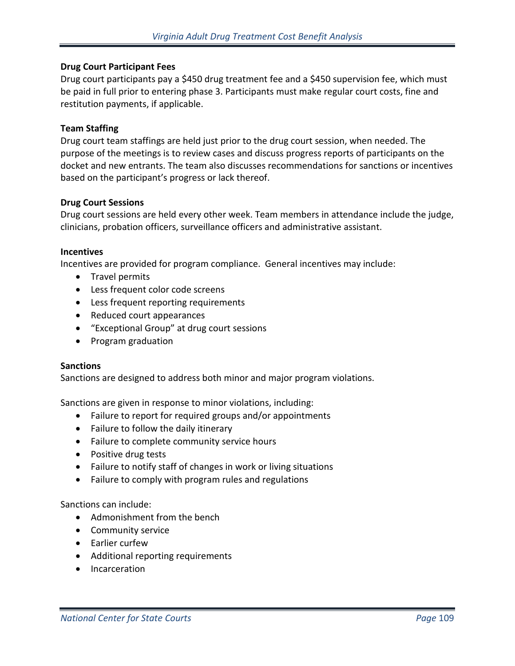### **Drug Court Participant Fees**

Drug court participants pay a \$450 drug treatment fee and a \$450 supervision fee, which must be paid in full prior to entering phase 3. Participants must make regular court costs, fine and restitution payments, if applicable.

#### **Team Staffing**

Drug court team staffings are held just prior to the drug court session, when needed. The purpose of the meetings is to review cases and discuss progress reports of participants on the docket and new entrants. The team also discusses recommendations for sanctions or incentives based on the participant's progress or lack thereof.

### **Drug Court Sessions**

Drug court sessions are held every other week. Team members in attendance include the judge, clinicians, probation officers, surveillance officers and administrative assistant.

### **Incentives**

Incentives are provided for program compliance. General incentives may include:

- Travel permits
- Less frequent color code screens
- Less frequent reporting requirements
- Reduced court appearances
- "Exceptional Group" at drug court sessions
- Program graduation

#### **Sanctions**

Sanctions are designed to address both minor and major program violations.

Sanctions are given in response to minor violations, including:

- Failure to report for required groups and/or appointments
- Failure to follow the daily itinerary
- Failure to complete community service hours
- Positive drug tests
- Failure to notify staff of changes in work or living situations
- Failure to comply with program rules and regulations

### Sanctions can include:

- Admonishment from the bench
- Community service
- Earlier curfew
- Additional reporting requirements
- Incarceration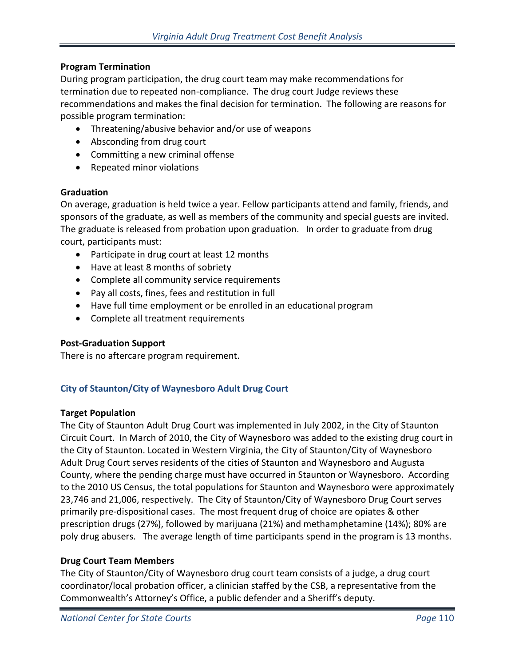## **Program Termination**

During program participation, the drug court team may make recommendations for termination due to repeated non-compliance. The drug court Judge reviews these recommendations and makes the final decision for termination. The following are reasons for possible program termination:

- Threatening/abusive behavior and/or use of weapons
- Absconding from drug court
- Committing a new criminal offense
- Repeated minor violations

## **Graduation**

On average, graduation is held twice a year. Fellow participants attend and family, friends, and sponsors of the graduate, as well as members of the community and special guests are invited. The graduate is released from probation upon graduation. In order to graduate from drug court, participants must:

- Participate in drug court at least 12 months
- Have at least 8 months of sobriety
- Complete all community service requirements
- Pay all costs, fines, fees and restitution in full
- Have full time employment or be enrolled in an educational program
- Complete all treatment requirements

## **Post-Graduation Support**

There is no aftercare program requirement.

## **City of Staunton/City of Waynesboro Adult Drug Court**

### **Target Population**

The City of Staunton Adult Drug Court was implemented in July 2002, in the City of Staunton Circuit Court. In March of 2010, the City of Waynesboro was added to the existing drug court in the City of Staunton. Located in Western Virginia, the City of Staunton/City of Waynesboro Adult Drug Court serves residents of the cities of Staunton and Waynesboro and Augusta County, where the pending charge must have occurred in Staunton or Waynesboro. According to the 2010 US Census, the total populations for Staunton and Waynesboro were approximately 23,746 and 21,006, respectively. The City of Staunton/City of Waynesboro Drug Court serves primarily pre-dispositional cases. The most frequent drug of choice are opiates & other prescription drugs (27%), followed by marijuana (21%) and methamphetamine (14%); 80% are poly drug abusers. The average length of time participants spend in the program is 13 months.

### **Drug Court Team Members**

The City of Staunton/City of Waynesboro drug court team consists of a judge, a drug court coordinator/local probation officer, a clinician staffed by the CSB, a representative from the Commonwealth's Attorney's Office, a public defender and a Sheriff's deputy.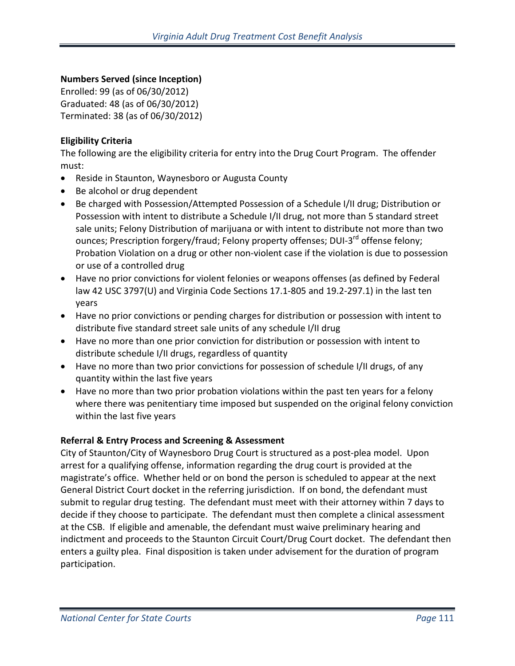## **Numbers Served (since Inception)**

Enrolled: 99 (as of 06/30/2012) Graduated: 48 (as of 06/30/2012) Terminated: 38 (as of 06/30/2012)

## **Eligibility Criteria**

The following are the eligibility criteria for entry into the Drug Court Program. The offender must:

- Reside in Staunton, Waynesboro or Augusta County
- Be alcohol or drug dependent
- Be charged with Possession/Attempted Possession of a Schedule I/II drug; Distribution or Possession with intent to distribute a Schedule I/II drug, not more than 5 standard street sale units; Felony Distribution of marijuana or with intent to distribute not more than two ounces; Prescription forgery/fraud; Felony property offenses; DUI-3<sup>rd</sup> offense felony; Probation Violation on a drug or other non-violent case if the violation is due to possession or use of a controlled drug
- Have no prior convictions for violent felonies or weapons offenses (as defined by Federal law 42 USC 3797(U) and Virginia Code Sections 17.1-805 and 19.2-297.1) in the last ten years
- Have no prior convictions or pending charges for distribution or possession with intent to distribute five standard street sale units of any schedule I/II drug
- Have no more than one prior conviction for distribution or possession with intent to distribute schedule I/II drugs, regardless of quantity
- Have no more than two prior convictions for possession of schedule I/II drugs, of any quantity within the last five years
- Have no more than two prior probation violations within the past ten years for a felony where there was penitentiary time imposed but suspended on the original felony conviction within the last five years

## **Referral & Entry Process and Screening & Assessment**

City of Staunton/City of Waynesboro Drug Court is structured as a post-plea model. Upon arrest for a qualifying offense, information regarding the drug court is provided at the magistrate's office. Whether held or on bond the person is scheduled to appear at the next General District Court docket in the referring jurisdiction. If on bond, the defendant must submit to regular drug testing. The defendant must meet with their attorney within 7 days to decide if they choose to participate. The defendant must then complete a clinical assessment at the CSB. If eligible and amenable, the defendant must waive preliminary hearing and indictment and proceeds to the Staunton Circuit Court/Drug Court docket. The defendant then enters a guilty plea. Final disposition is taken under advisement for the duration of program participation.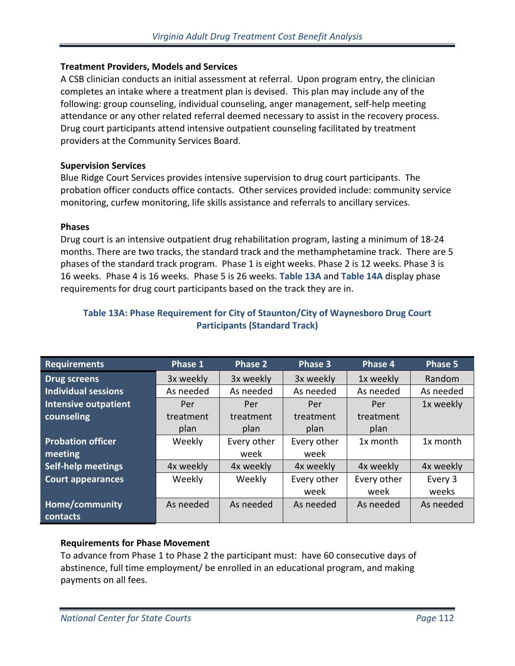## **Treatment Providers, Models and Services**

A CSB clinician conducts an initial assessment at referral. Upon program entry, the clinician completes an intake where a treatment plan is devised. This plan may include any of the following: group counseling, individual counseling, anger management, self-help meeting attendance or any other related referral deemed necessary to assist in the recovery process. Drug court participants attend intensive outpatient counseling facilitated by treatment providers at the Community Services Board.

## **Supervision Services**

Blue Ridge Court Services provides intensive supervision to drug court participants. The probation officer conducts office contacts. Other services provided include: community service monitoring, curfew monitoring, life skills assistance and referrals to ancillary services.

### **Phases**

Drug court is an intensive outpatient drug rehabilitation program, lasting a minimum of 18-24 months. There are two tracks, the standard track and the methamphetamine track. There are 5 phases of the standard track program. Phase 1 is eight weeks. Phase 2 is 12 weeks. Phase 3 is 16 weeks. Phase 4 is 16 weeks. Phase 5 is 26 weeks. **Table 13A** and **Table 14A** display phase requirements for drug court participants based on the track they are in.

| <b>Requirements</b>        | Phase 1   | Phase <sub>2</sub> | Phase 3     | Phase 4     | Phase 5   |
|----------------------------|-----------|--------------------|-------------|-------------|-----------|
| <b>Drug screens</b>        | 3x weekly | 3x weekly          | 3x weekly   | 1x weekly   | Random    |
| <b>Individual sessions</b> | As needed | As needed          | As needed   | As needed   | As needed |
| Intensive outpatient       | Per       | Per                | Per         | Per         | 1x weekly |
| counseling                 | treatment | treatment          | treatment   | treatment   |           |
|                            | plan      | plan               | plan        | plan        |           |
| <b>Probation officer</b>   | Weekly    | Every other        | Every other | 1x month    | 1x month  |
| meeting                    |           | week               | week        |             |           |
| <b>Self-help meetings</b>  | 4x weekly | 4x weekly          | 4x weekly   | 4x weekly   | 4x weekly |
| <b>Court appearances</b>   | Weekly    | Weekly             | Every other | Every other | Every 3   |
|                            |           |                    | week        | week        | weeks     |
| Home/community             | As needed | As needed          | As needed   | As needed   | As needed |
| contacts                   |           |                    |             |             |           |

## **Table 13A: Phase Requirement for City of Staunton/City of Waynesboro Drug Court Participants (Standard Track)**

## **Requirements for Phase Movement**

To advance from Phase 1 to Phase 2 the participant must: have 60 consecutive days of abstinence, full time employment/ be enrolled in an educational program, and making payments on all fees.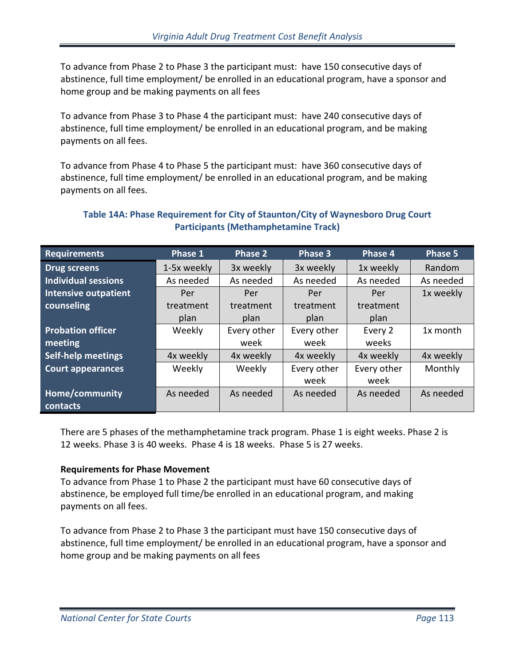To advance from Phase 2 to Phase 3 the participant must: have 150 consecutive days of abstinence, full time employment/ be enrolled in an educational program, have a sponsor and home group and be making payments on all fees

To advance from Phase 3 to Phase 4 the participant must: have 240 consecutive days of abstinence, full time employment/ be enrolled in an educational program, and be making payments on all fees.

To advance from Phase 4 to Phase 5 the participant must: have 360 consecutive days of abstinence, full time employment/ be enrolled in an educational program, and be making payments on all fees.

## **Table 14A: Phase Requirement for City of Staunton/City of Waynesboro Drug Court Participants (Methamphetamine Track)**

| <b>Requirements</b>        | Phase 1     | Phase 2     | Phase 3     | Phase 4     | Phase 5   |
|----------------------------|-------------|-------------|-------------|-------------|-----------|
| <b>Drug screens</b>        | 1-5x weekly | 3x weekly   | 3x weekly   | 1x weekly   | Random    |
| <b>Individual sessions</b> | As needed   | As needed   | As needed   | As needed   | As needed |
| Intensive outpatient       | Per         | Per         | Per         | Per         | 1x weekly |
| counseling                 | treatment   | treatment   | treatment   | treatment   |           |
|                            | plan        | plan        | plan        | plan        |           |
| <b>Probation officer</b>   | Weekly      | Every other | Every other | Every 2     | 1x month  |
| meeting                    |             | week        | week        | weeks       |           |
| <b>Self-help meetings</b>  | 4x weekly   | 4x weekly   | 4x weekly   | 4x weekly   | 4x weekly |
| <b>Court appearances</b>   | Weekly      | Weekly      | Every other | Every other | Monthly   |
|                            |             |             | week        | week        |           |
| Home/community             | As needed   | As needed   | As needed   | As needed   | As needed |
| contacts                   |             |             |             |             |           |

There are 5 phases of the methamphetamine track program. Phase 1 is eight weeks. Phase 2 is 12 weeks. Phase 3 is 40 weeks. Phase 4 is 18 weeks. Phase 5 is 27 weeks.

## **Requirements for Phase Movement**

To advance from Phase 1 to Phase 2 the participant must have 60 consecutive days of abstinence, be employed full time/be enrolled in an educational program, and making payments on all fees.

To advance from Phase 2 to Phase 3 the participant must have 150 consecutive days of abstinence, full time employment/ be enrolled in an educational program, have a sponsor and home group and be making payments on all fees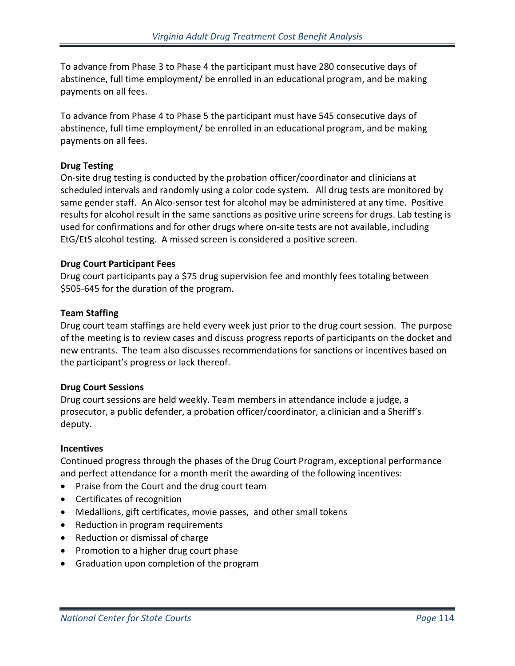To advance from Phase 3 to Phase 4 the participant must have 280 consecutive days of abstinence, full time employment/ be enrolled in an educational program, and be making payments on all fees.

To advance from Phase 4 to Phase 5 the participant must have 545 consecutive days of abstinence, full time employment/ be enrolled in an educational program, and be making payments on all fees.

## **Drug Testing**

On-site drug testing is conducted by the probation officer/coordinator and clinicians at scheduled intervals and randomly using a color code system. All drug tests are monitored by same gender staff. An Alco-sensor test for alcohol may be administered at any time. Positive results for alcohol result in the same sanctions as positive urine screens for drugs. Lab testing is used for confirmations and for other drugs where on-site tests are not available, including EtG/EtS alcohol testing. A missed screen is considered a positive screen.

### **Drug Court Participant Fees**

Drug court participants pay a \$75 drug supervision fee and monthly fees totaling between \$505-645 for the duration of the program.

## **Team Staffing**

Drug court team staffings are held every week just prior to the drug court session. The purpose of the meeting is to review cases and discuss progress reports of participants on the docket and new entrants. The team also discusses recommendations for sanctions or incentives based on the participant's progress or lack thereof.

## **Drug Court Sessions**

Drug court sessions are held weekly. Team members in attendance include a judge, a prosecutor, a public defender, a probation officer/coordinator, a clinician and a Sheriff's deputy.

### **Incentives**

Continued progress through the phases of the Drug Court Program, exceptional performance and perfect attendance for a month merit the awarding of the following incentives:

- Praise from the Court and the drug court team
- Certificates of recognition
- Medallions, gift certificates, movie passes, and other small tokens
- Reduction in program requirements
- Reduction or dismissal of charge
- Promotion to a higher drug court phase
- Graduation upon completion of the program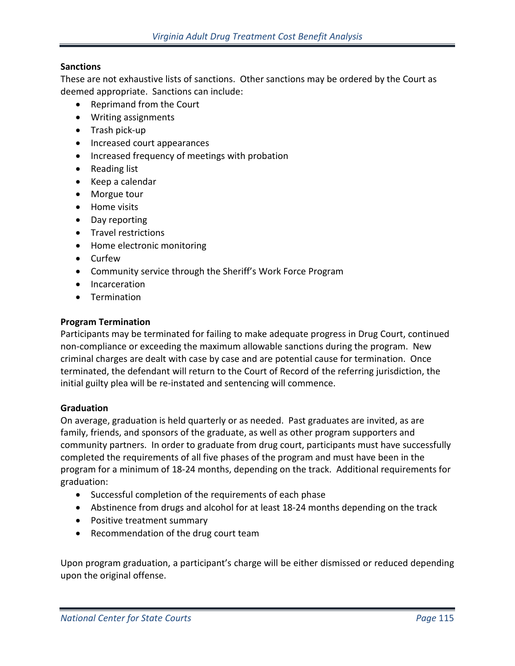## **Sanctions**

These are not exhaustive lists of sanctions. Other sanctions may be ordered by the Court as deemed appropriate. Sanctions can include:

- Reprimand from the Court
- Writing assignments
- Trash pick-up
- Increased court appearances
- Increased frequency of meetings with probation
- Reading list
- Keep a calendar
- Morgue tour
- Home visits
- Day reporting
- Travel restrictions
- Home electronic monitoring
- Curfew
- Community service through the Sheriff's Work Force Program
- Incarceration
- Termination

### **Program Termination**

Participants may be terminated for failing to make adequate progress in Drug Court, continued non-compliance or exceeding the maximum allowable sanctions during the program. New criminal charges are dealt with case by case and are potential cause for termination. Once terminated, the defendant will return to the Court of Record of the referring jurisdiction, the initial guilty plea will be re-instated and sentencing will commence.

### **Graduation**

On average, graduation is held quarterly or as needed. Past graduates are invited, as are family, friends, and sponsors of the graduate, as well as other program supporters and community partners. In order to graduate from drug court, participants must have successfully completed the requirements of all five phases of the program and must have been in the program for a minimum of 18-24 months, depending on the track. Additional requirements for graduation:

- Successful completion of the requirements of each phase
- Abstinence from drugs and alcohol for at least 18-24 months depending on the track
- Positive treatment summary
- Recommendation of the drug court team

Upon program graduation, a participant's charge will be either dismissed or reduced depending upon the original offense.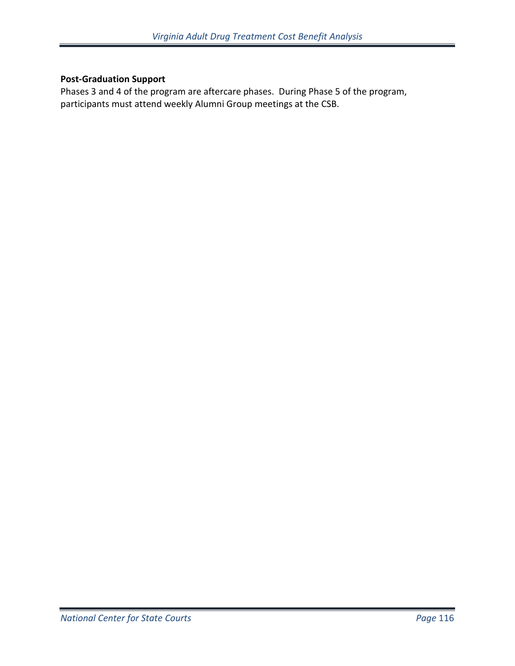## **Post-Graduation Support**

Phases 3 and 4 of the program are aftercare phases. During Phase 5 of the program, participants must attend weekly Alumni Group meetings at the CSB.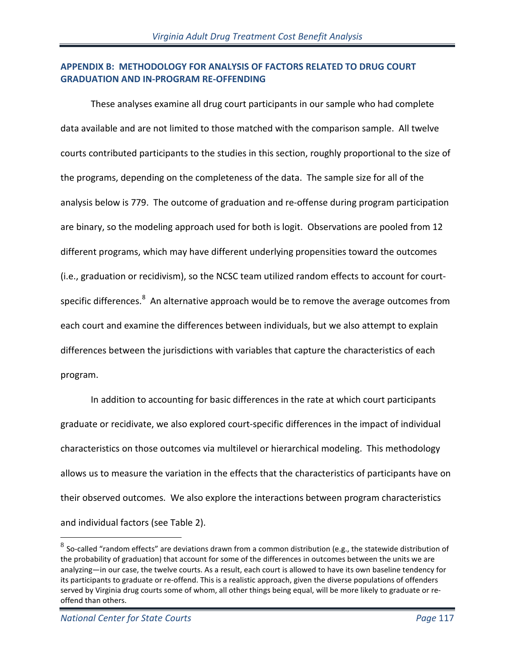## **APPENDIX B: METHODOLOGY FOR ANALYSIS OF FACTORS RELATED TO DRUG COURT GRADUATION AND IN-PROGRAM RE-OFFENDING**

These analyses examine all drug court participants in our sample who had complete data available and are not limited to those matched with the comparison sample. All twelve courts contributed participants to the studies in this section, roughly proportional to the size of the programs, depending on the completeness of the data. The sample size for all of the analysis below is 779. The outcome of graduation and re-offense during program participation are binary, so the modeling approach used for both is logit. Observations are pooled from 12 different programs, which may have different underlying propensities toward the outcomes (i.e., graduation or recidivism), so the NCSC team utilized random effects to account for court-specific differences.<sup>[8](#page-116-0)</sup> An alternative approach would be to remove the average outcomes from each court and examine the differences between individuals, but we also attempt to explain differences between the jurisdictions with variables that capture the characteristics of each program.

In addition to accounting for basic differences in the rate at which court participants graduate or recidivate, we also explored court-specific differences in the impact of individual characteristics on those outcomes via multilevel or hierarchical modeling. This methodology allows us to measure the variation in the effects that the characteristics of participants have on their observed outcomes. We also explore the interactions between program characteristics and individual factors (see Table 2).

 $\overline{a}$ 

<span id="page-116-0"></span> $8$  So-called "random effects" are deviations drawn from a common distribution (e.g., the statewide distribution of the probability of graduation) that account for some of the differences in outcomes between the units we are analyzing—in our case, the twelve courts. As a result, each court is allowed to have its own baseline tendency for its participants to graduate or re-offend. This is a realistic approach, given the diverse populations of offenders served by Virginia drug courts some of whom, all other things being equal, will be more likely to graduate or reoffend than others.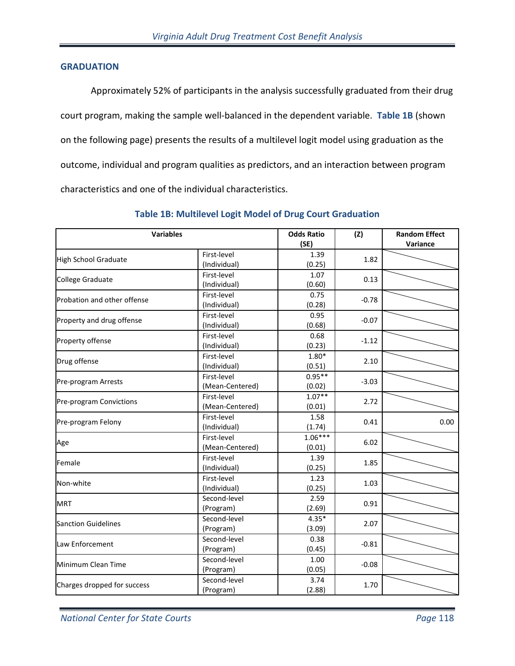#### **GRADUATION**

Approximately 52% of participants in the analysis successfully graduated from their drug court program, making the sample well-balanced in the dependent variable. **Table 1B** (shown on the following page) presents the results of a multilevel logit model using graduation as the outcome, individual and program qualities as predictors, and an interaction between program characteristics and one of the individual characteristics.

| <b>Variables</b>            |                                | <b>Odds Ratio</b><br>(SE) | (Z)     | <b>Random Effect</b><br>Variance |
|-----------------------------|--------------------------------|---------------------------|---------|----------------------------------|
| <b>High School Graduate</b> | First-level<br>(Individual)    | 1.39<br>(0.25)            | 1.82    |                                  |
| College Graduate            | First-level<br>(Individual)    | 1.07<br>(0.60)            | 0.13    |                                  |
| Probation and other offense | First-level<br>(Individual)    | 0.75<br>(0.28)            | $-0.78$ |                                  |
| Property and drug offense   | First-level<br>(Individual)    | 0.95<br>(0.68)            | $-0.07$ |                                  |
| Property offense            | First-level<br>(Individual)    | 0.68<br>(0.23)            | $-1.12$ |                                  |
| Drug offense                | First-level<br>(Individual)    | $1.80*$<br>(0.51)         | 2.10    |                                  |
| Pre-program Arrests         | First-level<br>(Mean-Centered) | $0.95**$<br>(0.02)        | $-3.03$ |                                  |
| Pre-program Convictions     | First-level<br>(Mean-Centered) | $1.07**$<br>(0.01)        | 2.72    |                                  |
| Pre-program Felony          | First-level<br>(Individual)    | 1.58<br>(1.74)            | 0.41    | 0.00                             |
| Age                         | First-level<br>(Mean-Centered) | $1.06***$<br>(0.01)       | 6.02    |                                  |
| Female                      | First-level<br>(Individual)    | 1.39<br>(0.25)            | 1.85    |                                  |
| Non-white                   | First-level<br>(Individual)    | 1.23<br>(0.25)            | 1.03    |                                  |
| <b>MRT</b>                  | Second-level<br>(Program)      | 2.59<br>(2.69)            | 0.91    |                                  |
| <b>Sanction Guidelines</b>  | Second-level<br>(Program)      | $4.35*$<br>(3.09)         | 2.07    |                                  |
| Law Enforcement             | Second-level<br>(Program)      | 0.38<br>(0.45)            | $-0.81$ |                                  |
| Minimum Clean Time          | Second-level<br>(Program)      | 1.00<br>(0.05)            | $-0.08$ |                                  |
| Charges dropped for success | Second-level<br>(Program)      | 3.74<br>(2.88)            | 1.70    |                                  |

### **Table 1B: Multilevel Logit Model of Drug Court Graduation**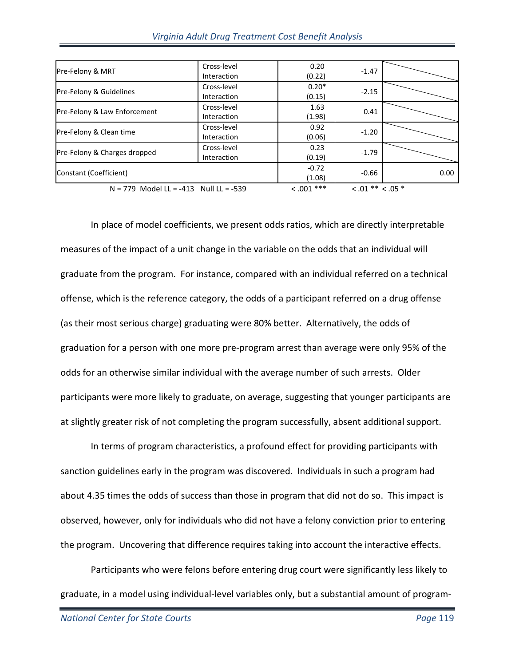| Pre-Felony & MRT                         | Cross-level | 0.20         | $-1.47$              |      |
|------------------------------------------|-------------|--------------|----------------------|------|
|                                          | Interaction | (0.22)       |                      |      |
| Pre-Felony & Guidelines                  | Cross-level | $0.20*$      | $-2.15$              |      |
|                                          | Interaction | (0.15)       |                      |      |
|                                          | Cross-level | 1.63         |                      |      |
| Pre-Felony & Law Enforcement             | Interaction | (1.98)       | 0.41                 |      |
|                                          | Cross-level | 0.92         |                      |      |
| Pre-Felony & Clean time                  | Interaction | (0.06)       | $-1.20$              |      |
|                                          | Cross-level | 0.23         | $-1.79$              |      |
| Pre-Felony & Charges dropped             | Interaction | (0.19)       |                      |      |
|                                          |             | $-0.72$      |                      |      |
| Constant (Coefficient)                   |             | (1.08)       | $-0.66$              | 0.00 |
| $N = 779$ Model LL = -413 Null LL = -539 |             | $< .001$ *** | $< .01$ ** $< .05$ * |      |

In place of model coefficients, we present odds ratios, which are directly interpretable measures of the impact of a unit change in the variable on the odds that an individual will graduate from the program. For instance, compared with an individual referred on a technical offense, which is the reference category, the odds of a participant referred on a drug offense (as their most serious charge) graduating were 80% better. Alternatively, the odds of graduation for a person with one more pre-program arrest than average were only 95% of the odds for an otherwise similar individual with the average number of such arrests. Older participants were more likely to graduate, on average, suggesting that younger participants are at slightly greater risk of not completing the program successfully, absent additional support.

In terms of program characteristics, a profound effect for providing participants with sanction guidelines early in the program was discovered. Individuals in such a program had about 4.35 times the odds of success than those in program that did not do so. This impact is observed, however, only for individuals who did not have a felony conviction prior to entering the program. Uncovering that difference requires taking into account the interactive effects.

Participants who were felons before entering drug court were significantly less likely to graduate, in a model using individual-level variables only, but a substantial amount of program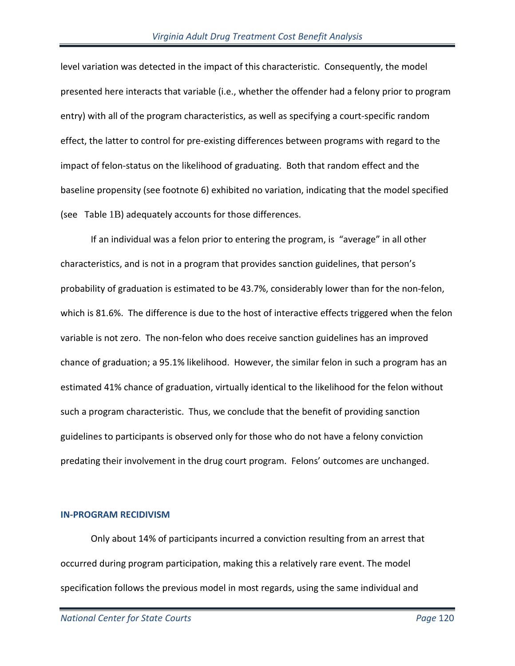level variation was detected in the impact of this characteristic. Consequently, the model presented here interacts that variable (i.e., whether the offender had a felony prior to program entry) with all of the program characteristics, as well as specifying a court-specific random effect, the latter to control for pre-existing differences between programs with regard to the impact of felon-status on the likelihood of graduating. Both that random effect and the baseline propensity (see footnote 6) exhibited no variation, indicating that the model specified (see Table 1B) adequately accounts for those differences.

If an individual was a felon prior to entering the program, is "average" in all other characteristics, and is not in a program that provides sanction guidelines, that person's probability of graduation is estimated to be 43.7%, considerably lower than for the non-felon, which is 81.6%. The difference is due to the host of interactive effects triggered when the felon variable is not zero. The non-felon who does receive sanction guidelines has an improved chance of graduation; a 95.1% likelihood. However, the similar felon in such a program has an estimated 41% chance of graduation, virtually identical to the likelihood for the felon without such a program characteristic. Thus, we conclude that the benefit of providing sanction guidelines to participants is observed only for those who do not have a felony conviction predating their involvement in the drug court program. Felons' outcomes are unchanged.

#### **IN-PROGRAM RECIDIVISM**

 Only about 14% of participants incurred a conviction resulting from an arrest that occurred during program participation, making this a relatively rare event. The model specification follows the previous model in most regards, using the same individual and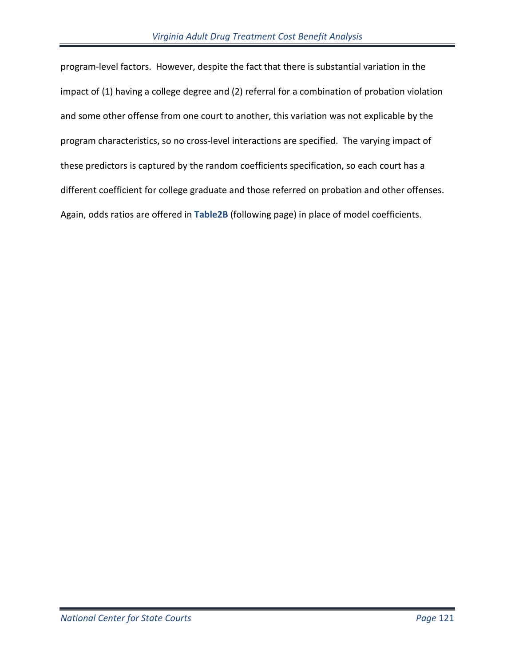program-level factors. However, despite the fact that there is substantial variation in the impact of (1) having a college degree and (2) referral for a combination of probation violation and some other offense from one court to another, this variation was not explicable by the program characteristics, so no cross-level interactions are specified. The varying impact of these predictors is captured by the random coefficients specification, so each court has a different coefficient for college graduate and those referred on probation and other offenses. Again, odds ratios are offered in **Table2B** (following page) in place of model coefficients.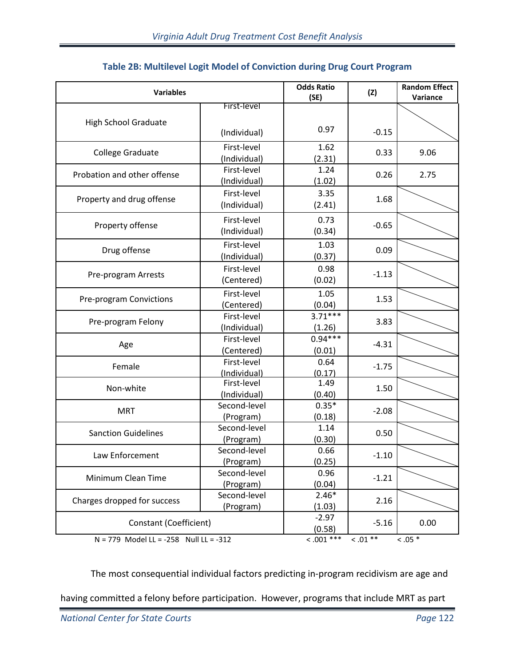| <b>Variables</b>                       |                             | <b>Odds Ratio</b><br>(SE) | (Z)       | <b>Random Effect</b><br>Variance |
|----------------------------------------|-----------------------------|---------------------------|-----------|----------------------------------|
|                                        | First-level                 |                           |           |                                  |
| <b>High School Graduate</b>            | (Individual)                | 0.97                      | $-0.15$   |                                  |
| College Graduate                       | First-level<br>(Individual) | 1.62<br>(2.31)            | 0.33      | 9.06                             |
| Probation and other offense            | First-level<br>(Individual) | 1.24<br>(1.02)            | 0.26      | 2.75                             |
| Property and drug offense              | First-level<br>(Individual) | 3.35<br>(2.41)            | 1.68      |                                  |
| Property offense                       | First-level<br>(Individual) | 0.73<br>(0.34)            | $-0.65$   |                                  |
| Drug offense                           | First-level<br>(Individual) | 1.03<br>(0.37)            | 0.09      |                                  |
| Pre-program Arrests                    | First-level<br>(Centered)   | 0.98<br>(0.02)            | $-1.13$   |                                  |
| Pre-program Convictions                | First-level<br>(Centered)   | 1.05<br>(0.04)            | 1.53      |                                  |
| Pre-program Felony                     | First-level<br>(Individual) | $3.71***$<br>(1.26)       | 3.83      |                                  |
| Age                                    | First-level<br>(Centered)   | $0.94***$<br>(0.01)       | $-4.31$   |                                  |
| Female                                 | First-level<br>(Individual) | 0.64<br>(0.17)            | $-1.75$   |                                  |
| Non-white                              | First-level<br>(Individual) | 1.49<br>(0.40)            | 1.50      |                                  |
| <b>MRT</b>                             | Second-level<br>(Program)   | $0.35*$<br>(0.18)         | $-2.08$   |                                  |
| <b>Sanction Guidelines</b>             | Second-level<br>(Program)   | 1.14<br>(0.30)            | 0.50      |                                  |
| Law Enforcement                        | Second-level<br>(Program)   | 0.66<br>(0.25)            | $-1.10$   |                                  |
| Minimum Clean Time                     | Second-level<br>(Program)   | 0.96<br>(0.04)            | $-1.21$   |                                  |
| Charges dropped for success            | Second-level<br>(Program)   | $2.46*$<br>(1.03)         | 2.16      |                                  |
| Constant (Coefficient)                 |                             | $-2.97$<br>(0.58)         | $-5.16$   | 0.00                             |
| N = 779 Model LL = -258 Null LL = -312 |                             | $< .001$ ***              | $0.01***$ | $0.05*$                          |

# **Table 2B: Multilevel Logit Model of Conviction during Drug Court Program**

The most consequential individual factors predicting in-program recidivism are age and

having committed a felony before participation. However, programs that include MRT as part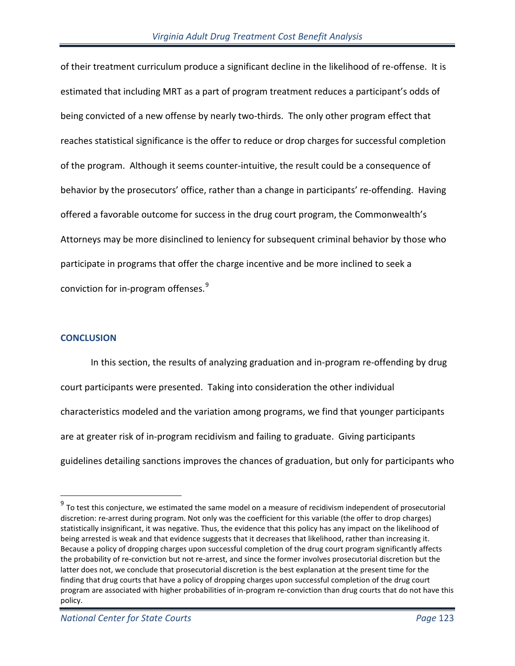of their treatment curriculum produce a significant decline in the likelihood of re-offense. It is estimated that including MRT as a part of program treatment reduces a participant's odds of being convicted of a new offense by nearly two-thirds. The only other program effect that reaches statistical significance is the offer to reduce or drop charges for successful completion of the program. Although it seems counter-intuitive, the result could be a consequence of behavior by the prosecutors' office, rather than a change in participants' re-offending. Having offered a favorable outcome for success in the drug court program, the Commonwealth's Attorneys may be more disinclined to leniency for subsequent criminal behavior by those who participate in programs that offer the charge incentive and be more inclined to seek a conviction for in-program offenses.<sup>[9](#page-122-0)</sup>

### **CONCLUSION**

 $\overline{a}$ 

In this section, the results of analyzing graduation and in-program re-offending by drug court participants were presented. Taking into consideration the other individual characteristics modeled and the variation among programs, we find that younger participants are at greater risk of in-program recidivism and failing to graduate. Giving participants guidelines detailing sanctions improves the chances of graduation, but only for participants who

<span id="page-122-0"></span> $9$  To test this conjecture, we estimated the same model on a measure of recidivism independent of prosecutorial discretion: re-arrest during program. Not only was the coefficient for this variable (the offer to drop charges) statistically insignificant, it was negative. Thus, the evidence that this policy has any impact on the likelihood of being arrested is weak and that evidence suggests that it decreases that likelihood, rather than increasing it. Because a policy of dropping charges upon successful completion of the drug court program significantly affects the probability of re-conviction but not re-arrest, and since the former involves prosecutorial discretion but the latter does not, we conclude that prosecutorial discretion is the best explanation at the present time for the finding that drug courts that have a policy of dropping charges upon successful completion of the drug court program are associated with higher probabilities of in-program re-conviction than drug courts that do not have this policy.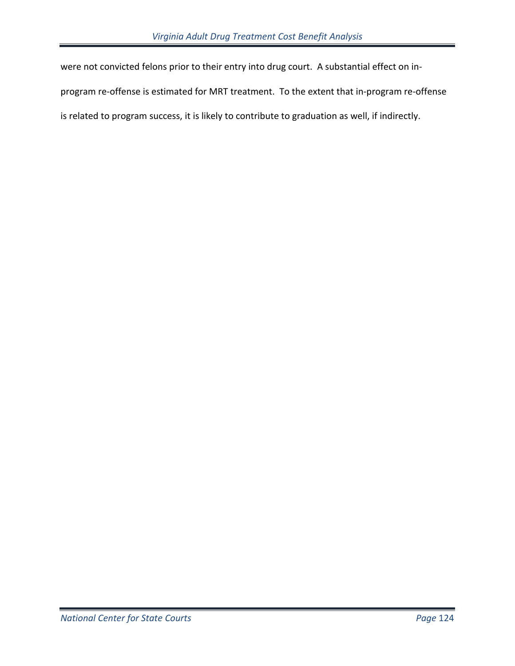were not convicted felons prior to their entry into drug court. A substantial effect on in-

program re-offense is estimated for MRT treatment. To the extent that in-program re-offense

is related to program success, it is likely to contribute to graduation as well, if indirectly.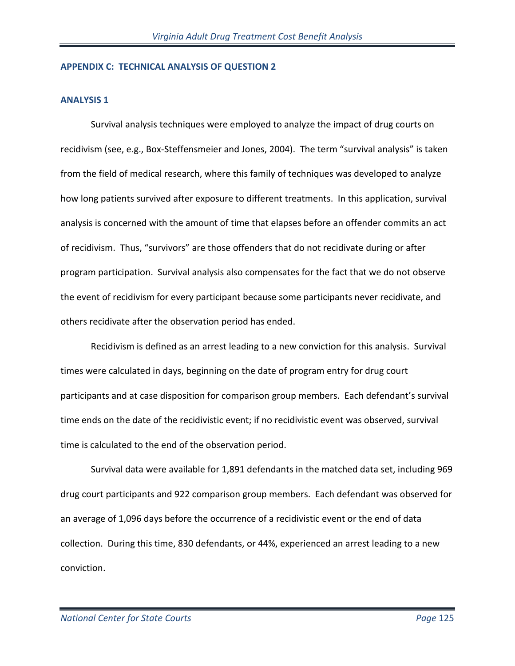#### **APPENDIX C: TECHNICAL ANALYSIS OF QUESTION 2**

#### **ANALYSIS 1**

Survival analysis techniques were employed to analyze the impact of drug courts on recidivism (see, e.g., Box-Steffensmeier and Jones, 2004). The term "survival analysis" is taken from the field of medical research, where this family of techniques was developed to analyze how long patients survived after exposure to different treatments. In this application, survival analysis is concerned with the amount of time that elapses before an offender commits an act of recidivism. Thus, "survivors" are those offenders that do not recidivate during or after program participation. Survival analysis also compensates for the fact that we do not observe the event of recidivism for every participant because some participants never recidivate, and others recidivate after the observation period has ended.

Recidivism is defined as an arrest leading to a new conviction for this analysis. Survival times were calculated in days, beginning on the date of program entry for drug court participants and at case disposition for comparison group members. Each defendant's survival time ends on the date of the recidivistic event; if no recidivistic event was observed, survival time is calculated to the end of the observation period.

Survival data were available for 1,891 defendants in the matched data set, including 969 drug court participants and 922 comparison group members. Each defendant was observed for an average of 1,096 days before the occurrence of a recidivistic event or the end of data collection. During this time, 830 defendants, or 44%, experienced an arrest leading to a new conviction.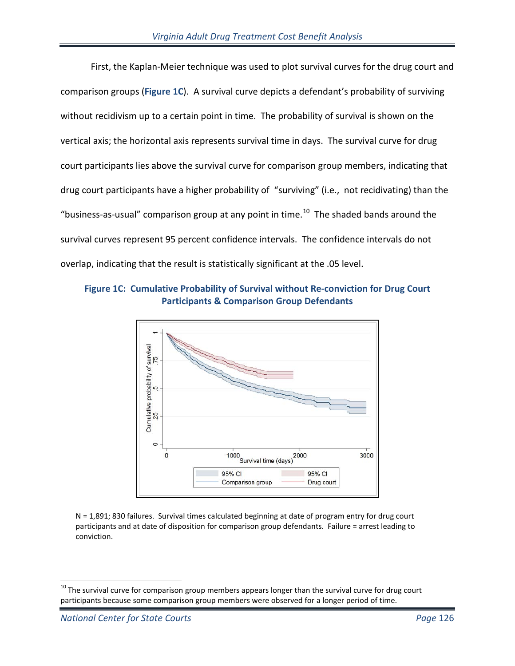First, the Kaplan-Meier technique was used to plot survival curves for the drug court and comparison groups (**Figure 1C**). A survival curve depicts a defendant's probability of surviving without recidivism up to a certain point in time. The probability of survival is shown on the vertical axis; the horizontal axis represents survival time in days. The survival curve for drug court participants lies above the survival curve for comparison group members, indicating that drug court participants have a higher probability of "surviving" (i.e., not recidivating) than the "business-as-usual" comparison group at any point in time. $^{10}$  $^{10}$  $^{10}$  The shaded bands around the survival curves represent 95 percent confidence intervals. The confidence intervals do not overlap, indicating that the result is statistically significant at the .05 level.





N = 1,891; 830 failures. Survival times calculated beginning at date of program entry for drug court participants and at date of disposition for comparison group defendants. Failure = arrest leading to conviction.

<span id="page-125-0"></span> $\overline{a}$  $^{10}$  The survival curve for comparison group members appears longer than the survival curve for drug court participants because some comparison group members were observed for a longer period of time.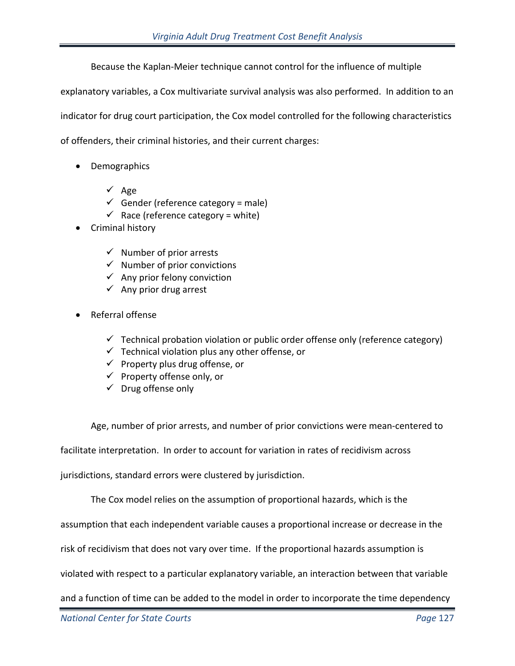Because the Kaplan-Meier technique cannot control for the influence of multiple

explanatory variables, a Cox multivariate survival analysis was also performed. In addition to an indicator for drug court participation, the Cox model controlled for the following characteristics of offenders, their criminal histories, and their current charges:

- Demographics
	- $\checkmark$  Age
	- $\checkmark$  Gender (reference category = male)
	- $\checkmark$  Race (reference category = white)
- Criminal history
	- $\checkmark$  Number of prior arrests
	- $\checkmark$  Number of prior convictions
	- $\checkmark$  Any prior felony conviction
	- $\checkmark$  Any prior drug arrest
- Referral offense
	- $\checkmark$  Technical probation violation or public order offense only (reference category)
	- $\checkmark$  Technical violation plus any other offense, or
	- $\checkmark$  Property plus drug offense, or
	- $\checkmark$  Property offense only, or
	- $\checkmark$  Drug offense only

Age, number of prior arrests, and number of prior convictions were mean-centered to

facilitate interpretation. In order to account for variation in rates of recidivism across

jurisdictions, standard errors were clustered by jurisdiction.

The Cox model relies on the assumption of proportional hazards, which is the

assumption that each independent variable causes a proportional increase or decrease in the

risk of recidivism that does not vary over time. If the proportional hazards assumption is

violated with respect to a particular explanatory variable, an interaction between that variable

and a function of time can be added to the model in order to incorporate the time dependency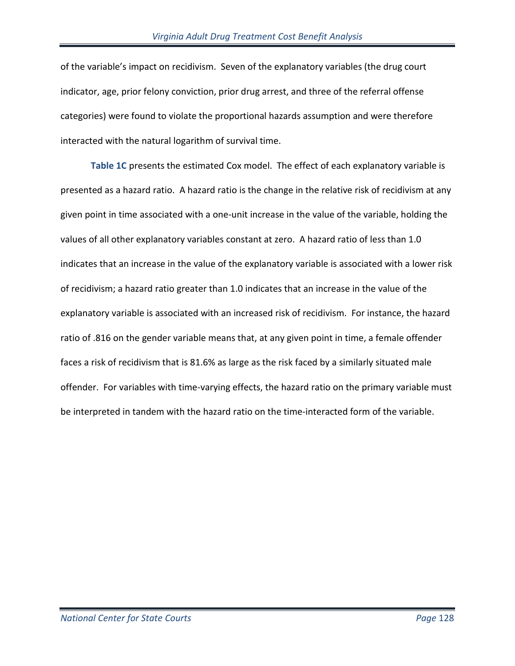of the variable's impact on recidivism. Seven of the explanatory variables (the drug court indicator, age, prior felony conviction, prior drug arrest, and three of the referral offense categories) were found to violate the proportional hazards assumption and were therefore interacted with the natural logarithm of survival time.

**Table 1C** presents the estimated Cox model. The effect of each explanatory variable is presented as a hazard ratio. A hazard ratio is the change in the relative risk of recidivism at any given point in time associated with a one-unit increase in the value of the variable, holding the values of all other explanatory variables constant at zero. A hazard ratio of less than 1.0 indicates that an increase in the value of the explanatory variable is associated with a lower risk of recidivism; a hazard ratio greater than 1.0 indicates that an increase in the value of the explanatory variable is associated with an increased risk of recidivism. For instance, the hazard ratio of .816 on the gender variable means that, at any given point in time, a female offender faces a risk of recidivism that is 81.6% as large as the risk faced by a similarly situated male offender. For variables with time-varying effects, the hazard ratio on the primary variable must be interpreted in tandem with the hazard ratio on the time-interacted form of the variable.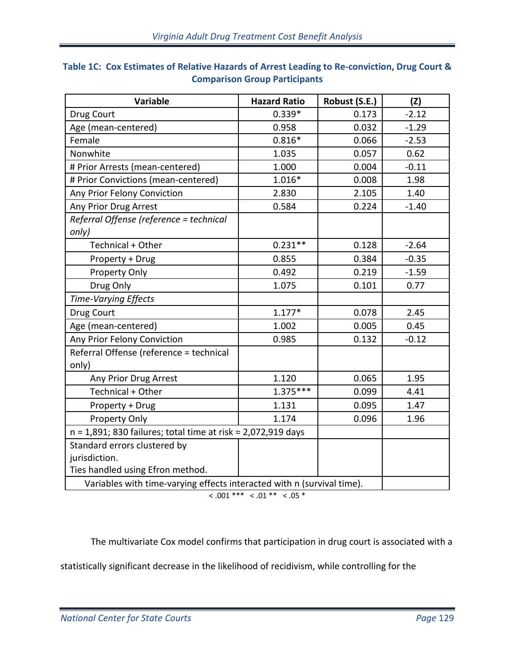| <b>Variable</b>                                                        | <b>Hazard Ratio</b>                                             | Robust (S.E.) | (Z)     |
|------------------------------------------------------------------------|-----------------------------------------------------------------|---------------|---------|
| Drug Court                                                             | $0.339*$                                                        | 0.173         | $-2.12$ |
| Age (mean-centered)                                                    | 0.958                                                           | 0.032         | $-1.29$ |
| Female                                                                 | $0.816*$                                                        | 0.066         | $-2.53$ |
| Nonwhite                                                               | 1.035                                                           | 0.057         | 0.62    |
| # Prior Arrests (mean-centered)                                        | 1.000                                                           | 0.004         | $-0.11$ |
| # Prior Convictions (mean-centered)                                    | $1.016*$                                                        | 0.008         | 1.98    |
| Any Prior Felony Conviction                                            | 2.830                                                           | 2.105         | 1.40    |
| Any Prior Drug Arrest                                                  | 0.584                                                           | 0.224         | $-1.40$ |
| Referral Offense (reference = technical                                |                                                                 |               |         |
| only)                                                                  |                                                                 |               |         |
| Technical + Other                                                      | $0.231**$                                                       | 0.128         | $-2.64$ |
| Property + Drug                                                        | 0.855                                                           | 0.384         | $-0.35$ |
| Property Only                                                          | 0.492                                                           | 0.219         | $-1.59$ |
| Drug Only                                                              | 1.075                                                           | 0.101         | 0.77    |
| <b>Time-Varying Effects</b>                                            |                                                                 |               |         |
| Drug Court                                                             | $1.177*$                                                        | 0.078         | 2.45    |
| Age (mean-centered)                                                    | 1.002                                                           | 0.005         | 0.45    |
| Any Prior Felony Conviction                                            | 0.985                                                           | 0.132         | $-0.12$ |
| Referral Offense (reference = technical                                |                                                                 |               |         |
| only)                                                                  |                                                                 |               |         |
| Any Prior Drug Arrest                                                  | 1.120                                                           | 0.065         | 1.95    |
| Technical + Other                                                      | $1.375***$                                                      | 0.099         | 4.41    |
| Property + Drug                                                        | 1.131                                                           | 0.095         | 1.47    |
| Property Only                                                          | 1.174                                                           | 0.096         | 1.96    |
|                                                                        | $n = 1,891$ ; 830 failures; total time at risk = 2,072,919 days |               |         |
| Standard errors clustered by                                           |                                                                 |               |         |
| jurisdiction.                                                          |                                                                 |               |         |
| Ties handled using Efron method.                                       |                                                                 |               |         |
| Variables with time-varying effects interacted with n (survival time). |                                                                 |               |         |

# **Table 1C: Cox Estimates of Relative Hazards of Arrest Leading to Re-conviction, Drug Court & Comparison Group Participants**

 $< .001$  \*\*\*  $< .01$  \*\*  $< .05$  \*

The multivariate Cox model confirms that participation in drug court is associated with a

statistically significant decrease in the likelihood of recidivism, while controlling for the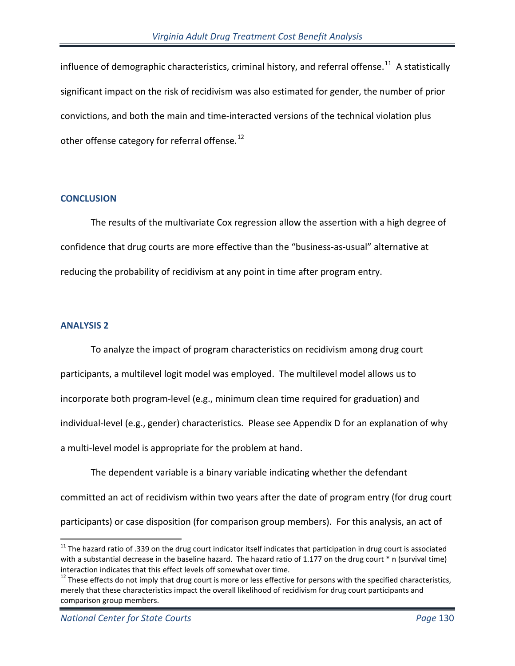influence of demographic characteristics, criminal history, and referral offense.<sup>11</sup> A statistically significant impact on the risk of recidivism was also estimated for gender, the number of prior convictions, and both the main and time-interacted versions of the technical violation plus other offense category for referral offense. $^{12}$  $^{12}$  $^{12}$ 

### **CONCLUSION**

The results of the multivariate Cox regression allow the assertion with a high degree of confidence that drug courts are more effective than the "business-as-usual" alternative at reducing the probability of recidivism at any point in time after program entry.

### **ANALYSIS 2**

 $\overline{a}$ 

To analyze the impact of program characteristics on recidivism among drug court participants, a multilevel logit model was employed. The multilevel model allows us to incorporate both program-level (e.g., minimum clean time required for graduation) and individual-level (e.g., gender) characteristics. Please see Appendix D for an explanation of why a multi-level model is appropriate for the problem at hand.

The dependent variable is a binary variable indicating whether the defendant committed an act of recidivism within two years after the date of program entry (for drug court participants) or case disposition (for comparison group members). For this analysis, an act of

<span id="page-129-0"></span><sup>&</sup>lt;sup>11</sup> The hazard ratio of .339 on the drug court indicator itself indicates that participation in drug court is associated with a substantial decrease in the baseline hazard. The hazard ratio of 1.177 on the drug court \* n (survival time) interaction indicates that this effect levels off somewhat over time.<br><sup>12</sup> These effects do not imply that drug court is more or less effective for persons with the specified characteristics,

<span id="page-129-1"></span>merely that these characteristics impact the overall likelihood of recidivism for drug court participants and comparison group members.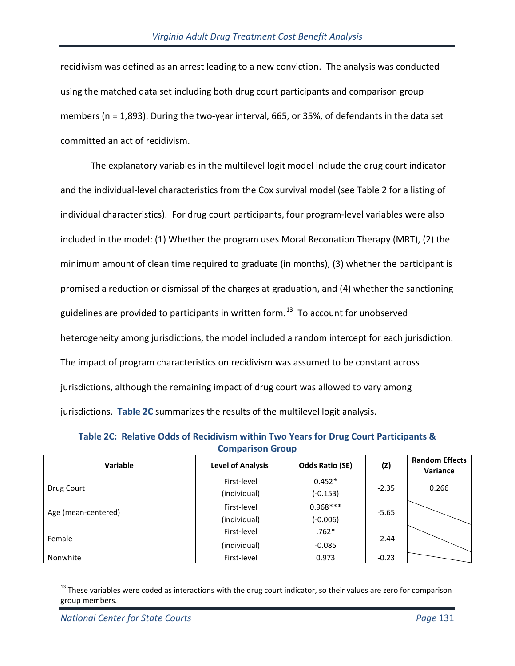recidivism was defined as an arrest leading to a new conviction. The analysis was conducted using the matched data set including both drug court participants and comparison group members (n = 1,893). During the two-year interval, 665, or 35%, of defendants in the data set committed an act of recidivism.

The explanatory variables in the multilevel logit model include the drug court indicator and the individual-level characteristics from the Cox survival model (see Table 2 for a listing of individual characteristics). For drug court participants, four program-level variables were also included in the model: (1) Whether the program uses Moral Reconation Therapy (MRT), (2) the minimum amount of clean time required to graduate (in months), (3) whether the participant is promised a reduction or dismissal of the charges at graduation, and (4) whether the sanctioning guidelines are provided to participants in written form. $^{13}$  To account for unobserved heterogeneity among jurisdictions, the model included a random intercept for each jurisdiction. The impact of program characteristics on recidivism was assumed to be constant across jurisdictions, although the remaining impact of drug court was allowed to vary among jurisdictions. **Table 2C** summarizes the results of the multilevel logit analysis.

**Table 2C: Relative Odds of Recidivism within Two Years for Drug Court Participants & Comparison Group**

| Variable            | <b>Level of Analysis</b> | <b>Odds Ratio (SE)</b> | (Z)     | <b>Random Effects</b><br>Variance |  |
|---------------------|--------------------------|------------------------|---------|-----------------------------------|--|
|                     | First-level              | $0.452*$               |         |                                   |  |
| Drug Court          | (individual)             | $-2.35$<br>$(-0.153)$  |         | 0.266                             |  |
|                     | First-level              | $0.968***$             | $-5.65$ |                                   |  |
| Age (mean-centered) | (individual)             | $(-0.006)$             |         |                                   |  |
| Female              | First-level              | $.762*$                | $-2.44$ |                                   |  |
|                     | (individual)             | $-0.085$               |         |                                   |  |
| Nonwhite            | First-level              | 0.973                  | $-0.23$ |                                   |  |

<span id="page-130-0"></span> $\overline{a}$  $13$  These variables were coded as interactions with the drug court indicator, so their values are zero for comparison group members.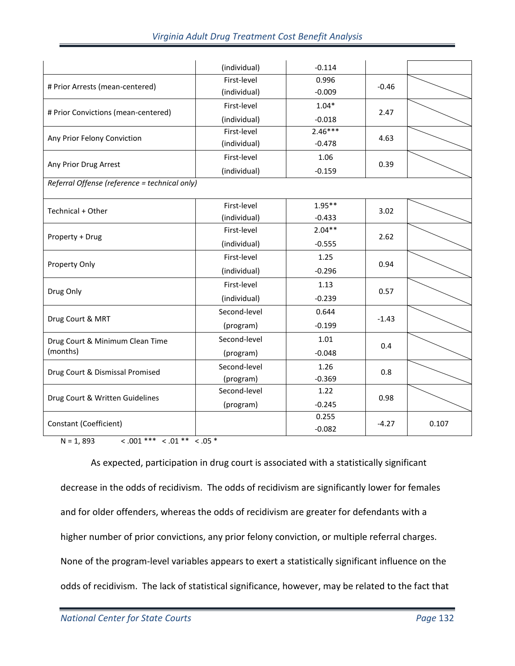| Virginia Adult Drug Treatment Cost Benefit Analysis |  |  |  |
|-----------------------------------------------------|--|--|--|
|-----------------------------------------------------|--|--|--|

|                                               | (individual) | $-0.114$  |         |       |
|-----------------------------------------------|--------------|-----------|---------|-------|
|                                               | First-level  | 0.996     |         |       |
| # Prior Arrests (mean-centered)               | (individual) | $-0.009$  | $-0.46$ |       |
| # Prior Convictions (mean-centered)           | First-level  | $1.04*$   | 2.47    |       |
|                                               | (individual) | $-0.018$  |         |       |
| Any Prior Felony Conviction                   | First-level  | $2.46***$ | 4.63    |       |
|                                               | (individual) | $-0.478$  |         |       |
| Any Prior Drug Arrest                         | First-level  | 1.06      | 0.39    |       |
|                                               | (individual) | $-0.159$  |         |       |
| Referral Offense (reference = technical only) |              |           |         |       |
|                                               | First-level  | $1.95**$  | 3.02    |       |
| Technical + Other                             | (individual) | $-0.433$  |         |       |
|                                               | First-level  | $2.04**$  | 2.62    |       |
| Property + Drug                               | (individual) | $-0.555$  |         |       |
|                                               | First-level  | 1.25      | 0.94    |       |
| Property Only                                 | (individual) | $-0.296$  |         |       |
| Drug Only                                     | First-level  | 1.13      | 0.57    |       |
|                                               | (individual) | $-0.239$  |         |       |
|                                               | Second-level | 0.644     |         |       |
| Drug Court & MRT                              | (program)    | $-0.199$  | $-1.43$ |       |
| Drug Court & Minimum Clean Time               | Second-level | 1.01      |         |       |
| (months)                                      | (program)    | $-0.048$  | 0.4     |       |
| Drug Court & Dismissal Promised               | Second-level | 1.26      | 0.8     |       |
|                                               | (program)    | $-0.369$  |         |       |
| Drug Court & Written Guidelines               | Second-level | 1.22      | 0.98    |       |
|                                               | (program)    | $-0.245$  |         |       |
| Constant (Coefficient)                        |              | 0.255     | $-4.27$ | 0.107 |
|                                               |              | $-0.082$  |         |       |

 $N = 1,893$  < .001 \*\*\* < .01 \*\* < .05 \*

As expected, participation in drug court is associated with a statistically significant decrease in the odds of recidivism. The odds of recidivism are significantly lower for females and for older offenders, whereas the odds of recidivism are greater for defendants with a higher number of prior convictions, any prior felony conviction, or multiple referral charges. None of the program-level variables appears to exert a statistically significant influence on the odds of recidivism. The lack of statistical significance, however, may be related to the fact that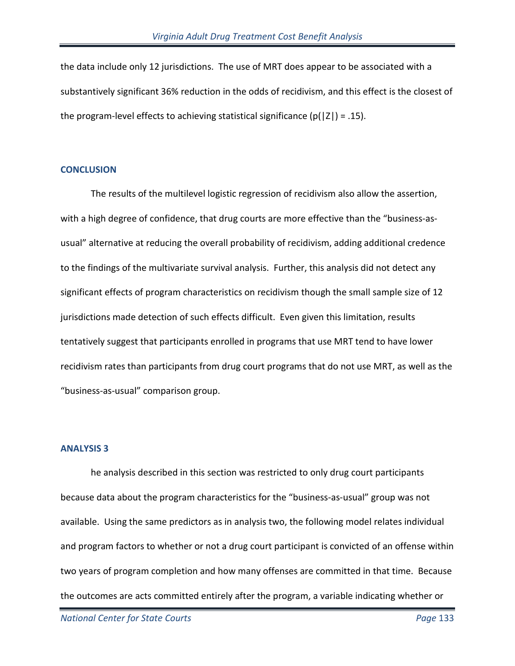the data include only 12 jurisdictions. The use of MRT does appear to be associated with a substantively significant 36% reduction in the odds of recidivism, and this effect is the closest of the program-level effects to achieving statistical significance  $(p(|Z|) = .15)$ .

### **CONCLUSION**

The results of the multilevel logistic regression of recidivism also allow the assertion, with a high degree of confidence, that drug courts are more effective than the "business-asusual" alternative at reducing the overall probability of recidivism, adding additional credence to the findings of the multivariate survival analysis. Further, this analysis did not detect any significant effects of program characteristics on recidivism though the small sample size of 12 jurisdictions made detection of such effects difficult. Even given this limitation, results tentatively suggest that participants enrolled in programs that use MRT tend to have lower recidivism rates than participants from drug court programs that do not use MRT, as well as the "business-as-usual" comparison group.

## **ANALYSIS 3**

he analysis described in this section was restricted to only drug court participants because data about the program characteristics for the "business-as-usual" group was not available. Using the same predictors as in analysis two, the following model relates individual and program factors to whether or not a drug court participant is convicted of an offense within two years of program completion and how many offenses are committed in that time. Because the outcomes are acts committed entirely after the program, a variable indicating whether or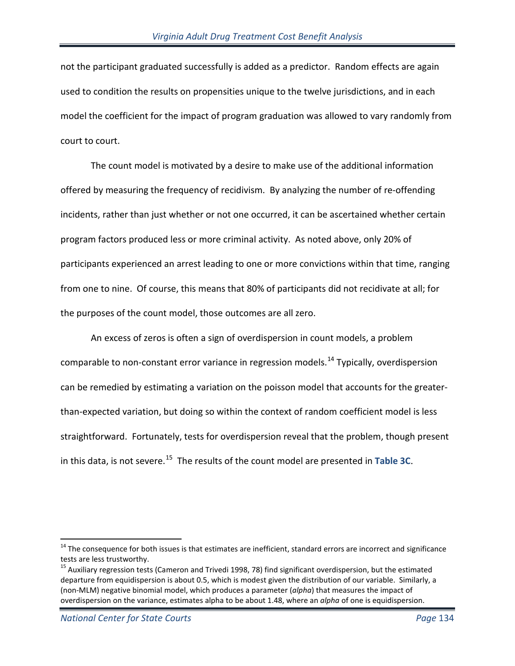not the participant graduated successfully is added as a predictor. Random effects are again used to condition the results on propensities unique to the twelve jurisdictions, and in each model the coefficient for the impact of program graduation was allowed to vary randomly from court to court.

The count model is motivated by a desire to make use of the additional information offered by measuring the frequency of recidivism. By analyzing the number of re-offending incidents, rather than just whether or not one occurred, it can be ascertained whether certain program factors produced less or more criminal activity. As noted above, only 20% of participants experienced an arrest leading to one or more convictions within that time, ranging from one to nine. Of course, this means that 80% of participants did not recidivate at all; for the purposes of the count model, those outcomes are all zero.

An excess of zeros is often a sign of overdispersion in count models, a problem comparable to non-constant error variance in regression models.<sup>[14](#page-133-0)</sup> Typically, overdispersion can be remedied by estimating a variation on the poisson model that accounts for the greaterthan-expected variation, but doing so within the context of random coefficient model is less straightforward. Fortunately, tests for overdispersion reveal that the problem, though present in this data, is not severe.[15](#page-133-1) The results of the count model are presented in **Table 3C**.

 $\overline{a}$ 

<span id="page-133-0"></span><sup>&</sup>lt;sup>14</sup> The consequence for both issues is that estimates are inefficient, standard errors are incorrect and significance tests are less trustworthy.

<span id="page-133-1"></span><sup>&</sup>lt;sup>15</sup> Auxiliary regression tests (Cameron and Trivedi 1998, 78) find significant overdispersion, but the estimated departure from equidispersion is about 0.5, which is modest given the distribution of our variable. Similarly, a (non-MLM) negative binomial model, which produces a parameter (*alpha*) that measures the impact of overdispersion on the variance, estimates alpha to be about 1.48, where an *alpha* of one is equidispersion.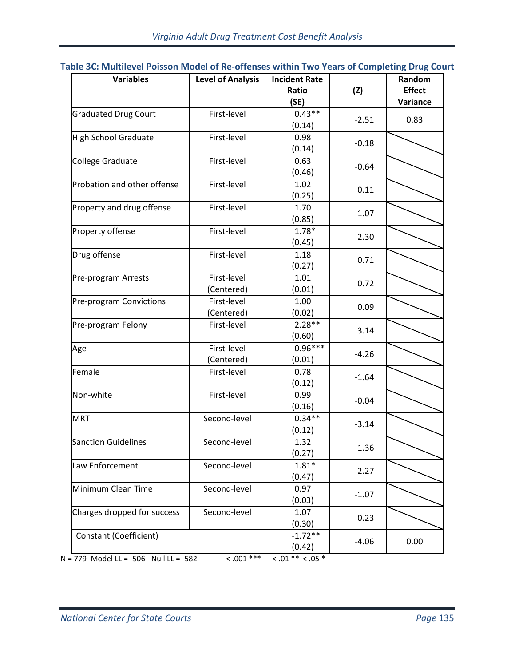| Table 3C: Multilevel Poisson Model of Re-offenses within Two Years of Completing Drug Court |  |  |  |  |  |  |
|---------------------------------------------------------------------------------------------|--|--|--|--|--|--|
|---------------------------------------------------------------------------------------------|--|--|--|--|--|--|

|                               |              |           | (Z)     | <b>Effect</b> |
|-------------------------------|--------------|-----------|---------|---------------|
|                               |              | (SE)      |         | Variance      |
| <b>Graduated Drug Court</b>   | First-level  | $0.43**$  |         |               |
|                               |              | (0.14)    | $-2.51$ | 0.83          |
| <b>High School Graduate</b>   | First-level  | 0.98      | $-0.18$ |               |
|                               |              | (0.14)    |         |               |
| <b>College Graduate</b>       | First-level  | 0.63      | $-0.64$ |               |
|                               |              | (0.46)    |         |               |
| Probation and other offense   | First-level  | 1.02      | 0.11    |               |
|                               |              | (0.25)    |         |               |
| Property and drug offense     | First-level  | 1.70      | 1.07    |               |
|                               |              | (0.85)    |         |               |
| Property offense              | First-level  | $1.78*$   | 2.30    |               |
|                               |              | (0.45)    |         |               |
| Drug offense                  | First-level  | 1.18      | 0.71    |               |
|                               |              | (0.27)    |         |               |
| Pre-program Arrests           | First-level  | 1.01      | 0.72    |               |
|                               | (Centered)   | (0.01)    |         |               |
| Pre-program Convictions       | First-level  | 1.00      | 0.09    |               |
|                               | (Centered)   | (0.02)    |         |               |
| Pre-program Felony            | First-level  | $2.28**$  | 3.14    |               |
|                               |              | (0.60)    |         |               |
| Age                           | First-level  | $0.96***$ | $-4.26$ |               |
|                               | (Centered)   | (0.01)    |         |               |
| Female                        | First-level  | 0.78      | $-1.64$ |               |
|                               |              | (0.12)    |         |               |
| Non-white                     | First-level  | 0.99      | $-0.04$ |               |
|                               |              | (0.16)    |         |               |
| <b>MRT</b>                    | Second-level | $0.34**$  | $-3.14$ |               |
|                               |              | (0.12)    |         |               |
| <b>Sanction Guidelines</b>    | Second-level | 1.32      | 1.36    |               |
|                               |              | (0.27)    |         |               |
| Law Enforcement               | Second-level | $1.81*$   | 2.27    |               |
|                               |              | (0.47)    |         |               |
| Minimum Clean Time            | Second-level | 0.97      | $-1.07$ |               |
|                               |              | (0.03)    |         |               |
| Charges dropped for success   | Second-level | 1.07      | 0.23    |               |
|                               |              | (0.30)    |         |               |
| <b>Constant (Coefficient)</b> |              | $-1.72**$ | $-4.06$ | 0.00          |
|                               |              | (0.42)    |         |               |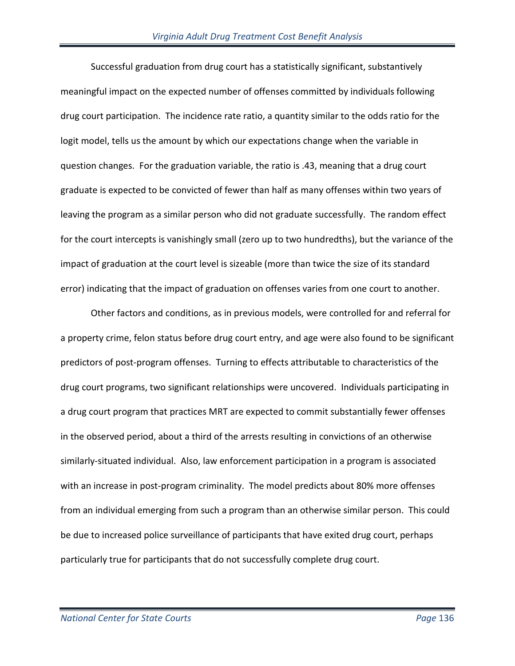Successful graduation from drug court has a statistically significant, substantively meaningful impact on the expected number of offenses committed by individuals following drug court participation. The incidence rate ratio, a quantity similar to the odds ratio for the logit model, tells us the amount by which our expectations change when the variable in question changes. For the graduation variable, the ratio is .43, meaning that a drug court graduate is expected to be convicted of fewer than half as many offenses within two years of leaving the program as a similar person who did not graduate successfully. The random effect for the court intercepts is vanishingly small (zero up to two hundredths), but the variance of the impact of graduation at the court level is sizeable (more than twice the size of its standard error) indicating that the impact of graduation on offenses varies from one court to another.

Other factors and conditions, as in previous models, were controlled for and referral for a property crime, felon status before drug court entry, and age were also found to be significant predictors of post-program offenses. Turning to effects attributable to characteristics of the drug court programs, two significant relationships were uncovered. Individuals participating in a drug court program that practices MRT are expected to commit substantially fewer offenses in the observed period, about a third of the arrests resulting in convictions of an otherwise similarly-situated individual. Also, law enforcement participation in a program is associated with an increase in post-program criminality. The model predicts about 80% more offenses from an individual emerging from such a program than an otherwise similar person. This could be due to increased police surveillance of participants that have exited drug court, perhaps particularly true for participants that do not successfully complete drug court.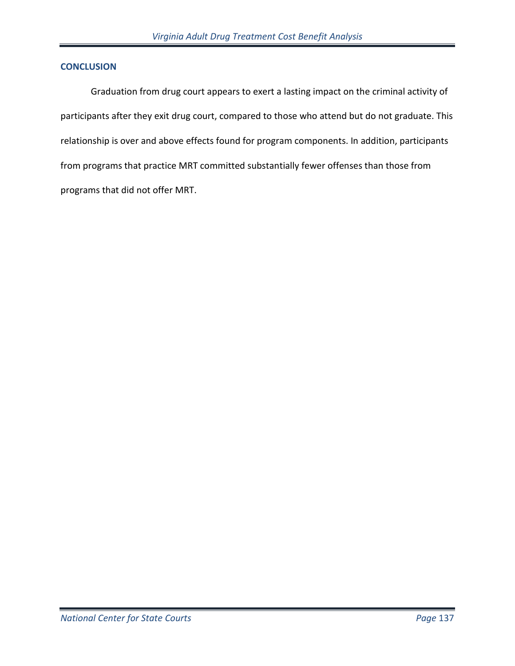### **CONCLUSION**

Graduation from drug court appears to exert a lasting impact on the criminal activity of participants after they exit drug court, compared to those who attend but do not graduate. This relationship is over and above effects found for program components. In addition, participants from programs that practice MRT committed substantially fewer offenses than those from programs that did not offer MRT.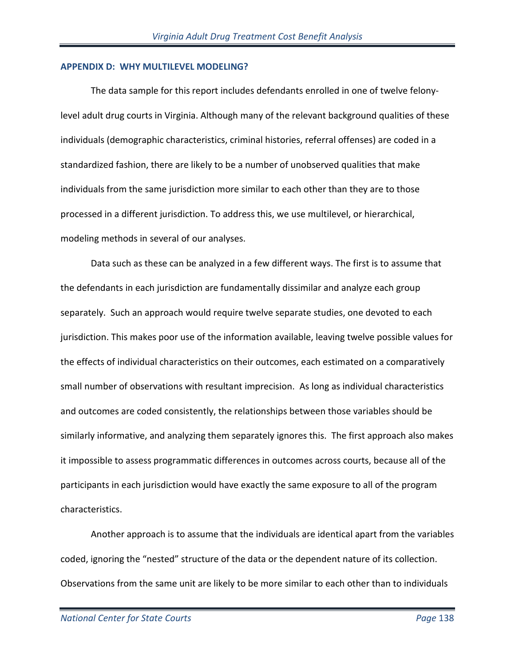## **APPENDIX D: WHY MULTILEVEL MODELING?**

The data sample for this report includes defendants enrolled in one of twelve felonylevel adult drug courts in Virginia. Although many of the relevant background qualities of these individuals (demographic characteristics, criminal histories, referral offenses) are coded in a standardized fashion, there are likely to be a number of unobserved qualities that make individuals from the same jurisdiction more similar to each other than they are to those processed in a different jurisdiction. To address this, we use multilevel, or hierarchical, modeling methods in several of our analyses.

Data such as these can be analyzed in a few different ways. The first is to assume that the defendants in each jurisdiction are fundamentally dissimilar and analyze each group separately. Such an approach would require twelve separate studies, one devoted to each jurisdiction. This makes poor use of the information available, leaving twelve possible values for the effects of individual characteristics on their outcomes, each estimated on a comparatively small number of observations with resultant imprecision. As long as individual characteristics and outcomes are coded consistently, the relationships between those variables should be similarly informative, and analyzing them separately ignores this. The first approach also makes it impossible to assess programmatic differences in outcomes across courts, because all of the participants in each jurisdiction would have exactly the same exposure to all of the program characteristics.

Another approach is to assume that the individuals are identical apart from the variables coded, ignoring the "nested" structure of the data or the dependent nature of its collection. Observations from the same unit are likely to be more similar to each other than to individuals